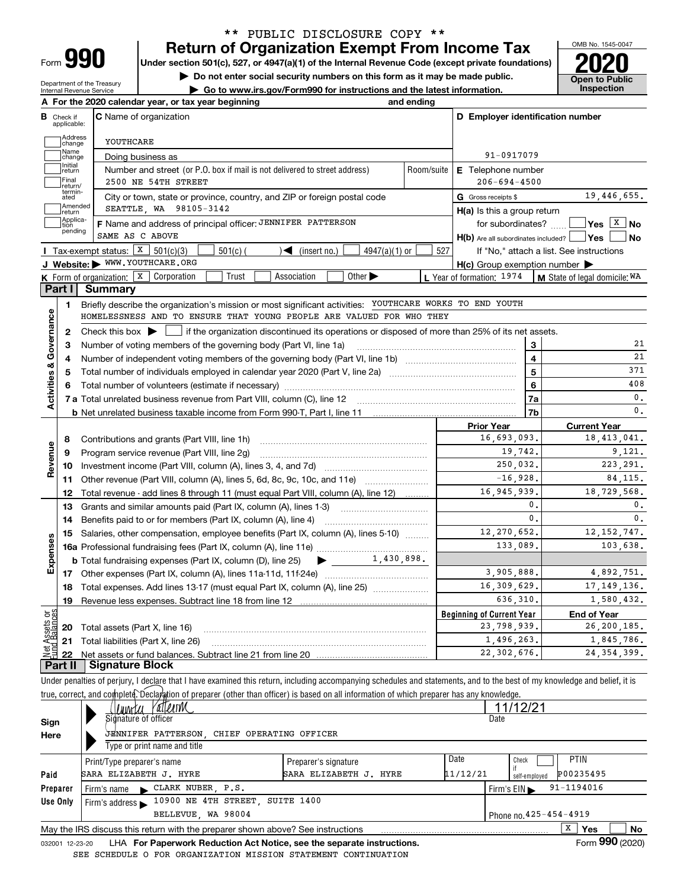| -orm |  |
|------|--|

Department of the Treasury Internal Revenue Service

# **Return of Organization Exempt From Income Tax** \*\* PUBLIC DISCLOSURE COPY \*\*

**Under section 501(c), 527, or 4947(a)(1) of the Internal Revenue Code (except private foundations) 2020**

**| Do not enter social security numbers on this form as it may be made public.**

**| Go to www.irs.gov/Form990 for instructions and the latest information. Inspection**



| Check if                             | A For the 2020 calendar year, or tax year beginning<br>and ending<br><b>C</b> Name of organization                                                                               |                                  | D Employer identification number                                    |
|--------------------------------------|----------------------------------------------------------------------------------------------------------------------------------------------------------------------------------|----------------------------------|---------------------------------------------------------------------|
| applicable:                          |                                                                                                                                                                                  |                                  |                                                                     |
| Address<br>change                    | YOUTHCARE                                                                                                                                                                        |                                  |                                                                     |
| Name<br>change                       | Doing business as                                                                                                                                                                | 91-0917079                       |                                                                     |
| Initial<br>return                    | Number and street (or P.O. box if mail is not delivered to street address)                                                                                                       | Room/suite<br>E Telephone number |                                                                     |
| Final<br>return/                     | 2500 NE 54TH STREET                                                                                                                                                              | $206 - 694 - 4500$               |                                                                     |
| termin-<br>ated                      | City or town, state or province, country, and ZIP or foreign postal code                                                                                                         | G Gross receipts \$              | 19,446,655.                                                         |
| Amended<br> return                   | SEATTLE, WA 98105-3142                                                                                                                                                           | $H(a)$ is this a group return    |                                                                     |
| Applica-<br>tion<br>pending          | F Name and address of principal officer: JENNIFER PATTERSON                                                                                                                      |                                  | for subordinates? $\frac{\Box}{\Box}$ Yes $\boxed{\overline{X}}$ No |
|                                      | SAME AS C ABOVE                                                                                                                                                                  |                                  | $H(b)$ Are all subordinates included? $\Box$ Yes<br>l No            |
|                                      | Tax-exempt status: $X \ 501(c)(3)$<br>$501(c)$ (<br>$\sqrt{\bullet}$ (insert no.)<br>$4947(a)(1)$ or                                                                             | 527                              | If "No," attach a list. See instructions                            |
|                                      | J Website: WWW.YOUTHCARE.ORG                                                                                                                                                     |                                  | $H(c)$ Group exemption number $\blacktriangleright$                 |
|                                      | <b>K</b> Form of organization: $\boxed{\textbf{X}}$ Corporation<br>Trust<br>Association<br>Other $\blacktriangleright$<br>Part I Summary                                         | L Year of formation: 1974        | M State of legal domicile: WA                                       |
|                                      |                                                                                                                                                                                  |                                  |                                                                     |
| 1.                                   | Briefly describe the organization's mission or most significant activities: YOUTHCARE WORKS TO END YOUTH<br>HOMELESSNESS AND TO ENSURE THAT YOUNG PEOPLE ARE VALUED FOR WHO THEY |                                  |                                                                     |
|                                      | Check this box $\blacktriangleright$ $\parallel$                                                                                                                                 |                                  |                                                                     |
| Activities & Governance<br>2         | if the organization discontinued its operations or disposed of more than 25% of its net assets.                                                                                  |                                  |                                                                     |
| з<br>4                               |                                                                                                                                                                                  |                                  | 3<br>$\overline{4}$                                                 |
| 5                                    |                                                                                                                                                                                  |                                  | $5\overline{5}$<br>371                                              |
| 6                                    |                                                                                                                                                                                  | 6<br>408                         |                                                                     |
|                                      |                                                                                                                                                                                  |                                  | 7a                                                                  |
|                                      |                                                                                                                                                                                  |                                  | 7 <sub>b</sub>                                                      |
|                                      |                                                                                                                                                                                  | <b>Prior Year</b>                | <b>Current Year</b>                                                 |
| 8                                    |                                                                                                                                                                                  | 16,693,093.                      | 18, 413, 041.                                                       |
| 9                                    | Program service revenue (Part VIII, line 2g)                                                                                                                                     |                                  | 19,742.<br>9,121.                                                   |
| Revenue<br>10                        |                                                                                                                                                                                  |                                  | 250,032.<br>223, 291.                                               |
| 11                                   | Other revenue (Part VIII, column (A), lines 5, 6d, 8c, 9c, 10c, and 11e)                                                                                                         |                                  | $-16,928.$<br>84.115.                                               |
| 12                                   | Total revenue - add lines 8 through 11 (must equal Part VIII, column (A), line 12)                                                                                               | 16,945,939.                      | 18,729,568.                                                         |
| 13                                   | Grants and similar amounts paid (Part IX, column (A), lines 1-3)                                                                                                                 |                                  | 0.                                                                  |
| 14                                   |                                                                                                                                                                                  |                                  | 0.                                                                  |
| 15                                   | Salaries, other compensation, employee benefits (Part IX, column (A), lines 5-10)                                                                                                | 12, 270, 652.                    | 12, 152, 747.                                                       |
|                                      |                                                                                                                                                                                  |                                  | 133,089.<br>103,638.                                                |
| Expenses                             |                                                                                                                                                                                  |                                  |                                                                     |
|                                      |                                                                                                                                                                                  | 3,905,888.                       | 4,892,751.                                                          |
|                                      |                                                                                                                                                                                  | 16,309,629.                      | 17, 149, 136.                                                       |
| 19                                   | Revenue less expenses. Subtract line 18 from line 12                                                                                                                             | 636, 310.                        | 1,580,432.                                                          |
|                                      |                                                                                                                                                                                  | <b>Beginning of Current Year</b> | <b>End of Year</b>                                                  |
|                                      | Total assets (Part X, line 16)                                                                                                                                                   | 23,798,939.                      | 26, 200, 185.                                                       |
| 20                                   |                                                                                                                                                                                  | 1,496,263.                       | 1,845,786.                                                          |
| Net Assets or<br>Eund Balances<br>21 | Total liabilities (Part X, line 26)                                                                                                                                              | 22, 302, 676.                    | 24, 354, 399.                                                       |

true, correct, and complete.`Declaration of preparer (other than officer) is based on all information of which preparer has any knowledge.

|                 | 'Iuntu Vallerin                                                                 |                        |          | 11/12/21                   |  |  |  |  |  |  |  |  |  |  |
|-----------------|---------------------------------------------------------------------------------|------------------------|----------|----------------------------|--|--|--|--|--|--|--|--|--|--|
| Sign            | Signature of officer                                                            |                        |          | Date                       |  |  |  |  |  |  |  |  |  |  |
| Here            | JENNIFER PATTERSON, CHIEF OPERATING OFFICER                                     |                        |          |                            |  |  |  |  |  |  |  |  |  |  |
|                 | Type or print name and title                                                    |                        |          |                            |  |  |  |  |  |  |  |  |  |  |
|                 | Print/Type preparer's name                                                      | Preparer's signature   | Date     | <b>PTIN</b><br>Check       |  |  |  |  |  |  |  |  |  |  |
| Paid            | SARA ELIZABETH J. HYRE                                                          | SARA ELIZABETH J. HYRE | 11/12/21 | P00235495<br>self-emploved |  |  |  |  |  |  |  |  |  |  |
| Preparer        | Firm's name CLARK NUBER, P.S.                                                   |                        |          | 91-1194016<br>Firm's $EIN$ |  |  |  |  |  |  |  |  |  |  |
| Use Only        | Firm's address $\blacktriangleright$ 10900 NE 4TH STREET, SUITE 1400            |                        |          |                            |  |  |  |  |  |  |  |  |  |  |
|                 | BELLEVUE, WA 98004<br>Phone no. 425-454-4919                                    |                        |          |                            |  |  |  |  |  |  |  |  |  |  |
|                 | May the IRS discuss this return with the preparer shown above? See instructions |                        |          | x<br>No<br>Yes             |  |  |  |  |  |  |  |  |  |  |
| 032001 12-23-20 | LHA For Paperwork Reduction Act Notice, see the separate instructions.          |                        |          | Form 990 (2020)            |  |  |  |  |  |  |  |  |  |  |

032001 12-23-20 LHA **For Paperwork Reduction Act Notice, see the separate instructions.**<br>SEE SCHEDILE O FOR ORGANIZATION MISSION STATEMENT CONTINIIATION SEE SCHEDULE O FOR ORGANIZATION MISSION STATEMENT CONTINUATION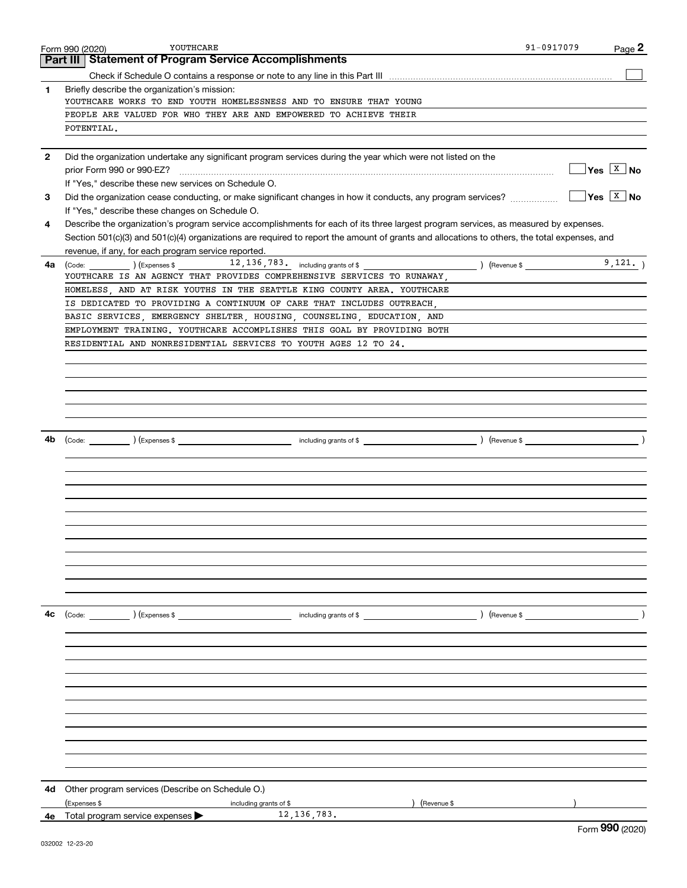|              | YOUTHCARE<br>Form 990 (2020)                                                                                                                                     | 91-0917079                             | Page 2 |
|--------------|------------------------------------------------------------------------------------------------------------------------------------------------------------------|----------------------------------------|--------|
|              | Part III   Statement of Program Service Accomplishments                                                                                                          |                                        |        |
|              |                                                                                                                                                                  |                                        |        |
| 1            | Briefly describe the organization's mission:                                                                                                                     |                                        |        |
|              | YOUTHCARE WORKS TO END YOUTH HOMELESSNESS AND TO ENSURE THAT YOUNG                                                                                               |                                        |        |
|              | PEOPLE ARE VALUED FOR WHO THEY ARE AND EMPOWERED TO ACHIEVE THEIR                                                                                                |                                        |        |
|              | POTENTIAL.                                                                                                                                                       |                                        |        |
|              |                                                                                                                                                                  |                                        |        |
| $\mathbf{2}$ | Did the organization undertake any significant program services during the year which were not listed on the                                                     |                                        |        |
|              |                                                                                                                                                                  | $\sqrt{}$ Yes $\sqrt{}$ x $\sqrt{}$ No |        |
|              | If "Yes," describe these new services on Schedule O.                                                                                                             |                                        |        |
| 3            | Did the organization cease conducting, or make significant changes in how it conducts, any program services?                                                     | $\sqrt{Y}$ es $\boxed{X}$ No           |        |
|              | If "Yes," describe these changes on Schedule O.                                                                                                                  |                                        |        |
| 4            | Describe the organization's program service accomplishments for each of its three largest program services, as measured by expenses.                             |                                        |        |
|              | Section 501(c)(3) and 501(c)(4) organizations are required to report the amount of grants and allocations to others, the total expenses, and                     |                                        |        |
|              | revenue, if any, for each program service reported.<br>$(\text{Code:})$ $(\text{Expenses $}$ $(12, 136, 783, \text{including grants of $})$ $(\text{Revenue $})$ |                                        | 9,121. |
| 4a           | YOUTHCARE IS AN AGENCY THAT PROVIDES COMPREHENSIVE SERVICES TO RUNAWAY,                                                                                          |                                        |        |
|              | HOMELESS, AND AT RISK YOUTHS IN THE SEATTLE KING COUNTY AREA. YOUTHCARE                                                                                          |                                        |        |
|              | IS DEDICATED TO PROVIDING A CONTINUUM OF CARE THAT INCLUDES OUTREACH,                                                                                            |                                        |        |
|              | BASIC SERVICES, EMERGENCY SHELTER, HOUSING, COUNSELING, EDUCATION, AND                                                                                           |                                        |        |
|              | EMPLOYMENT TRAINING. YOUTHCARE ACCOMPLISHES THIS GOAL BY PROVIDING BOTH                                                                                          |                                        |        |
|              | RESIDENTIAL AND NONRESIDENTIAL SERVICES TO YOUTH AGES 12 TO 24.                                                                                                  |                                        |        |
|              |                                                                                                                                                                  |                                        |        |
|              |                                                                                                                                                                  |                                        |        |
|              |                                                                                                                                                                  |                                        |        |
|              |                                                                                                                                                                  |                                        |        |
|              |                                                                                                                                                                  |                                        |        |
|              |                                                                                                                                                                  |                                        |        |
| 4b           | contract and including grants of \$                                                                                                                              |                                        |        |
|              | (Code: ) (Expenses \$                                                                                                                                            | ) (Revenue \$                          |        |
|              |                                                                                                                                                                  |                                        |        |
|              |                                                                                                                                                                  |                                        |        |
|              |                                                                                                                                                                  |                                        |        |
|              |                                                                                                                                                                  |                                        |        |
|              |                                                                                                                                                                  |                                        |        |
|              |                                                                                                                                                                  |                                        |        |
|              |                                                                                                                                                                  |                                        |        |
|              |                                                                                                                                                                  |                                        |        |
|              |                                                                                                                                                                  |                                        |        |
|              |                                                                                                                                                                  |                                        |        |
|              |                                                                                                                                                                  |                                        |        |
|              |                                                                                                                                                                  |                                        |        |
| 4с           | (Code: ) (Expenses \$<br>including grants of $$$                                                                                                                 | ) (Revenue \$                          |        |
|              |                                                                                                                                                                  |                                        |        |
|              |                                                                                                                                                                  |                                        |        |
|              |                                                                                                                                                                  |                                        |        |
|              |                                                                                                                                                                  |                                        |        |
|              |                                                                                                                                                                  |                                        |        |
|              |                                                                                                                                                                  |                                        |        |
|              |                                                                                                                                                                  |                                        |        |
|              |                                                                                                                                                                  |                                        |        |
|              |                                                                                                                                                                  |                                        |        |
|              |                                                                                                                                                                  |                                        |        |
|              |                                                                                                                                                                  |                                        |        |
|              |                                                                                                                                                                  |                                        |        |
| 4d           | Other program services (Describe on Schedule O.)                                                                                                                 |                                        |        |
|              | (Expenses \$<br>) (Revenue \$<br>including grants of \$<br>12, 136, 783.                                                                                         |                                        |        |
| 4e           | Total program service expenses $\blacktriangleright$                                                                                                             | nnn.                                   |        |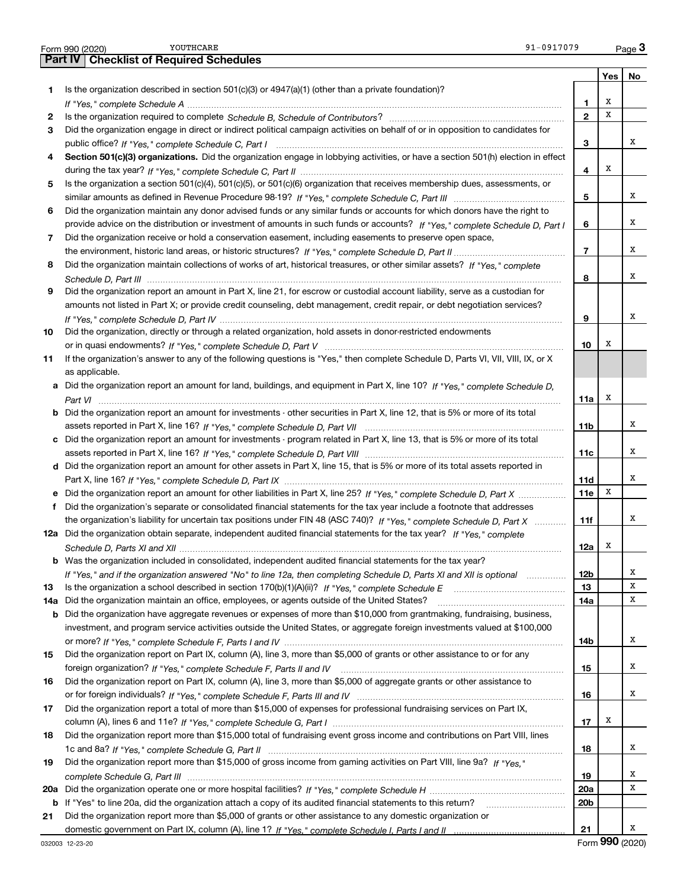|     | YOUTHCARE<br>Form 990 (2020)                                                                                                          | 91-0917079      |     | Page $3$ |
|-----|---------------------------------------------------------------------------------------------------------------------------------------|-----------------|-----|----------|
|     | <b>Checklist of Required Schedules</b><br>  Part IV                                                                                   |                 |     |          |
|     |                                                                                                                                       |                 | Yes | No       |
| 1.  | Is the organization described in section $501(c)(3)$ or $4947(a)(1)$ (other than a private foundation)?                               |                 |     |          |
|     |                                                                                                                                       | 1               | Х   |          |
| 2   |                                                                                                                                       | $\mathbf{2}$    | х   |          |
| 3   | Did the organization engage in direct or indirect political campaign activities on behalf of or in opposition to candidates for       |                 |     |          |
|     |                                                                                                                                       | 3               |     | x        |
| 4   | Section 501(c)(3) organizations. Did the organization engage in lobbying activities, or have a section 501(h) election in effect      |                 |     |          |
|     |                                                                                                                                       | 4               | х   |          |
| 5   | Is the organization a section 501(c)(4), 501(c)(5), or 501(c)(6) organization that receives membership dues, assessments, or          |                 |     |          |
|     |                                                                                                                                       | 5               |     | x        |
| 6   | Did the organization maintain any donor advised funds or any similar funds or accounts for which donors have the right to             |                 |     |          |
|     | provide advice on the distribution or investment of amounts in such funds or accounts? If "Yes," complete Schedule D, Part I          | 6               |     | х        |
| 7   | Did the organization receive or hold a conservation easement, including easements to preserve open space,                             |                 |     |          |
|     |                                                                                                                                       | $\overline{7}$  |     | х        |
| 8   | Did the organization maintain collections of works of art, historical treasures, or other similar assets? If "Yes," complete          |                 |     |          |
|     |                                                                                                                                       | 8               |     | x        |
| 9   | Did the organization report an amount in Part X, line 21, for escrow or custodial account liability, serve as a custodian for         |                 |     |          |
|     | amounts not listed in Part X; or provide credit counseling, debt management, credit repair, or debt negotiation services?             |                 |     |          |
|     |                                                                                                                                       | 9               |     | x        |
| 10  | Did the organization, directly or through a related organization, hold assets in donor-restricted endowments                          |                 |     |          |
|     |                                                                                                                                       | 10              | х   |          |
| 11  | If the organization's answer to any of the following questions is "Yes," then complete Schedule D, Parts VI, VII, VIII, IX, or X      |                 |     |          |
|     | as applicable.                                                                                                                        |                 |     |          |
|     | a Did the organization report an amount for land, buildings, and equipment in Part X, line 10? If "Yes," complete Schedule D,         |                 |     |          |
|     |                                                                                                                                       | 11a             | х   |          |
|     | <b>b</b> Did the organization report an amount for investments - other securities in Part X, line 12, that is 5% or more of its total |                 |     |          |
|     |                                                                                                                                       | 11b             |     | x        |
|     | c Did the organization report an amount for investments - program related in Part X, line 13, that is 5% or more of its total         |                 |     |          |
|     |                                                                                                                                       | 11c             |     | x        |
|     | d Did the organization report an amount for other assets in Part X, line 15, that is 5% or more of its total assets reported in       |                 |     |          |
|     |                                                                                                                                       | 11d             |     | x        |
|     | e Did the organization report an amount for other liabilities in Part X, line 25? If "Yes," complete Schedule D, Part X               | 11e             | х   |          |
|     | f Did the organization's separate or consolidated financial statements for the tax year include a footnote that addresses             |                 |     |          |
|     | the organization's liability for uncertain tax positions under FIN 48 (ASC 740)? If "Yes," complete Schedule D, Part X                | 11f             |     | x        |
|     | 12a Did the organization obtain separate, independent audited financial statements for the tax year? If "Yes," complete               |                 |     |          |
|     |                                                                                                                                       | 12a             | х   |          |
|     | <b>b</b> Was the organization included in consolidated, independent audited financial statements for the tax year?                    |                 |     |          |
|     | If "Yes," and if the organization answered "No" to line 12a, then completing Schedule D, Parts XI and XII is optional                 | 12b             |     | х        |
| 13  |                                                                                                                                       | 13              |     | х        |
| 14a | Did the organization maintain an office, employees, or agents outside of the United States?                                           | 14a             |     | х        |
| b   | Did the organization have aggregate revenues or expenses of more than \$10,000 from grantmaking, fundraising, business,               |                 |     |          |
|     | investment, and program service activities outside the United States, or aggregate foreign investments valued at \$100,000            |                 |     |          |
|     |                                                                                                                                       | 14b             |     | х        |
| 15  | Did the organization report on Part IX, column (A), line 3, more than \$5,000 of grants or other assistance to or for any             |                 |     |          |
|     |                                                                                                                                       | 15              |     | х        |
| 16  | Did the organization report on Part IX, column (A), line 3, more than \$5,000 of aggregate grants or other assistance to              |                 |     |          |
|     |                                                                                                                                       | 16              |     | х        |
| 17  | Did the organization report a total of more than \$15,000 of expenses for professional fundraising services on Part IX,               |                 |     |          |
|     |                                                                                                                                       | 17              | х   |          |
| 18  | Did the organization report more than \$15,000 total of fundraising event gross income and contributions on Part VIII, lines          |                 |     |          |
|     |                                                                                                                                       | 18              |     | х        |
| 19  | Did the organization report more than \$15,000 of gross income from gaming activities on Part VIII, line 9a? If "Yes."                |                 |     |          |
|     |                                                                                                                                       | 19              |     | х        |
| 20a |                                                                                                                                       | 20a             |     | х        |
| b   | If "Yes" to line 20a, did the organization attach a copy of its audited financial statements to this return?                          | 20 <sub>b</sub> |     |          |
| 21  | Did the organization report more than \$5,000 of grants or other assistance to any domestic organization or                           |                 |     |          |
|     |                                                                                                                                       | 21              |     | x        |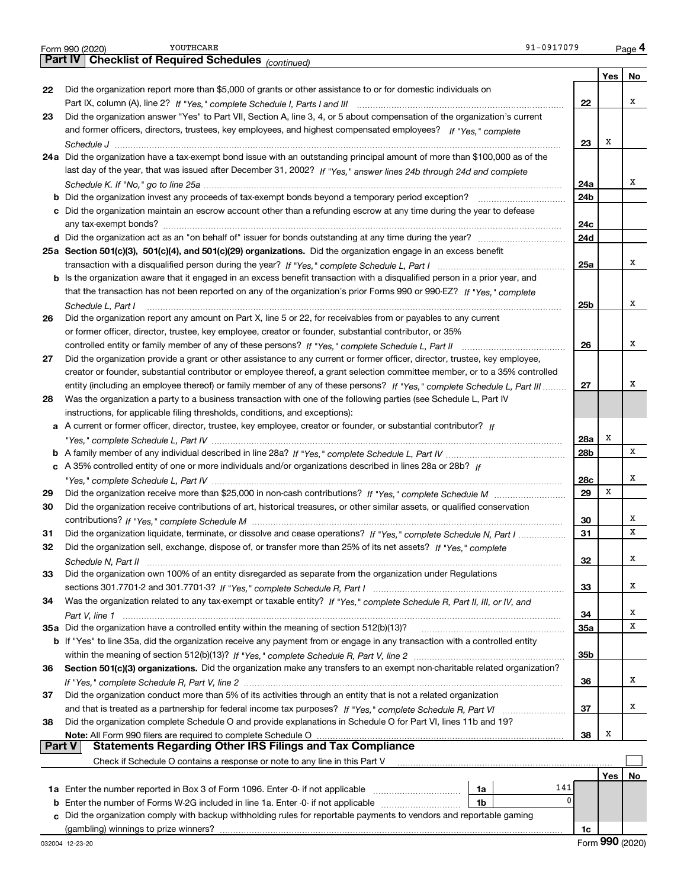|               | 91-0917079<br>YOUTHCARE<br>Form 990 (2020)                                                                                         |              |     | Page 4 |
|---------------|------------------------------------------------------------------------------------------------------------------------------------|--------------|-----|--------|
|               | <b>Checklist of Required Schedules</b> (continued)<br><b>Part IV</b>                                                               |              |     |        |
|               |                                                                                                                                    |              | Yes | No     |
| 22            | Did the organization report more than \$5,000 of grants or other assistance to or for domestic individuals on                      |              |     |        |
|               |                                                                                                                                    | 22           |     | х      |
| 23            | Did the organization answer "Yes" to Part VII, Section A, line 3, 4, or 5 about compensation of the organization's current         |              |     |        |
|               | and former officers, directors, trustees, key employees, and highest compensated employees? If "Yes," complete                     |              |     |        |
|               |                                                                                                                                    | 23           | X   |        |
|               | 24a Did the organization have a tax-exempt bond issue with an outstanding principal amount of more than \$100,000 as of the        |              |     |        |
|               | last day of the year, that was issued after December 31, 2002? If "Yes," answer lines 24b through 24d and complete                 |              |     |        |
|               |                                                                                                                                    | 24a          |     | х      |
|               | <b>b</b> Did the organization invest any proceeds of tax-exempt bonds beyond a temporary period exception?                         | 24b          |     |        |
|               | c Did the organization maintain an escrow account other than a refunding escrow at any time during the year to defease             |              |     |        |
|               |                                                                                                                                    | 24c          |     |        |
|               |                                                                                                                                    | 24d          |     |        |
|               | 25a Section 501(c)(3), 501(c)(4), and 501(c)(29) organizations. Did the organization engage in an excess benefit                   |              |     |        |
|               |                                                                                                                                    | 25a          |     | х      |
|               | b Is the organization aware that it engaged in an excess benefit transaction with a disqualified person in a prior year, and       |              |     |        |
|               | that the transaction has not been reported on any of the organization's prior Forms 990 or 990-EZ? If "Yes," complete              |              |     |        |
|               | Schedule L. Part I                                                                                                                 | 25b          |     | х      |
| 26            | Did the organization report any amount on Part X, line 5 or 22, for receivables from or payables to any current                    |              |     |        |
|               | or former officer, director, trustee, key employee, creator or founder, substantial contributor, or 35%                            |              |     |        |
|               |                                                                                                                                    | 26           |     | х      |
| 27            | Did the organization provide a grant or other assistance to any current or former officer, director, trustee, key employee,        |              |     |        |
|               | creator or founder, substantial contributor or employee thereof, a grant selection committee member, or to a 35% controlled        |              |     |        |
|               | entity (including an employee thereof) or family member of any of these persons? If "Yes," complete Schedule L, Part III           | 27           |     | х      |
| 28            | Was the organization a party to a business transaction with one of the following parties (see Schedule L, Part IV                  |              |     |        |
|               | instructions, for applicable filing thresholds, conditions, and exceptions):                                                       |              |     |        |
|               | a A current or former officer, director, trustee, key employee, creator or founder, or substantial contributor? If                 |              |     |        |
|               |                                                                                                                                    | 28a          | X   |        |
|               |                                                                                                                                    | 28b          |     | х      |
|               | c A 35% controlled entity of one or more individuals and/or organizations described in lines 28a or 28b? If                        |              |     |        |
|               |                                                                                                                                    | 28c          |     | х      |
| 29            |                                                                                                                                    | 29           | X   |        |
| 30            | Did the organization receive contributions of art, historical treasures, or other similar assets, or qualified conservation        |              |     |        |
|               |                                                                                                                                    | 30           |     | х      |
| 31            | Did the organization liquidate, terminate, or dissolve and cease operations? If "Yes," complete Schedule N, Part I                 | 31           |     | x      |
| 32            | Did the organization sell, exchange, dispose of, or transfer more than 25% of its net assets? If "Yes," complete                   |              |     |        |
|               |                                                                                                                                    | 32           |     | X      |
| 33            | Did the organization own 100% of an entity disregarded as separate from the organization under Regulations                         |              |     |        |
|               |                                                                                                                                    | 33           |     | X      |
| 34            | Was the organization related to any tax-exempt or taxable entity? If "Yes," complete Schedule R, Part II, III, or IV, and          |              |     |        |
|               |                                                                                                                                    | 34           |     | X      |
|               |                                                                                                                                    | 35a          |     | х      |
|               | <b>b</b> If "Yes" to line 35a, did the organization receive any payment from or engage in any transaction with a controlled entity |              |     |        |
|               |                                                                                                                                    | 35b          |     |        |
| 36            | Section 501(c)(3) organizations. Did the organization make any transfers to an exempt non-charitable related organization?         |              |     |        |
|               |                                                                                                                                    | 36           |     | х      |
| 37            | Did the organization conduct more than 5% of its activities through an entity that is not a related organization                   |              |     |        |
|               |                                                                                                                                    | 37           |     | x      |
| 38            | Did the organization complete Schedule O and provide explanations in Schedule O for Part VI, lines 11b and 19?                     |              |     |        |
|               |                                                                                                                                    | 38           | X   |        |
| <b>Part V</b> |                                                                                                                                    |              |     |        |
|               | Check if Schedule O contains a response or note to any line in this Part V                                                         |              |     |        |
|               |                                                                                                                                    |              | Yes | No     |
|               | 141<br>1a                                                                                                                          |              |     |        |
| b             | Enter the number of Forms W-2G included in line 1a. Enter -0- if not applicable<br>1b                                              | $\mathbf{0}$ |     |        |
|               | Did the organization comply with backup withholding rules for reportable payments to vendors and reportable gaming                 |              |     |        |
|               | (gambling) winnings to prize winners? www.communication.communication.com/windows/                                                 | 1c           |     |        |
|               |                                                                                                                                    |              |     |        |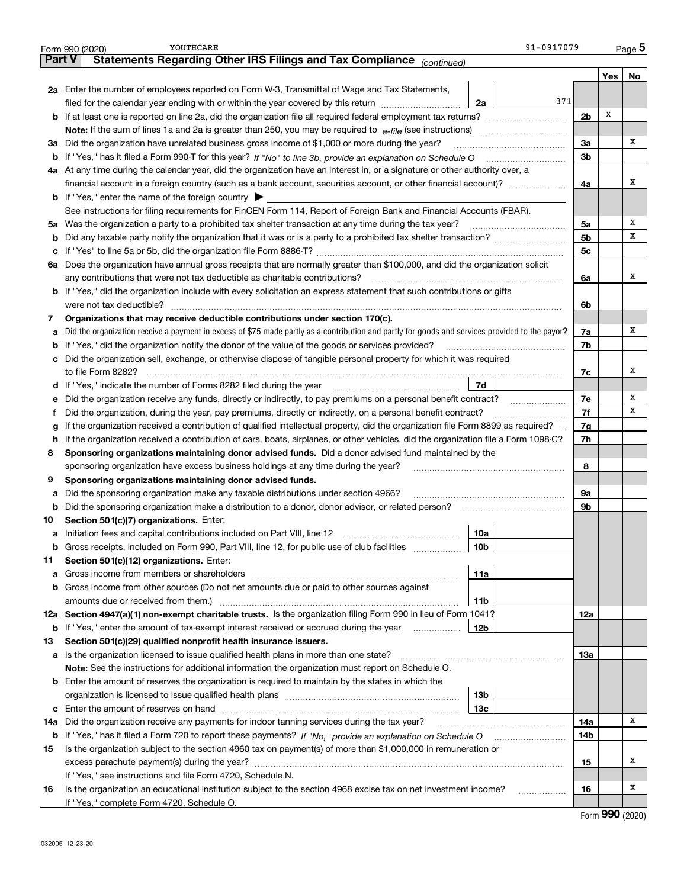|     | YOUTHCARE<br>Form 990 (2020)                                                                                                                    | 91-0917079 |                |     | Page 5     |
|-----|-------------------------------------------------------------------------------------------------------------------------------------------------|------------|----------------|-----|------------|
|     | Statements Regarding Other IRS Filings and Tax Compliance (continued)<br>  Part V                                                               |            |                |     |            |
|     |                                                                                                                                                 |            |                | Yes | No         |
|     | 2a Enter the number of employees reported on Form W-3, Transmittal of Wage and Tax Statements,                                                  |            |                |     |            |
|     | filed for the calendar year ending with or within the year covered by this return<br>2a                                                         | 371        |                |     |            |
|     |                                                                                                                                                 |            | 2 <sub>b</sub> | X   |            |
|     |                                                                                                                                                 |            |                |     |            |
|     | 3a Did the organization have unrelated business gross income of \$1,000 or more during the year?                                                |            | 3a             |     | х          |
|     |                                                                                                                                                 |            | 3 <sub>b</sub> |     |            |
|     | 4a At any time during the calendar year, did the organization have an interest in, or a signature or other authority over, a                    |            |                |     |            |
|     |                                                                                                                                                 |            | 4a             |     | х          |
|     | <b>b</b> If "Yes," enter the name of the foreign country $\blacktriangleright$                                                                  |            |                |     |            |
|     | See instructions for filing requirements for FinCEN Form 114, Report of Foreign Bank and Financial Accounts (FBAR).                             |            |                |     |            |
|     | 5a Was the organization a party to a prohibited tax shelter transaction at any time during the tax year?                                        |            | 5a             |     | х          |
| b   |                                                                                                                                                 |            | 5 <sub>b</sub> |     | x          |
| c   |                                                                                                                                                 |            | 5с             |     |            |
|     | 6a Does the organization have annual gross receipts that are normally greater than \$100,000, and did the organization solicit                  |            |                |     |            |
|     |                                                                                                                                                 |            | 6a             |     | х          |
|     | <b>b</b> If "Yes," did the organization include with every solicitation an express statement that such contributions or gifts                   |            |                |     |            |
|     |                                                                                                                                                 |            | 6b             |     |            |
|     |                                                                                                                                                 |            |                |     |            |
| 7   | Organizations that may receive deductible contributions under section 170(c).                                                                   |            |                |     | х          |
| а   | Did the organization receive a payment in excess of \$75 made partly as a contribution and partly for goods and services provided to the payor? |            | 7a             |     |            |
| b   | If "Yes," did the organization notify the donor of the value of the goods or services provided?                                                 |            | 7b             |     |            |
| с   | Did the organization sell, exchange, or otherwise dispose of tangible personal property for which it was required                               |            |                |     |            |
|     |                                                                                                                                                 |            | 7c             |     | х          |
|     | 7d                                                                                                                                              |            |                |     |            |
| е   | Did the organization receive any funds, directly or indirectly, to pay premiums on a personal benefit contract?                                 |            | 7e             |     | х<br>x     |
| f   | Did the organization, during the year, pay premiums, directly or indirectly, on a personal benefit contract?                                    |            | 7f             |     |            |
| g   | If the organization received a contribution of qualified intellectual property, did the organization file Form 8899 as required?                |            | 7g             |     |            |
| h.  | If the organization received a contribution of cars, boats, airplanes, or other vehicles, did the organization file a Form 1098-C?              |            | 7h             |     |            |
| 8   | Sponsoring organizations maintaining donor advised funds. Did a donor advised fund maintained by the                                            |            |                |     |            |
|     | sponsoring organization have excess business holdings at any time during the year?                                                              |            | 8              |     |            |
| 9   | Sponsoring organizations maintaining donor advised funds.                                                                                       |            |                |     |            |
| а   | Did the sponsoring organization make any taxable distributions under section 4966?                                                              |            | 9a             |     |            |
| b   |                                                                                                                                                 |            | 9b             |     |            |
| 10  | Section 501(c)(7) organizations. Enter:                                                                                                         |            |                |     |            |
|     | 10a                                                                                                                                             |            |                |     |            |
|     | 10b <br>Gross receipts, included on Form 990, Part VIII, line 12, for public use of club facilities                                             |            |                |     |            |
| 11  | Section 501(c)(12) organizations. Enter:                                                                                                        |            |                |     |            |
| a   | 11a                                                                                                                                             |            |                |     |            |
| b   | Gross income from other sources (Do not net amounts due or paid to other sources against                                                        |            |                |     |            |
|     | 11b                                                                                                                                             |            |                |     |            |
|     | 12a Section 4947(a)(1) non-exempt charitable trusts. Is the organization filing Form 990 in lieu of Form 1041?                                  |            | 12a            |     |            |
|     | 12b<br><b>b</b> If "Yes," enter the amount of tax-exempt interest received or accrued during the year <i>manument</i>                           |            |                |     |            |
| 13  | Section 501(c)(29) qualified nonprofit health insurance issuers.                                                                                |            |                |     |            |
| а   | Is the organization licensed to issue qualified health plans in more than one state?                                                            |            | 13a            |     |            |
|     | Note: See the instructions for additional information the organization must report on Schedule O.                                               |            |                |     |            |
| b   | Enter the amount of reserves the organization is required to maintain by the states in which the                                                |            |                |     |            |
|     | 13b                                                                                                                                             |            |                |     |            |
|     | 13с                                                                                                                                             |            |                |     |            |
| 14a | Did the organization receive any payments for indoor tanning services during the tax year?                                                      |            | 14a            |     | х          |
|     | <b>b</b> If "Yes," has it filed a Form 720 to report these payments? If "No," provide an explanation on Schedule O                              |            | 14b            |     |            |
| 15  | Is the organization subject to the section 4960 tax on payment(s) of more than \$1,000,000 in remuneration or                                   |            |                |     |            |
|     |                                                                                                                                                 |            | 15             |     | x          |
|     | If "Yes," see instructions and file Form 4720, Schedule N.                                                                                      |            |                |     |            |
| 16  | Is the organization an educational institution subject to the section 4968 excise tax on net investment income?                                 |            | 16             |     | x          |
|     | If "Yes," complete Form 4720, Schedule O.                                                                                                       |            |                |     |            |
|     |                                                                                                                                                 |            |                |     | ററ്റ് കാരാ |

Form (2020) **990**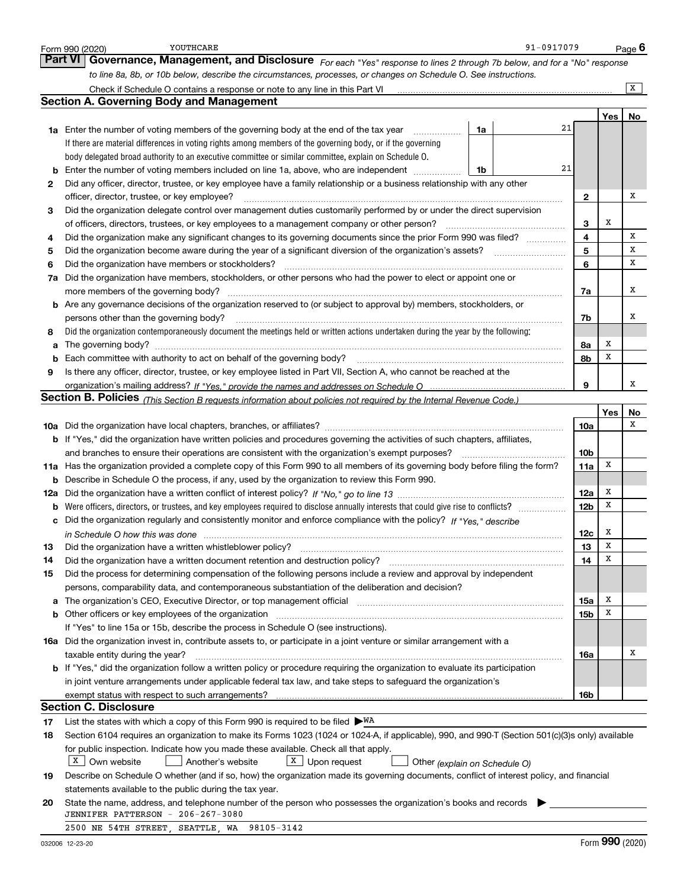|    | 91-0917079<br>YOUTHCARE<br>Form 990 (2020)                                                                                                                                                                                      |                 |     | Page 6  |
|----|---------------------------------------------------------------------------------------------------------------------------------------------------------------------------------------------------------------------------------|-----------------|-----|---------|
|    | <b>Part VI</b><br>Governance, Management, and Disclosure For each "Yes" response to lines 2 through 7b below, and for a "No" response                                                                                           |                 |     |         |
|    | to line 8a, 8b, or 10b below, describe the circumstances, processes, or changes on Schedule O. See instructions.                                                                                                                |                 |     |         |
|    | Check if Schedule O contains a response or note to any line in this Part VI [11] [12] Check if Schedule O contains a response or note to any line in this Part VI                                                               |                 |     | x       |
|    | <b>Section A. Governing Body and Management</b>                                                                                                                                                                                 |                 |     |         |
|    |                                                                                                                                                                                                                                 |                 | Yes | No.     |
|    | 21<br><b>1a</b> Enter the number of voting members of the governing body at the end of the tax year<br>1a<br>.                                                                                                                  |                 |     |         |
|    | If there are material differences in voting rights among members of the governing body, or if the governing                                                                                                                     |                 |     |         |
|    | body delegated broad authority to an executive committee or similar committee, explain on Schedule O.                                                                                                                           |                 |     |         |
| b  | 21<br>Enter the number of voting members included on line 1a, above, who are independent<br>1b                                                                                                                                  |                 |     |         |
| 2  | Did any officer, director, trustee, or key employee have a family relationship or a business relationship with any other                                                                                                        |                 |     |         |
|    | officer, director, trustee, or key employee?                                                                                                                                                                                    | $\mathbf{2}$    |     | х       |
| 3  | Did the organization delegate control over management duties customarily performed by or under the direct supervision                                                                                                           |                 |     |         |
|    | of officers, directors, trustees, or key employees to a management company or other person?                                                                                                                                     | З               | х   |         |
| 4  | Did the organization make any significant changes to its governing documents since the prior Form 990 was filed?                                                                                                                | 4               |     | X       |
| 5  | Did the organization become aware during the year of a significant diversion of the organization's assets?                                                                                                                      | 5               |     | х       |
| 6  | Did the organization have members or stockholders?                                                                                                                                                                              | 6               |     | x       |
| 7a | Did the organization have members, stockholders, or other persons who had the power to elect or appoint one or                                                                                                                  |                 |     |         |
|    | more members of the governing body?                                                                                                                                                                                             | 7a              |     | х       |
|    | <b>b</b> Are any governance decisions of the organization reserved to (or subject to approval by) members, stockholders, or                                                                                                     |                 |     |         |
|    | persons other than the governing body?                                                                                                                                                                                          | 7b              |     | х       |
| 8  | Did the organization contemporaneously document the meetings held or written actions undertaken during the year by the following:                                                                                               |                 |     |         |
| a  |                                                                                                                                                                                                                                 | 8а              | х   |         |
| b  | Each committee with authority to act on behalf of the governing body?                                                                                                                                                           | 8b              | x   |         |
| 9  | Is there any officer, director, trustee, or key employee listed in Part VII, Section A, who cannot be reached at the                                                                                                            |                 |     |         |
|    |                                                                                                                                                                                                                                 | 9               |     | x       |
|    | Section B. Policies (This Section B requests information about policies not required by the Internal Revenue Code.)                                                                                                             |                 |     |         |
|    |                                                                                                                                                                                                                                 |                 | Yes | No<br>x |
|    |                                                                                                                                                                                                                                 | 10a             |     |         |
|    | b If "Yes," did the organization have written policies and procedures governing the activities of such chapters, affiliates,<br>and branches to ensure their operations are consistent with the organization's exempt purposes? | 10 <sub>b</sub> |     |         |
|    | 11a Has the organization provided a complete copy of this Form 990 to all members of its governing body before filing the form?                                                                                                 | 11a             | x   |         |
|    | <b>b</b> Describe in Schedule O the process, if any, used by the organization to review this Form 990.                                                                                                                          |                 |     |         |
|    |                                                                                                                                                                                                                                 | 12a             | х   |         |
|    | <b>b</b> Were officers, directors, or trustees, and key employees required to disclose annually interests that could give rise to conflicts?                                                                                    | 12 <sub>b</sub> | х   |         |
| с  | Did the organization regularly and consistently monitor and enforce compliance with the policy? If "Yes," describe                                                                                                              |                 |     |         |
|    | in Schedule O how this was done manufactured and contain an according of the state of the state of the state o                                                                                                                  | 12c             | х   |         |
| 13 | Did the organization have a written whistleblower policy?                                                                                                                                                                       | 13              | x   |         |
| 14 | Did the organization have a written document retention and destruction policy? manufactured and the organization have a written document retention and destruction policy?                                                      | 14              | х   |         |
| 15 | Did the process for determining compensation of the following persons include a review and approval by independent                                                                                                              |                 |     |         |
|    | persons, comparability data, and contemporaneous substantiation of the deliberation and decision?                                                                                                                               |                 |     |         |
| а  | The organization's CEO, Executive Director, or top management official manufactured contains and contained a manufactured with the organization's CEO, Executive Director, or top management official manufactured with the st  | 15a             | x   |         |
| b  |                                                                                                                                                                                                                                 | <b>15b</b>      | х   |         |
|    | If "Yes" to line 15a or 15b, describe the process in Schedule O (see instructions).                                                                                                                                             |                 |     |         |
|    | 16a Did the organization invest in, contribute assets to, or participate in a joint venture or similar arrangement with a                                                                                                       |                 |     |         |
|    | taxable entity during the year?                                                                                                                                                                                                 | 16a             |     | Х       |
|    | <b>b</b> If "Yes," did the organization follow a written policy or procedure requiring the organization to evaluate its participation                                                                                           |                 |     |         |
|    | in joint venture arrangements under applicable federal tax law, and take steps to safeguard the organization's                                                                                                                  |                 |     |         |
|    |                                                                                                                                                                                                                                 | 16b             |     |         |
|    | <b>Section C. Disclosure</b>                                                                                                                                                                                                    |                 |     |         |
| 17 | List the states with which a copy of this Form 990 is required to be filed $\triangleright$ <sup>MA</sup>                                                                                                                       |                 |     |         |
| 18 | Section 6104 requires an organization to make its Forms 1023 (1024 or 1024-A, if applicable), 990, and 990-T (Section 501(c)(3)s only) available                                                                                |                 |     |         |
|    | for public inspection. Indicate how you made these available. Check all that apply.                                                                                                                                             |                 |     |         |
|    | $X$ Own website<br>$X$ Upon request<br>Another's website<br>Other (explain on Schedule O)                                                                                                                                       |                 |     |         |
| 19 | Describe on Schedule O whether (and if so, how) the organization made its governing documents, conflict of interest policy, and financial                                                                                       |                 |     |         |
|    | statements available to the public during the tax year.                                                                                                                                                                         |                 |     |         |
| 20 | State the name, address, and telephone number of the person who possesses the organization's books and records<br>JENNIFER PATTERSON - 206-267-3080                                                                             |                 |     |         |
|    | 2500 NE 54TH STREET, SEATTLE, WA 98105-3142                                                                                                                                                                                     |                 |     |         |
|    |                                                                                                                                                                                                                                 |                 |     |         |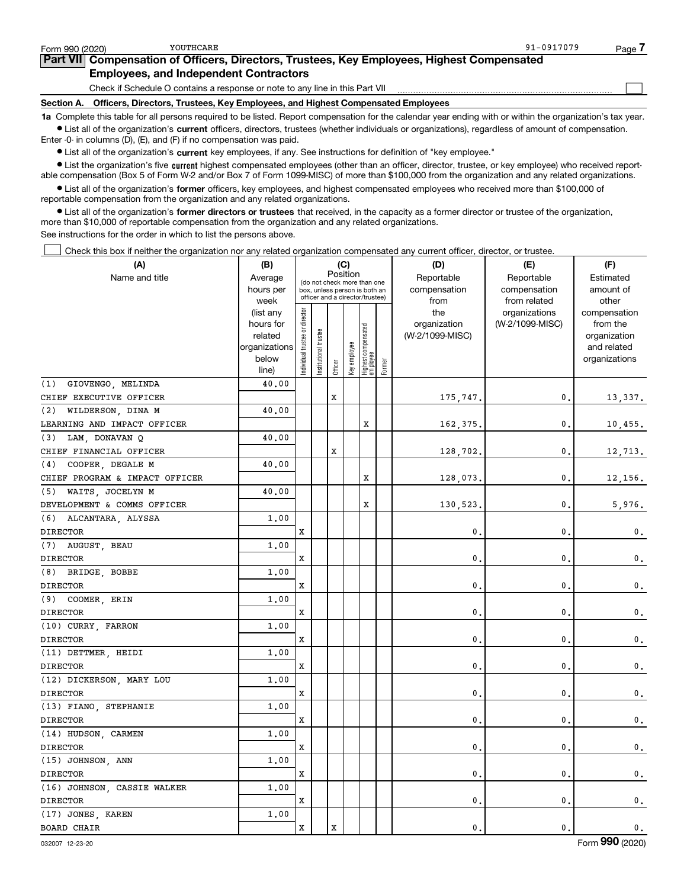| Form 990 (2020) | YOUTHCARE                                                                                                                                                  | 91-0917079<br>Page |
|-----------------|------------------------------------------------------------------------------------------------------------------------------------------------------------|--------------------|
|                 | Part VII Compensation of Officers, Directors, Trustees, Key Employees, Highest Compensated                                                                 |                    |
|                 | <b>Employees, and Independent Contractors</b>                                                                                                              |                    |
|                 | Check if Schedule O contains a response or note to any line in this Part VII                                                                               |                    |
|                 | Section A. Officers, Directors, Trustees, Key Employees, and Highest Compensated Employees                                                                 |                    |
|                 | 1a Complete this table for all persons required to be listed. Report compensation for the calendar year ending with or within the organization's tax year. |                    |

**•** List all of the organization's current officers, directors, trustees (whether individuals or organizations), regardless of amount of compensation. Enter -0- in columns (D), (E), and (F) if no compensation was paid.

 $\bullet$  List all of the organization's  $\,$ current key employees, if any. See instructions for definition of "key employee."

**•** List the organization's five current highest compensated employees (other than an officer, director, trustee, or key employee) who received reportable compensation (Box 5 of Form W-2 and/or Box 7 of Form 1099-MISC) of more than \$100,000 from the organization and any related organizations.

**•** List all of the organization's former officers, key employees, and highest compensated employees who received more than \$100,000 of reportable compensation from the organization and any related organizations.

**former directors or trustees**  ¥ List all of the organization's that received, in the capacity as a former director or trustee of the organization, more than \$10,000 of reportable compensation from the organization and any related organizations.

See instructions for the order in which to list the persons above.

Check this box if neither the organization nor any related organization compensated any current officer, director, or trustee.  $\mathcal{L}^{\text{max}}$ 

| (A)                            | (B)                    |                                |                                                                  |         | (C)          |                                 |        | (D)                 | (E)                              | (F)                      |
|--------------------------------|------------------------|--------------------------------|------------------------------------------------------------------|---------|--------------|---------------------------------|--------|---------------------|----------------------------------|--------------------------|
| Name and title                 | Average                |                                | (do not check more than one                                      |         | Position     |                                 |        | Reportable          | Reportable                       | Estimated                |
|                                | hours per              |                                | box, unless person is both an<br>officer and a director/trustee) |         |              |                                 |        | compensation        | compensation                     | amount of                |
|                                | week                   |                                |                                                                  |         |              |                                 |        | from                | from related                     | other                    |
|                                | (list any<br>hours for |                                |                                                                  |         |              |                                 |        | the<br>organization | organizations<br>(W-2/1099-MISC) | compensation<br>from the |
|                                | related                |                                | trustee                                                          |         |              |                                 |        | (W-2/1099-MISC)     |                                  | organization             |
|                                | organizations          |                                |                                                                  |         |              |                                 |        |                     |                                  | and related              |
|                                | below                  | Individual trustee or director | Institutional t                                                  |         | Key employee | Highest compensated<br>employee |        |                     |                                  | organizations            |
|                                | line)                  |                                |                                                                  | Officer |              |                                 | Former |                     |                                  |                          |
| (1) GIOVENGO, MELINDA          | 40.00                  |                                |                                                                  |         |              |                                 |        |                     |                                  |                          |
| CHIEF EXECUTIVE OFFICER        |                        |                                |                                                                  | X       |              |                                 |        | 175,747.            | 0.                               | 13,337.                  |
| (2)<br>WILDERSON, DINA M       | 40.00                  |                                |                                                                  |         |              |                                 |        |                     |                                  |                          |
| LEARNING AND IMPACT OFFICER    |                        |                                |                                                                  |         |              | х                               |        | 162,375.            | $\mathbf 0$ .                    | 10,455.                  |
| (3) LAM, DONAVAN Q             | 40.00                  |                                |                                                                  |         |              |                                 |        |                     |                                  |                          |
| CHIEF FINANCIAL OFFICER        |                        |                                |                                                                  | X       |              |                                 |        | 128,702.            | $\mathbf{0}$                     | 12,713.                  |
| (4) COOPER, DEGALE M           | 40.00                  |                                |                                                                  |         |              |                                 |        |                     |                                  |                          |
| CHIEF PROGRAM & IMPACT OFFICER |                        |                                |                                                                  |         |              | х                               |        | 128,073.            | $\mathbf{0}$                     | 12,156.                  |
| (5) WAITS, JOCELYN M           | 40.00                  |                                |                                                                  |         |              |                                 |        |                     |                                  |                          |
| DEVELOPMENT & COMMS OFFICER    |                        |                                |                                                                  |         |              | X                               |        | 130,523.            | $\mathbf{0}$                     | 5,976.                   |
| (6) ALCANTARA, ALYSSA          | 1.00                   |                                |                                                                  |         |              |                                 |        |                     |                                  |                          |
| <b>DIRECTOR</b>                |                        | x                              |                                                                  |         |              |                                 |        | 0.                  | 0.                               | $\mathbf{0}$ .           |
| (7) AUGUST, BEAU               | 1,00                   |                                |                                                                  |         |              |                                 |        |                     |                                  |                          |
| <b>DIRECTOR</b>                |                        | x                              |                                                                  |         |              |                                 |        | $\mathbf{0}$        | $\mathbf{0}$                     | $\mathbf 0$ .            |
| (8) BRIDGE, BOBBE              | 1.00                   |                                |                                                                  |         |              |                                 |        |                     |                                  |                          |
| <b>DIRECTOR</b>                |                        | x                              |                                                                  |         |              |                                 |        | 0                   | $\mathbf{0}$                     | 0.                       |
| (9) COOMER, ERIN               | 1.00                   |                                |                                                                  |         |              |                                 |        |                     |                                  |                          |
| <b>DIRECTOR</b>                |                        | x                              |                                                                  |         |              |                                 |        | $\mathbf{0}$ .      | $\mathbf{0}$ .                   | $\mathbf 0$ .            |
| (10) CURRY, FARRON             | 1,00                   |                                |                                                                  |         |              |                                 |        |                     |                                  |                          |
| DIRECTOR                       |                        | x                              |                                                                  |         |              |                                 |        | $\mathbf 0$         | $\mathbf 0$                      | $\mathbf 0$ .            |
| (11) DETTMER, HEIDI            | 1,00                   |                                |                                                                  |         |              |                                 |        |                     |                                  |                          |
| <b>DIRECTOR</b>                |                        | x                              |                                                                  |         |              |                                 |        | $\mathbf{0}$ .      | $\mathbf{0}$ .                   | 0.                       |
| (12) DICKERSON, MARY LOU       | 1,00                   |                                |                                                                  |         |              |                                 |        |                     |                                  |                          |
| <b>DIRECTOR</b>                |                        | x                              |                                                                  |         |              |                                 |        | $\mathbf{0}$        | $\mathbf{0}$                     | 0.                       |
| (13) FIANO, STEPHANIE          | 1.00                   |                                |                                                                  |         |              |                                 |        |                     |                                  |                          |
| <b>DIRECTOR</b>                |                        | X                              |                                                                  |         |              |                                 |        | $\mathbf{0}$ .      | $\mathbf 0$ .                    | $\mathbf 0$ .            |
| (14) HUDSON, CARMEN            | 1.00                   |                                |                                                                  |         |              |                                 |        |                     |                                  |                          |
| <b>DIRECTOR</b>                |                        | X                              |                                                                  |         |              |                                 |        | 0.                  | $\mathbf{0}$ .                   | $\mathbf{0}$ .           |
| (15) JOHNSON, ANN              | 1.00                   |                                |                                                                  |         |              |                                 |        |                     |                                  |                          |
| <b>DIRECTOR</b>                |                        | X                              |                                                                  |         |              |                                 |        | $\mathbf{0}$ .      | $\mathbf{0}$ .                   | $\mathbf 0$ .            |
| (16) JOHNSON, CASSIE WALKER    | 1.00                   |                                |                                                                  |         |              |                                 |        |                     |                                  |                          |
| <b>DIRECTOR</b>                |                        | X                              |                                                                  |         |              |                                 |        | 0.                  | 0.                               | 0.                       |
| (17) JONES, KAREN              | 1.00                   |                                |                                                                  |         |              |                                 |        |                     |                                  |                          |
| <b>BOARD CHAIR</b>             |                        | X                              |                                                                  | X       |              |                                 |        | 0.                  | 0.                               | 0.                       |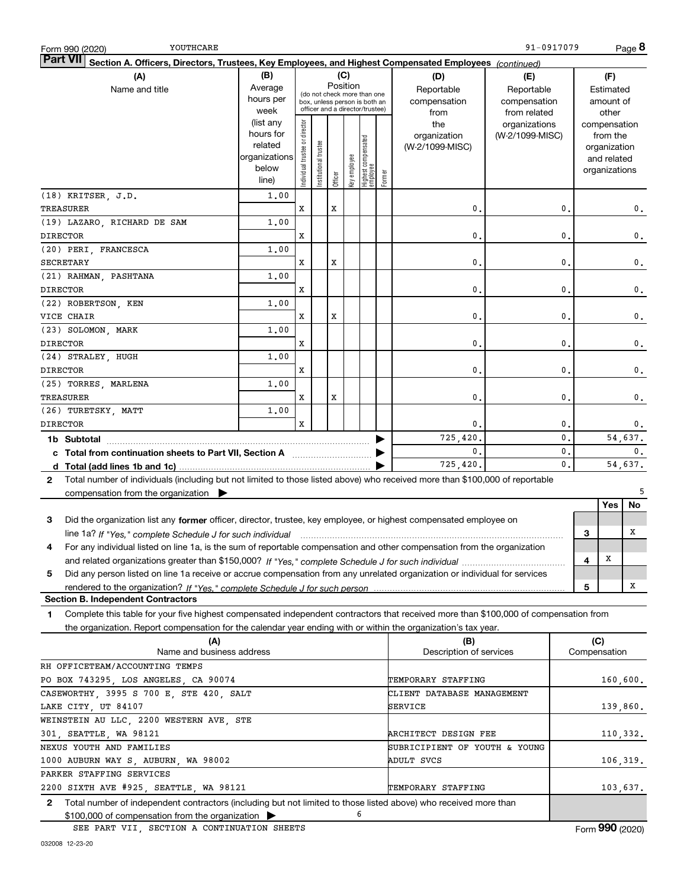| YOUTHCARE<br>Form 990 (2020)                                                                                                              |               |                               |                 |          |              |                                                              |        |                               | 91-0917079      |                |   |               | Page 8   |
|-------------------------------------------------------------------------------------------------------------------------------------------|---------------|-------------------------------|-----------------|----------|--------------|--------------------------------------------------------------|--------|-------------------------------|-----------------|----------------|---|---------------|----------|
| <b>Part VII</b><br>Section A. Officers, Directors, Trustees, Key Employees, and Highest Compensated Employees (continued)                 |               |                               |                 |          |              |                                                              |        |                               |                 |                |   |               |          |
| (A)                                                                                                                                       | (B)           |                               |                 |          | (C)          |                                                              |        | (D)                           | (E)             |                |   | (F)           |          |
| Name and title                                                                                                                            | Average       |                               |                 | Position |              |                                                              |        | Reportable                    | Reportable      |                |   | Estimated     |          |
|                                                                                                                                           | hours per     |                               |                 |          |              | (do not check more than one<br>box, unless person is both an |        | compensation                  | compensation    |                |   | amount of     |          |
|                                                                                                                                           | week          |                               |                 |          |              | officer and a director/trustee)                              |        | from                          | from related    |                |   | other         |          |
|                                                                                                                                           | (list any     |                               |                 |          |              |                                                              |        | the                           | organizations   |                |   | compensation  |          |
|                                                                                                                                           | hours for     |                               |                 |          |              |                                                              |        | organization                  | (W-2/1099-MISC) |                |   | from the      |          |
|                                                                                                                                           | related       |                               | trustee         |          |              |                                                              |        | (W-2/1099-MISC)               |                 |                |   | organization  |          |
|                                                                                                                                           | organizations |                               |                 |          |              |                                                              |        |                               |                 |                |   | and related   |          |
|                                                                                                                                           | below         | ndividual trustee or director | Institutional t | Officer  | key employee | Highest compensated<br>employee                              | Former |                               |                 |                |   | organizations |          |
|                                                                                                                                           | line)         |                               |                 |          |              |                                                              |        |                               |                 |                |   |               |          |
| (18) KRITSER, J.D.                                                                                                                        | 1,00          |                               |                 |          |              |                                                              |        |                               |                 |                |   |               |          |
| TREASURER                                                                                                                                 |               | X                             |                 | х        |              |                                                              |        | 0.                            |                 | 0              |   |               | 0.       |
| (19) LAZARO, RICHARD DE SAM                                                                                                               | 1,00          |                               |                 |          |              |                                                              |        |                               |                 |                |   |               |          |
| <b>DIRECTOR</b>                                                                                                                           |               | X                             |                 |          |              |                                                              |        | 0.                            |                 | 0              |   |               | 0.       |
| (20) PERI, FRANCESCA                                                                                                                      | 1,00          |                               |                 |          |              |                                                              |        |                               |                 |                |   |               |          |
| SECRETARY                                                                                                                                 |               | X                             |                 | х        |              |                                                              |        | 0.                            |                 | 0              |   |               | 0.       |
| (21) RAHMAN, PASHTANA                                                                                                                     | 1,00          |                               |                 |          |              |                                                              |        |                               |                 |                |   |               |          |
| <b>DIRECTOR</b>                                                                                                                           |               | X                             |                 |          |              |                                                              |        | 0.                            |                 | 0              |   |               | 0.       |
|                                                                                                                                           |               |                               |                 |          |              |                                                              |        |                               |                 |                |   |               |          |
| (22) ROBERTSON, KEN                                                                                                                       | 1,00          |                               |                 |          |              |                                                              |        |                               |                 |                |   |               |          |
| VICE CHAIR                                                                                                                                |               | X                             |                 | X        |              |                                                              |        | 0.                            |                 | 0              |   |               | 0.       |
| (23) SOLOMON, MARK                                                                                                                        | 1,00          |                               |                 |          |              |                                                              |        |                               |                 |                |   |               |          |
| <b>DIRECTOR</b>                                                                                                                           |               | X                             |                 |          |              |                                                              |        | 0.                            |                 | 0              |   |               | 0.       |
| (24) STRALEY, HUGH                                                                                                                        | 1,00          |                               |                 |          |              |                                                              |        |                               |                 |                |   |               |          |
| <b>DIRECTOR</b>                                                                                                                           |               | X                             |                 |          |              |                                                              |        | 0.                            |                 | 0              |   |               | 0.       |
| (25) TORRES, MARLENA                                                                                                                      | 1,00          |                               |                 |          |              |                                                              |        |                               |                 |                |   |               |          |
| TREASURER                                                                                                                                 |               | X                             |                 | х        |              |                                                              |        | 0.                            |                 | 0              |   |               | 0.       |
| (26) TURETSKY, MATT                                                                                                                       | 1,00          |                               |                 |          |              |                                                              |        |                               |                 |                |   |               |          |
| <b>DIRECTOR</b>                                                                                                                           |               | $\mathbf x$                   |                 |          |              |                                                              |        | 0.                            |                 | 0              |   |               | 0.       |
|                                                                                                                                           |               |                               |                 |          |              |                                                              |        | 725,420.                      |                 | $\mathbf{0}$   |   |               | 54,637.  |
| 1b Subtotal                                                                                                                               |               |                               |                 |          |              |                                                              |        |                               |                 |                |   |               |          |
| c Total from continuation sheets to Part VII, Section A                                                                                   |               |                               |                 |          |              |                                                              |        | 0.                            |                 | 0.             |   |               | 0.       |
|                                                                                                                                           |               |                               |                 |          |              |                                                              |        | 725,420.                      |                 | $\mathbf{0}$ . |   |               | 54,637.  |
| Total number of individuals (including but not limited to those listed above) who received more than \$100,000 of reportable<br>2         |               |                               |                 |          |              |                                                              |        |                               |                 |                |   |               |          |
| compensation from the organization $\blacktriangleright$                                                                                  |               |                               |                 |          |              |                                                              |        |                               |                 |                |   |               |          |
|                                                                                                                                           |               |                               |                 |          |              |                                                              |        |                               |                 |                |   | Yes           | No       |
| Did the organization list any former officer, director, trustee, key employee, or highest compensated employee on<br>з                    |               |                               |                 |          |              |                                                              |        |                               |                 |                |   |               |          |
| line 1a? If "Yes," complete Schedule J for such individual manufactured contained and the Ves," complete Schedule J for such individual   |               |                               |                 |          |              |                                                              |        |                               |                 |                | 3 |               | х        |
| For any individual listed on line 1a, is the sum of reportable compensation and other compensation from the organization<br>4             |               |                               |                 |          |              |                                                              |        |                               |                 |                |   |               |          |
|                                                                                                                                           |               |                               |                 |          |              |                                                              |        |                               |                 |                | 4 | Х             |          |
| Did any person listed on line 1a receive or accrue compensation from any unrelated organization or individual for services<br>5           |               |                               |                 |          |              |                                                              |        |                               |                 |                |   |               |          |
|                                                                                                                                           |               |                               |                 |          |              |                                                              |        |                               |                 |                |   |               | х        |
|                                                                                                                                           |               |                               |                 |          |              |                                                              |        |                               |                 |                | 5 |               |          |
| <b>Section B. Independent Contractors</b>                                                                                                 |               |                               |                 |          |              |                                                              |        |                               |                 |                |   |               |          |
| Complete this table for your five highest compensated independent contractors that received more than \$100,000 of compensation from<br>1 |               |                               |                 |          |              |                                                              |        |                               |                 |                |   |               |          |
| the organization. Report compensation for the calendar year ending with or within the organization's tax year.                            |               |                               |                 |          |              |                                                              |        |                               |                 |                |   |               |          |
| (A)                                                                                                                                       |               |                               |                 |          |              |                                                              |        | (B)                           |                 |                |   | (C)           |          |
| Name and business address                                                                                                                 |               |                               |                 |          |              |                                                              |        | Description of services       |                 |                |   | Compensation  |          |
| RH OFFICETEAM/ACCOUNTING TEMPS                                                                                                            |               |                               |                 |          |              |                                                              |        |                               |                 |                |   |               |          |
| PO BOX 743295, LOS ANGELES, CA 90074                                                                                                      |               |                               |                 |          |              |                                                              |        | TEMPORARY STAFFING            |                 |                |   |               | 160,600. |
| CASEWORTHY, 3995 S 700 E, STE 420, SALT                                                                                                   |               |                               |                 |          |              |                                                              |        | CLIENT DATABASE MANAGEMENT    |                 |                |   |               |          |
| LAKE CITY, UT 84107                                                                                                                       |               |                               |                 |          |              |                                                              |        | SERVICE                       |                 |                |   |               | 139,860. |
| WEINSTEIN AU LLC, 2200 WESTERN AVE, STE                                                                                                   |               |                               |                 |          |              |                                                              |        |                               |                 |                |   |               |          |
|                                                                                                                                           |               |                               |                 |          |              |                                                              |        |                               |                 |                |   |               |          |
| 301, SEATTLE, WA 98121                                                                                                                    |               |                               |                 |          |              |                                                              |        | ARCHITECT DESIGN FEE          |                 |                |   |               | 110,332. |
| NEXUS YOUTH AND FAMILIES                                                                                                                  |               |                               |                 |          |              |                                                              |        | SUBRICIPIENT OF YOUTH & YOUNG |                 |                |   |               |          |
| 1000 AUBURN WAY S, AUBURN, WA 98002                                                                                                       |               |                               |                 |          |              |                                                              |        | ADULT SVCS                    |                 |                |   |               | 106,319. |
| PARKER STAFFING SERVICES                                                                                                                  |               |                               |                 |          |              |                                                              |        |                               |                 |                |   |               |          |
| 2200 SIXTH AVE #925, SEATTLE, WA 98121                                                                                                    |               |                               |                 |          |              |                                                              |        | TEMPORARY STAFFING            |                 |                |   |               | 103,637. |
| Total number of independent contractors (including but not limited to those listed above) who received more than<br>$\mathbf{2}$          |               |                               |                 |          |              |                                                              |        |                               |                 |                |   |               |          |
| \$100,000 of compensation from the organization                                                                                           |               |                               |                 |          |              | 6                                                            |        |                               |                 |                |   |               |          |

SEE PART VII, SECTION A CONTINUATION SHEETS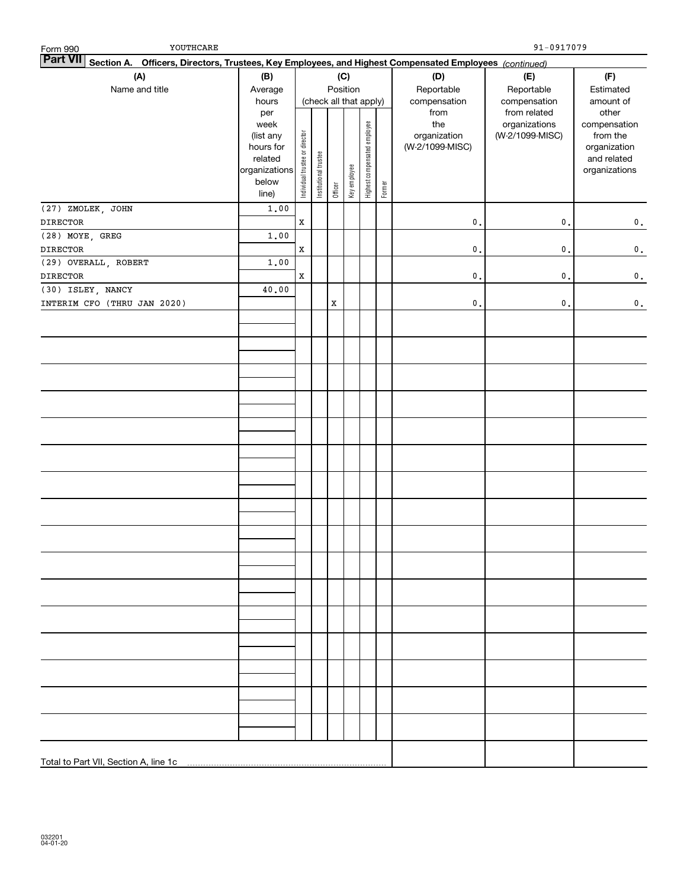| YOUTHCARE<br>Form 990                                                                                                     |                                                                              |                                |                       |             |                        |                              |        |                                        | 91-0917079                       |                                                                          |
|---------------------------------------------------------------------------------------------------------------------------|------------------------------------------------------------------------------|--------------------------------|-----------------------|-------------|------------------------|------------------------------|--------|----------------------------------------|----------------------------------|--------------------------------------------------------------------------|
| <b>Part VII</b><br>Section A. Officers, Directors, Trustees, Key Employees, and Highest Compensated Employees (continued) |                                                                              |                                |                       |             |                        |                              |        |                                        |                                  |                                                                          |
| (A)                                                                                                                       | (B)                                                                          |                                |                       |             |                        |                              |        | (D)                                    | (E)                              | (F)                                                                      |
| Name and title                                                                                                            | Average                                                                      |                                |                       |             | Position               |                              |        | Reportable                             | Reportable                       | Estimated                                                                |
|                                                                                                                           | hours<br>per                                                                 |                                |                       |             | (check all that apply) |                              |        | compensation<br>from                   | compensation<br>from related     | amount of<br>other                                                       |
|                                                                                                                           | week<br>(list any<br>hours for<br>related<br>organizations<br>below<br>line) | Individual trustee or director | Institutional trustee | Officer     | Key employee           | Highest compensated employee | Former | the<br>organization<br>(W-2/1099-MISC) | organizations<br>(W-2/1099-MISC) | compensation<br>from the<br>organization<br>and related<br>organizations |
| (27) ZMOLEK, JOHN                                                                                                         | 1,00                                                                         |                                |                       |             |                        |                              |        |                                        |                                  |                                                                          |
| DIRECTOR                                                                                                                  |                                                                              | $\mathbf X$                    |                       |             |                        |                              |        | $\mathbf 0$ .                          | $\mathfrak{o}$ .                 | $\mathbf 0$ .                                                            |
| (28) MOYE, GREG                                                                                                           | 1.00                                                                         |                                |                       |             |                        |                              |        |                                        |                                  |                                                                          |
| <b>DIRECTOR</b>                                                                                                           |                                                                              | $\mathbf X$                    |                       |             |                        |                              |        | $\mathbf{0}$ .                         | $\mathfrak{o}$ .                 | $\mathbf 0$ .                                                            |
| (29) OVERALL, ROBERT                                                                                                      | 1.00                                                                         |                                |                       |             |                        |                              |        |                                        |                                  |                                                                          |
| <b>DIRECTOR</b>                                                                                                           |                                                                              | $\mathbf X$                    |                       |             |                        |                              |        | $\mathbf{0}$ .                         | $\mathbf{0}$ .                   | $\mathbf 0$ .                                                            |
| (30) ISLEY, NANCY                                                                                                         | 40.00                                                                        |                                |                       |             |                        |                              |        |                                        |                                  |                                                                          |
| INTERIM CFO (THRU JAN 2020)                                                                                               |                                                                              |                                |                       | $\mathbf X$ |                        |                              |        | $\mathbf{0}$ .                         | $\mathfrak{o}$ .                 | $\mathbf 0$ .                                                            |
|                                                                                                                           |                                                                              |                                |                       |             |                        |                              |        |                                        |                                  |                                                                          |
|                                                                                                                           |                                                                              |                                |                       |             |                        |                              |        |                                        |                                  |                                                                          |
|                                                                                                                           |                                                                              |                                |                       |             |                        |                              |        |                                        |                                  |                                                                          |
|                                                                                                                           |                                                                              |                                |                       |             |                        |                              |        |                                        |                                  |                                                                          |
|                                                                                                                           |                                                                              |                                |                       |             |                        |                              |        |                                        |                                  |                                                                          |
|                                                                                                                           |                                                                              |                                |                       |             |                        |                              |        |                                        |                                  |                                                                          |
|                                                                                                                           |                                                                              |                                |                       |             |                        |                              |        |                                        |                                  |                                                                          |
|                                                                                                                           |                                                                              |                                |                       |             |                        |                              |        |                                        |                                  |                                                                          |
|                                                                                                                           |                                                                              |                                |                       |             |                        |                              |        |                                        |                                  |                                                                          |
|                                                                                                                           |                                                                              |                                |                       |             |                        |                              |        |                                        |                                  |                                                                          |
|                                                                                                                           |                                                                              |                                |                       |             |                        |                              |        |                                        |                                  |                                                                          |
|                                                                                                                           |                                                                              |                                |                       |             |                        |                              |        |                                        |                                  |                                                                          |
|                                                                                                                           |                                                                              |                                |                       |             |                        |                              |        |                                        |                                  |                                                                          |
|                                                                                                                           |                                                                              |                                |                       |             |                        |                              |        |                                        |                                  |                                                                          |
|                                                                                                                           |                                                                              |                                |                       |             |                        |                              |        |                                        |                                  |                                                                          |
|                                                                                                                           |                                                                              |                                |                       |             |                        |                              |        |                                        |                                  |                                                                          |
|                                                                                                                           |                                                                              |                                |                       |             |                        |                              |        |                                        |                                  |                                                                          |
|                                                                                                                           |                                                                              |                                |                       |             |                        |                              |        |                                        |                                  |                                                                          |
|                                                                                                                           |                                                                              |                                |                       |             |                        |                              |        |                                        |                                  |                                                                          |
|                                                                                                                           |                                                                              |                                |                       |             |                        |                              |        |                                        |                                  |                                                                          |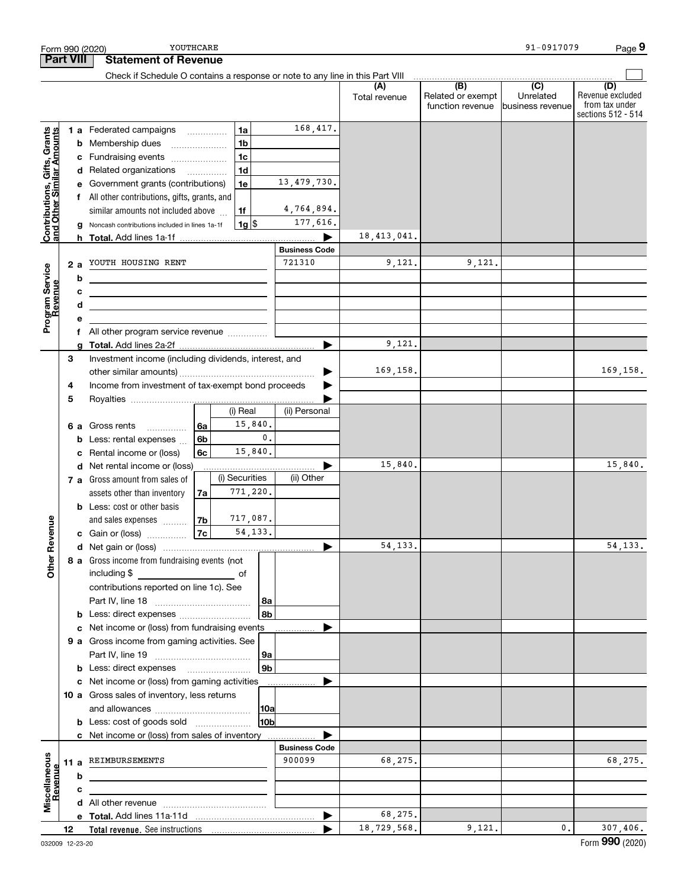|                                                            |                                   |                                               | YOUTHCARE<br>Form 990 (2020)                                                                                                                                                                                                                         |          |  |                      |                      |                      |                                       | 91-0917079                                      | Page 9                                                          |
|------------------------------------------------------------|-----------------------------------|-----------------------------------------------|------------------------------------------------------------------------------------------------------------------------------------------------------------------------------------------------------------------------------------------------------|----------|--|----------------------|----------------------|----------------------|---------------------------------------|-------------------------------------------------|-----------------------------------------------------------------|
|                                                            | <b>Part VIII</b>                  |                                               | <b>Statement of Revenue</b>                                                                                                                                                                                                                          |          |  |                      |                      |                      |                                       |                                                 |                                                                 |
|                                                            |                                   |                                               | Check if Schedule O contains a response or note to any line in this Part VIII                                                                                                                                                                        |          |  |                      |                      |                      | $\overline{(B)}$                      |                                                 |                                                                 |
|                                                            |                                   |                                               |                                                                                                                                                                                                                                                      |          |  |                      |                      | (A)<br>Total revenue | Related or exempt<br>function revenue | $\overline{C}$<br>Unrelated<br>business revenue | (D)<br>Revenue excluded<br>from tax under<br>sections 512 - 514 |
|                                                            |                                   |                                               | 1 a Federated campaigns                                                                                                                                                                                                                              |          |  | 1a                   | 168,417.             |                      |                                       |                                                 |                                                                 |
| Contributions, Gifts, Grants<br>Iand Other Similar Amounts |                                   |                                               | <b>b</b> Membership dues<br>$\ldots \ldots \ldots \ldots \ldots$                                                                                                                                                                                     |          |  | 1 <sub>b</sub>       |                      |                      |                                       |                                                 |                                                                 |
|                                                            |                                   |                                               | c Fundraising events                                                                                                                                                                                                                                 |          |  | 1 <sub>c</sub>       |                      |                      |                                       |                                                 |                                                                 |
|                                                            |                                   |                                               | d Related organizations                                                                                                                                                                                                                              |          |  | 1 <sub>d</sub>       |                      |                      |                                       |                                                 |                                                                 |
|                                                            |                                   |                                               | e Government grants (contributions)                                                                                                                                                                                                                  |          |  | 1e                   | 13, 479, 730.        |                      |                                       |                                                 |                                                                 |
|                                                            |                                   |                                               | f All other contributions, gifts, grants, and                                                                                                                                                                                                        |          |  |                      |                      |                      |                                       |                                                 |                                                                 |
|                                                            |                                   |                                               | similar amounts not included above                                                                                                                                                                                                                   |          |  | 1f                   | 4,764,894.           |                      |                                       |                                                 |                                                                 |
|                                                            |                                   |                                               | g Noncash contributions included in lines 1a-1f                                                                                                                                                                                                      |          |  | $1g$ \$              | 177,616.             |                      |                                       |                                                 |                                                                 |
|                                                            |                                   |                                               |                                                                                                                                                                                                                                                      |          |  |                      | <b>Business Code</b> | 18, 413, 041.        |                                       |                                                 |                                                                 |
|                                                            |                                   |                                               | 2 a YOUTH HOUSING RENT                                                                                                                                                                                                                               |          |  |                      | 721310               | 9,121.               | 9,121.                                |                                                 |                                                                 |
|                                                            |                                   | b                                             |                                                                                                                                                                                                                                                      |          |  |                      |                      |                      |                                       |                                                 |                                                                 |
|                                                            |                                   | c                                             | the control of the control of the control of the control of the control of the control of<br><u> 1980 - Andrea Andrew Maria (h. 1980).</u>                                                                                                           |          |  |                      |                      |                      |                                       |                                                 |                                                                 |
|                                                            |                                   | d                                             | <u> 1989 - Johann John Stein, markin sanadi shirta mashrida na shekara ta 1989 - An tsara tsara tsara tsara tsar</u>                                                                                                                                 |          |  |                      |                      |                      |                                       |                                                 |                                                                 |
| Program Service<br>Revenue                                 |                                   | е                                             |                                                                                                                                                                                                                                                      |          |  |                      |                      |                      |                                       |                                                 |                                                                 |
|                                                            |                                   |                                               | f All other program service revenue                                                                                                                                                                                                                  |          |  |                      |                      |                      |                                       |                                                 |                                                                 |
|                                                            |                                   |                                               |                                                                                                                                                                                                                                                      |          |  |                      |                      | 9,121.               |                                       |                                                 |                                                                 |
|                                                            | З                                 |                                               | Investment income (including dividends, interest, and                                                                                                                                                                                                |          |  |                      |                      |                      |                                       |                                                 |                                                                 |
|                                                            |                                   |                                               |                                                                                                                                                                                                                                                      |          |  |                      |                      | 169,158.             |                                       |                                                 | 169,158.                                                        |
|                                                            | 4<br>5                            |                                               | Income from investment of tax-exempt bond proceeds                                                                                                                                                                                                   |          |  |                      |                      |                      |                                       |                                                 |                                                                 |
|                                                            |                                   |                                               |                                                                                                                                                                                                                                                      |          |  | (i) Real             | (ii) Personal        |                      |                                       |                                                 |                                                                 |
|                                                            |                                   |                                               | 6 a Gross rents                                                                                                                                                                                                                                      | 6a       |  | 15,840.              |                      |                      |                                       |                                                 |                                                                 |
|                                                            |                                   |                                               | <b>b</b> Less: rental expenses                                                                                                                                                                                                                       | 6b       |  | $\mathbf{0}$ .       |                      |                      |                                       |                                                 |                                                                 |
|                                                            |                                   |                                               | c Rental income or (loss)                                                                                                                                                                                                                            | 6c       |  | 15,840.              |                      |                      |                                       |                                                 |                                                                 |
|                                                            |                                   |                                               | d Net rental income or (loss)                                                                                                                                                                                                                        |          |  |                      |                      | 15,840.              |                                       |                                                 | 15,840.                                                         |
|                                                            |                                   |                                               | 7 a Gross amount from sales of                                                                                                                                                                                                                       |          |  | (i) Securities       | (ii) Other           |                      |                                       |                                                 |                                                                 |
|                                                            | assets other than inventory<br>7a |                                               | 771,220.                                                                                                                                                                                                                                             |          |  |                      |                      |                      |                                       |                                                 |                                                                 |
|                                                            |                                   |                                               | <b>b</b> Less: cost or other basis                                                                                                                                                                                                                   |          |  |                      |                      |                      |                                       |                                                 |                                                                 |
| wenue                                                      |                                   |                                               | and sales expenses                                                                                                                                                                                                                                   | 7b<br>7c |  | 717,087.<br>54, 133. |                      |                      |                                       |                                                 |                                                                 |
|                                                            |                                   |                                               | c Gain or (loss)                                                                                                                                                                                                                                     |          |  |                      |                      | 54, 133.             |                                       |                                                 | 54, 133.                                                        |
| Other R                                                    |                                   |                                               | 8 a Gross income from fundraising events (not                                                                                                                                                                                                        |          |  |                      |                      |                      |                                       |                                                 |                                                                 |
|                                                            |                                   |                                               | including \$<br><u>na mga mga sangangang sa mga sangang sa mga sangang sa mga sangang sa mga sangang sa mga sangang sa mga sangang sa mga sangang sa mga sangang sa mga sangang sa mga sangang sa mga sangang sa mga sangang sa mga sangang sa m</u> |          |  |                      |                      |                      |                                       |                                                 |                                                                 |
|                                                            |                                   |                                               | contributions reported on line 1c). See                                                                                                                                                                                                              |          |  |                      |                      |                      |                                       |                                                 |                                                                 |
|                                                            |                                   |                                               |                                                                                                                                                                                                                                                      |          |  |                      |                      |                      |                                       |                                                 |                                                                 |
|                                                            |                                   |                                               | <b>b</b> Less: direct expenses <i></i>                                                                                                                                                                                                               |          |  | l 8b                 |                      |                      |                                       |                                                 |                                                                 |
|                                                            |                                   |                                               | c Net income or (loss) from fundraising events                                                                                                                                                                                                       |          |  |                      |                      |                      |                                       |                                                 |                                                                 |
|                                                            |                                   |                                               | 9 a Gross income from gaming activities. See                                                                                                                                                                                                         |          |  | 9а                   |                      |                      |                                       |                                                 |                                                                 |
|                                                            |                                   |                                               |                                                                                                                                                                                                                                                      |          |  | 9b                   |                      |                      |                                       |                                                 |                                                                 |
|                                                            |                                   | c Net income or (loss) from gaming activities |                                                                                                                                                                                                                                                      |          |  |                      |                      |                      |                                       |                                                 |                                                                 |
|                                                            |                                   |                                               | 10 a Gross sales of inventory, less returns                                                                                                                                                                                                          |          |  |                      |                      |                      |                                       |                                                 |                                                                 |
|                                                            |                                   |                                               |                                                                                                                                                                                                                                                      |          |  | 10a                  |                      |                      |                                       |                                                 |                                                                 |
|                                                            |                                   |                                               | <b>b</b> Less: cost of goods sold                                                                                                                                                                                                                    |          |  | 10b                  |                      |                      |                                       |                                                 |                                                                 |
|                                                            |                                   |                                               | <b>c</b> Net income or (loss) from sales of inventory                                                                                                                                                                                                |          |  |                      |                      |                      |                                       |                                                 |                                                                 |
|                                                            |                                   |                                               |                                                                                                                                                                                                                                                      |          |  |                      | <b>Business Code</b> |                      |                                       |                                                 |                                                                 |
| Miscellaneous<br>Revenue                                   |                                   |                                               | 11 a REIMBURSEMENTS                                                                                                                                                                                                                                  |          |  |                      | 900099               | 68,275.              |                                       |                                                 | 68,275.                                                         |
|                                                            |                                   | b                                             |                                                                                                                                                                                                                                                      |          |  |                      |                      |                      |                                       |                                                 |                                                                 |
|                                                            |                                   | c                                             |                                                                                                                                                                                                                                                      |          |  |                      |                      |                      |                                       |                                                 |                                                                 |
|                                                            |                                   |                                               |                                                                                                                                                                                                                                                      |          |  |                      |                      | 68,275.              |                                       |                                                 |                                                                 |
|                                                            | 12                                |                                               |                                                                                                                                                                                                                                                      |          |  |                      |                      | 18,729,568.          | 9,121.                                | 0.                                              | 307,406.                                                        |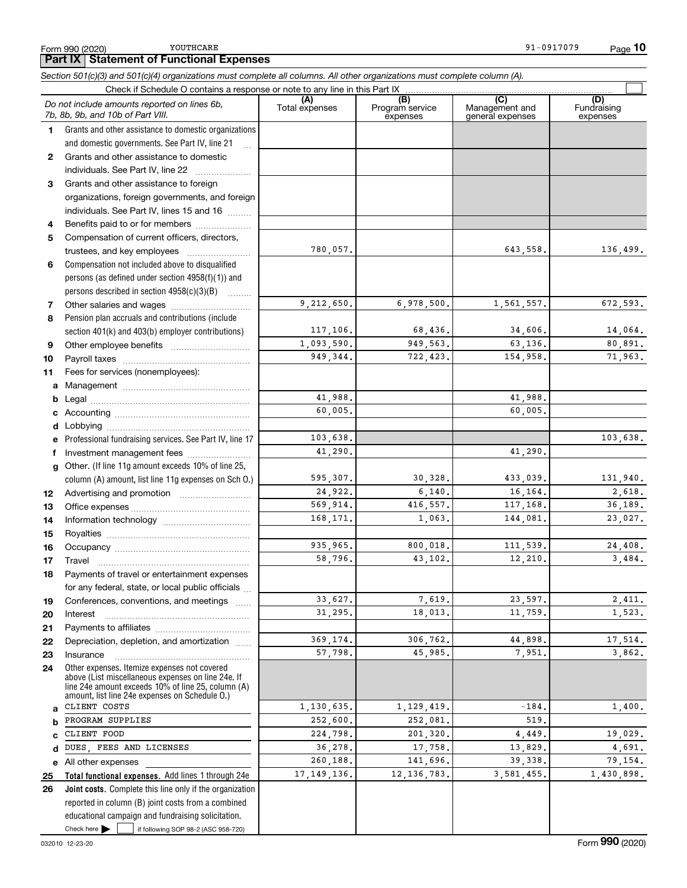252,600. 224,798. 36,278. 260,188. 17,149,136.

*Section 501(c)(3) and 501(c)(4) organizations must complete all columns. All other organizations must complete column (A).*

Check if Schedule O contains a response or note to any line in this Part IX (C) (C) (C) (C) (C) (C)

Fundraising expenses

**10**

 $\mathcal{L}^{\text{max}}$ 

103,638.

**(B) (C) (D)**

252,081. 519.

201,320. 4,449. 19,029. 17,758. 13,829. 4,691. 141,696. 39,338. 79,154. 12,136,783. 3,581,455. 1,430,898.

**bcde2526**

All other expenses

PROGRAM SUPPLIES CLIENT FOOD

DUES, FEES AND LICENSES

Check here  $\blacktriangleright$ 

Check here  $\bullet$  if following SOP 98-2 (ASC 958-720)

reported in column (B) joint costs from a combined educational campaign and fundraising solicitation.

**Total functional expenses.**  Add lines 1 through 24e **Joint costs.** Complete this line only if the organization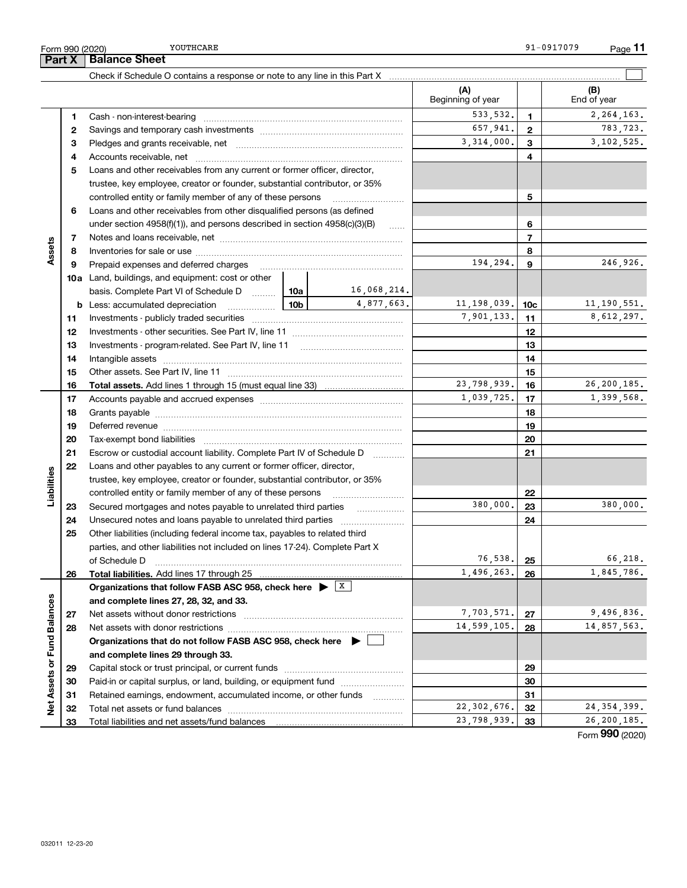|                             | Part X   | <b>Balance Sheet</b>                                                                                                                                                                                                           |            |              |                           |                 |                             |
|-----------------------------|----------|--------------------------------------------------------------------------------------------------------------------------------------------------------------------------------------------------------------------------------|------------|--------------|---------------------------|-----------------|-----------------------------|
|                             |          |                                                                                                                                                                                                                                |            |              |                           |                 |                             |
|                             |          |                                                                                                                                                                                                                                |            |              | (A)<br>Beginning of year  |                 | (B)<br>End of year          |
|                             | 1        |                                                                                                                                                                                                                                | 533, 532.  | 1            | 2,264,163.                |                 |                             |
|                             | 2        |                                                                                                                                                                                                                                | 657,941.   | $\mathbf{2}$ | 783,723.                  |                 |                             |
|                             | з        |                                                                                                                                                                                                                                |            |              | 3,314,000.                | 3               | 3, 102, 525.                |
|                             | 4        |                                                                                                                                                                                                                                |            |              |                           | 4               |                             |
|                             | 5        | Loans and other receivables from any current or former officer, director,                                                                                                                                                      |            |              |                           |                 |                             |
|                             |          | trustee, key employee, creator or founder, substantial contributor, or 35%                                                                                                                                                     |            |              |                           |                 |                             |
|                             |          | controlled entity or family member of any of these persons                                                                                                                                                                     |            |              |                           | 5               |                             |
|                             | 6        | Loans and other receivables from other disqualified persons (as defined                                                                                                                                                        |            |              |                           |                 |                             |
|                             |          | under section $4958(f)(1)$ , and persons described in section $4958(c)(3)(B)$                                                                                                                                                  |            | $\ldots$     |                           | 6               |                             |
|                             | 7        |                                                                                                                                                                                                                                |            |              |                           | $\overline{7}$  |                             |
| Assets                      | 8        |                                                                                                                                                                                                                                |            |              |                           | 8               |                             |
|                             | 9        | Prepaid expenses and deferred charges                                                                                                                                                                                          |            |              | 194,294.                  | 9               | 246,926.                    |
|                             |          | <b>10a</b> Land, buildings, and equipment: cost or other                                                                                                                                                                       |            |              |                           |                 |                             |
|                             |          | basis. Complete Part VI of Schedule D  10a                                                                                                                                                                                     |            | 16,068,214.  |                           |                 |                             |
|                             | b        | <u> 10b</u><br>Less: accumulated depreciation                                                                                                                                                                                  |            | 4,877,663.   | 11, 198, 039.             | 10 <sub>c</sub> | 11, 190, 551.               |
|                             | 11       |                                                                                                                                                                                                                                |            |              | 7,901,133.                | 11              | 8,612,297.                  |
|                             | 12       |                                                                                                                                                                                                                                |            |              |                           | 12              |                             |
|                             | 13       |                                                                                                                                                                                                                                |            |              |                           | 13              |                             |
|                             | 14       |                                                                                                                                                                                                                                |            | 14           |                           |                 |                             |
|                             | 15       |                                                                                                                                                                                                                                |            | 15           |                           |                 |                             |
|                             | 16       |                                                                                                                                                                                                                                |            |              | 23,798,939.<br>1,039,725. | 16              | 26, 200, 185.<br>1,399,568. |
|                             | 17       |                                                                                                                                                                                                                                |            | 17           |                           |                 |                             |
|                             | 18<br>19 |                                                                                                                                                                                                                                |            | 18<br>19     |                           |                 |                             |
|                             | 20       | Deferred revenue manual contracts and contracts are all the contracts and contracts are contracted and contracts are contracted and contract are contracted and contract are contracted and contract are contracted and contra |            | 20           |                           |                 |                             |
|                             | 21       | Escrow or custodial account liability. Complete Part IV of Schedule D                                                                                                                                                          |            |              |                           | 21              |                             |
|                             | 22       | Loans and other payables to any current or former officer, director,                                                                                                                                                           |            | .            |                           |                 |                             |
| Liabilities                 |          | trustee, key employee, creator or founder, substantial contributor, or 35%                                                                                                                                                     |            |              |                           |                 |                             |
|                             |          | controlled entity or family member of any of these persons                                                                                                                                                                     |            |              |                           | 22              |                             |
|                             | 23       | Secured mortgages and notes payable to unrelated third parties                                                                                                                                                                 |            |              | 380,000.                  | 23              | 380,000.                    |
|                             | 24       | Unsecured notes and loans payable to unrelated third parties                                                                                                                                                                   |            |              |                           | 24              |                             |
|                             | 25       | Other liabilities (including federal income tax, payables to related third                                                                                                                                                     |            |              |                           |                 |                             |
|                             |          | parties, and other liabilities not included on lines 17-24). Complete Part X                                                                                                                                                   |            |              |                           |                 |                             |
|                             |          | of Schedule D                                                                                                                                                                                                                  |            | 76,538.      | <u>25</u>                 | 66,218.         |                             |
|                             | 26       | Total liabilities. Add lines 17 through 25                                                                                                                                                                                     | 1,496,263. | 26           | 1,845,786.                |                 |                             |
|                             |          | Organizations that follow FASB ASC 958, check here $\blacktriangleright$ $\boxed{X}$                                                                                                                                           |            |              |                           |                 |                             |
|                             |          | and complete lines 27, 28, 32, and 33.                                                                                                                                                                                         |            |              |                           |                 |                             |
|                             | 27       | Net assets without donor restrictions                                                                                                                                                                                          |            |              | 7,703,571.                | 27              | 9,496,836.                  |
|                             | 28       | Net assets with donor restrictions                                                                                                                                                                                             |            |              | 14,599,105.               | 28              | 14,857,563.                 |
|                             |          | Organizations that do not follow FASB ASC 958, check here $\blacktriangleright$                                                                                                                                                |            |              |                           |                 |                             |
| Net Assets or Fund Balances |          | and complete lines 29 through 33.                                                                                                                                                                                              |            |              |                           |                 |                             |
|                             | 29       |                                                                                                                                                                                                                                |            |              |                           | 29              |                             |
|                             | 30       | Paid-in or capital surplus, or land, building, or equipment fund                                                                                                                                                               |            |              |                           | 30              |                             |
|                             | 31       | Retained earnings, endowment, accumulated income, or other funds                                                                                                                                                               |            |              |                           | 31              |                             |
|                             | 32       | Total net assets or fund balances                                                                                                                                                                                              |            |              | 22, 302, 676.             | 32              | 24, 354, 399.               |
|                             | 33       | Total liabilities and net assets/fund balances                                                                                                                                                                                 |            |              | 23,798,939.               | 33              | 26, 200, 185.               |

**33** Total liabilities and net assets/fund balances

Form (2020) **990**

YOUTHCARE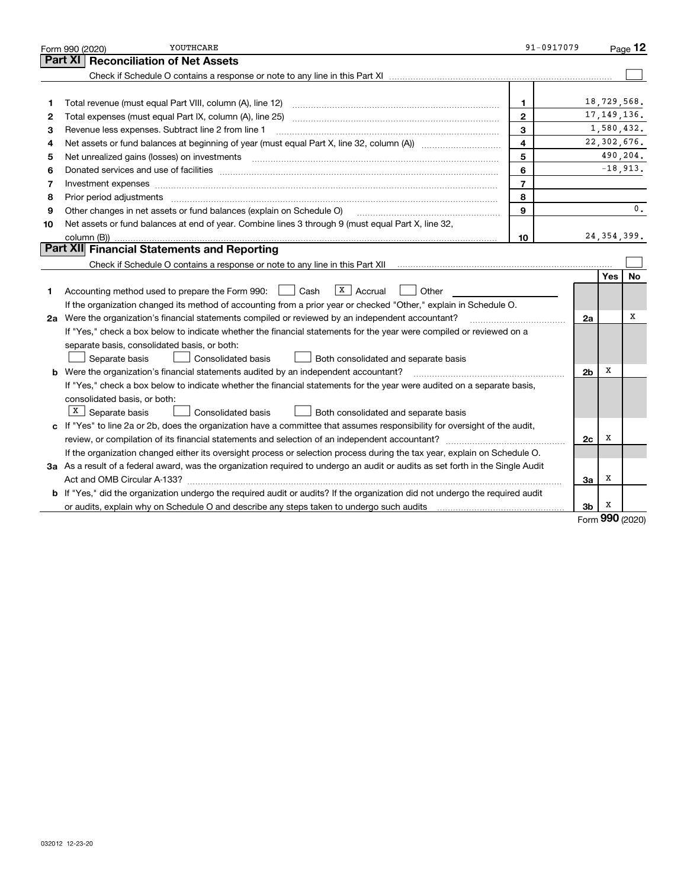|    | YOUTHCARE<br>Form 990 (2020)                                                                                                                                                                                                                                                                                                                                                                                                                                            | 91-0917079     |                |               | Page 12       |
|----|-------------------------------------------------------------------------------------------------------------------------------------------------------------------------------------------------------------------------------------------------------------------------------------------------------------------------------------------------------------------------------------------------------------------------------------------------------------------------|----------------|----------------|---------------|---------------|
|    | Part XI<br><b>Reconciliation of Net Assets</b>                                                                                                                                                                                                                                                                                                                                                                                                                          |                |                |               |               |
|    |                                                                                                                                                                                                                                                                                                                                                                                                                                                                         |                |                |               |               |
|    |                                                                                                                                                                                                                                                                                                                                                                                                                                                                         |                |                |               |               |
| 1  | Total revenue (must equal Part VIII, column (A), line 12)                                                                                                                                                                                                                                                                                                                                                                                                               | 1              |                | 18,729,568.   |               |
| 2  |                                                                                                                                                                                                                                                                                                                                                                                                                                                                         | $\mathbf{2}$   |                | 17, 149, 136. |               |
| 3  | Revenue less expenses. Subtract line 2 from line 1                                                                                                                                                                                                                                                                                                                                                                                                                      | 3              |                | 1,580,432.    |               |
| 4  |                                                                                                                                                                                                                                                                                                                                                                                                                                                                         | 4              |                |               | 22, 302, 676. |
| 5  | Net unrealized gains (losses) on investments [11] matter continuum matter is a set of the set of the set of the                                                                                                                                                                                                                                                                                                                                                         | 5              |                |               | 490,204.      |
| 6  |                                                                                                                                                                                                                                                                                                                                                                                                                                                                         | 6              |                |               | $-18,913.$    |
| 7  | Investment expenses www.communication.com/www.communication.com/www.communication.com/www.com                                                                                                                                                                                                                                                                                                                                                                           | $\overline{7}$ |                |               |               |
| 8  | Prior period adjustments<br>$\begin{minipage}{0.5\textwidth} \begin{tabular}{ l l l } \hline \multicolumn{1}{ l l l } \hline \multicolumn{1}{ l l } \multicolumn{1}{ l } \multicolumn{1}{ l } \multicolumn{1}{ l } \multicolumn{1}{ l } \multicolumn{1}{ l } \multicolumn{1}{ l } \multicolumn{1}{ l } \multicolumn{1}{ l } \multicolumn{1}{ l } \multicolumn{1}{ l } \multicolumn{1}{ l } \multicolumn{1}{ l } \multicolumn{1}{ l } \multicolumn{1}{ l } \multicolumn$ | 8              |                |               |               |
| 9  | Other changes in net assets or fund balances (explain on Schedule O)                                                                                                                                                                                                                                                                                                                                                                                                    | 9              |                |               | 0.            |
| 10 | Net assets or fund balances at end of year. Combine lines 3 through 9 (must equal Part X, line 32,                                                                                                                                                                                                                                                                                                                                                                      |                |                |               |               |
|    |                                                                                                                                                                                                                                                                                                                                                                                                                                                                         | 10             |                | 24, 354, 399. |               |
|    | Part XII Financial Statements and Reporting                                                                                                                                                                                                                                                                                                                                                                                                                             |                |                |               |               |
|    |                                                                                                                                                                                                                                                                                                                                                                                                                                                                         |                |                |               |               |
|    |                                                                                                                                                                                                                                                                                                                                                                                                                                                                         |                |                | <b>Yes</b>    | No            |
| 1  | $X \vert$ Accrual<br>Accounting method used to prepare the Form 990: <u>June</u> Cash<br>Other                                                                                                                                                                                                                                                                                                                                                                          |                |                |               |               |
|    | If the organization changed its method of accounting from a prior year or checked "Other," explain in Schedule O.                                                                                                                                                                                                                                                                                                                                                       |                |                |               |               |
|    | 2a Were the organization's financial statements compiled or reviewed by an independent accountant?                                                                                                                                                                                                                                                                                                                                                                      |                | 2a             |               | х             |
|    | If "Yes," check a box below to indicate whether the financial statements for the year were compiled or reviewed on a                                                                                                                                                                                                                                                                                                                                                    |                |                |               |               |
|    | separate basis, consolidated basis, or both:                                                                                                                                                                                                                                                                                                                                                                                                                            |                |                |               |               |
|    | Separate basis<br><b>Consolidated basis</b><br>Both consolidated and separate basis                                                                                                                                                                                                                                                                                                                                                                                     |                |                |               |               |
|    | b Were the organization's financial statements audited by an independent accountant?                                                                                                                                                                                                                                                                                                                                                                                    |                | 2 <sub>b</sub> | х             |               |
|    | If "Yes," check a box below to indicate whether the financial statements for the year were audited on a separate basis,                                                                                                                                                                                                                                                                                                                                                 |                |                |               |               |
|    | consolidated basis, or both:                                                                                                                                                                                                                                                                                                                                                                                                                                            |                |                |               |               |
|    | $X$ Separate basis<br>Consolidated basis<br>Both consolidated and separate basis                                                                                                                                                                                                                                                                                                                                                                                        |                |                |               |               |
|    | c If "Yes" to line 2a or 2b, does the organization have a committee that assumes responsibility for oversight of the audit,                                                                                                                                                                                                                                                                                                                                             |                |                |               |               |
|    |                                                                                                                                                                                                                                                                                                                                                                                                                                                                         |                | 2c             | х             |               |
|    | If the organization changed either its oversight process or selection process during the tax year, explain on Schedule O.                                                                                                                                                                                                                                                                                                                                               |                |                |               |               |
|    | 3a As a result of a federal award, was the organization required to undergo an audit or audits as set forth in the Single Audit                                                                                                                                                                                                                                                                                                                                         |                |                |               |               |
|    |                                                                                                                                                                                                                                                                                                                                                                                                                                                                         |                | Зa             | х             |               |
|    | b If "Yes," did the organization undergo the required audit or audits? If the organization did not undergo the required audit                                                                                                                                                                                                                                                                                                                                           |                |                |               |               |
|    |                                                                                                                                                                                                                                                                                                                                                                                                                                                                         |                | 3b             | X             |               |

Form (2020) **990**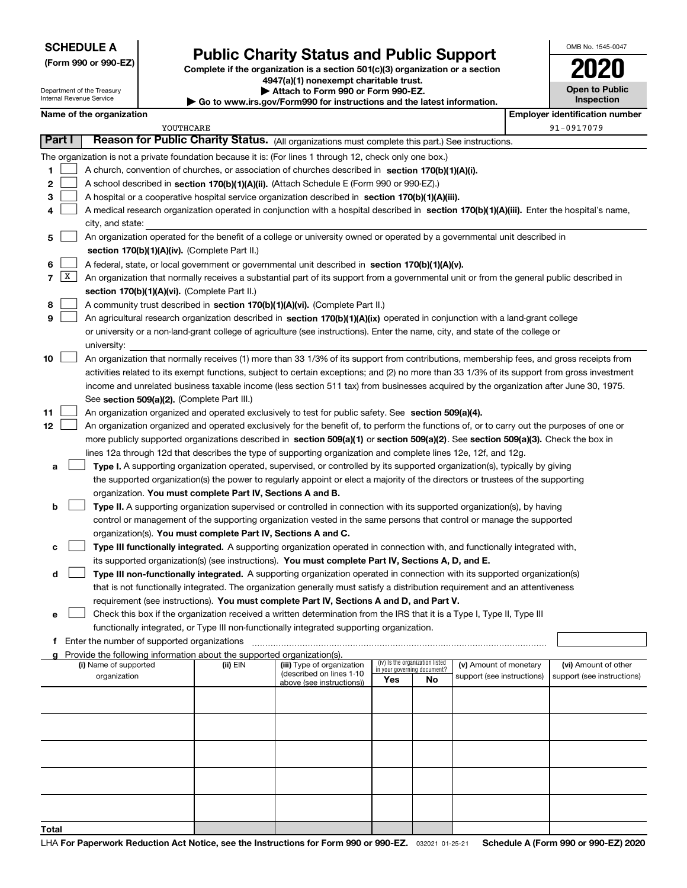|--|

Department of the Treasury Internal Revenue Service

**(Form 990 or 990-EZ)**

# **Public Charity Status and Public Support**

**Complete if the organization is a section 501(c)(3) organization or a section 4947(a)(1) nonexempt charitable trust. | Attach to Form 990 or Form 990-EZ.** 

| Go to www.irs.gov/Form990 for instructions and the latest information. |  |
|------------------------------------------------------------------------|--|

| OMB No. 1545-0047                   |
|-------------------------------------|
| 112                                 |
| <b>Open to Public</b><br>Inspection |

|       |        |                                                                                                                                                                                                                                               |          | $\cdot$ Go to www.irs.gov/Form990 for instructions and the latest information. |                             |                                 |                            |  |                                                     |  |  |
|-------|--------|-----------------------------------------------------------------------------------------------------------------------------------------------------------------------------------------------------------------------------------------------|----------|--------------------------------------------------------------------------------|-----------------------------|---------------------------------|----------------------------|--|-----------------------------------------------------|--|--|
|       |        | Name of the organization<br>YOUTHCARE                                                                                                                                                                                                         |          |                                                                                |                             |                                 |                            |  | <b>Employer identification number</b><br>91-0917079 |  |  |
|       | Part I | Reason for Public Charity Status. (All organizations must complete this part.) See instructions.                                                                                                                                              |          |                                                                                |                             |                                 |                            |  |                                                     |  |  |
|       |        | The organization is not a private foundation because it is: (For lines 1 through 12, check only one box.)                                                                                                                                     |          |                                                                                |                             |                                 |                            |  |                                                     |  |  |
| 1     |        | A church, convention of churches, or association of churches described in section 170(b)(1)(A)(i).                                                                                                                                            |          |                                                                                |                             |                                 |                            |  |                                                     |  |  |
| 2     |        | A school described in section 170(b)(1)(A)(ii). (Attach Schedule E (Form 990 or 990-EZ).)                                                                                                                                                     |          |                                                                                |                             |                                 |                            |  |                                                     |  |  |
| 3     |        | A hospital or a cooperative hospital service organization described in section 170(b)(1)(A)(iii).                                                                                                                                             |          |                                                                                |                             |                                 |                            |  |                                                     |  |  |
| 4     |        | A medical research organization operated in conjunction with a hospital described in section 170(b)(1)(A)(iii). Enter the hospital's name,                                                                                                    |          |                                                                                |                             |                                 |                            |  |                                                     |  |  |
|       |        | city, and state:                                                                                                                                                                                                                              |          |                                                                                |                             |                                 |                            |  |                                                     |  |  |
| 5.    |        | An organization operated for the benefit of a college or university owned or operated by a governmental unit described in                                                                                                                     |          |                                                                                |                             |                                 |                            |  |                                                     |  |  |
|       |        | section 170(b)(1)(A)(iv). (Complete Part II.)                                                                                                                                                                                                 |          |                                                                                |                             |                                 |                            |  |                                                     |  |  |
|       |        |                                                                                                                                                                                                                                               |          |                                                                                |                             |                                 |                            |  |                                                     |  |  |
| 6     | X      | A federal, state, or local government or governmental unit described in section 170(b)(1)(A)(v).<br>An organization that normally receives a substantial part of its support from a governmental unit or from the general public described in |          |                                                                                |                             |                                 |                            |  |                                                     |  |  |
| 7     |        |                                                                                                                                                                                                                                               |          |                                                                                |                             |                                 |                            |  |                                                     |  |  |
|       |        | section 170(b)(1)(A)(vi). (Complete Part II.)                                                                                                                                                                                                 |          |                                                                                |                             |                                 |                            |  |                                                     |  |  |
| 8     |        | A community trust described in section 170(b)(1)(A)(vi). (Complete Part II.)                                                                                                                                                                  |          |                                                                                |                             |                                 |                            |  |                                                     |  |  |
| 9     |        | An agricultural research organization described in section 170(b)(1)(A)(ix) operated in conjunction with a land-grant college                                                                                                                 |          |                                                                                |                             |                                 |                            |  |                                                     |  |  |
|       |        | or university or a non-land-grant college of agriculture (see instructions). Enter the name, city, and state of the college or                                                                                                                |          |                                                                                |                             |                                 |                            |  |                                                     |  |  |
|       |        | university:                                                                                                                                                                                                                                   |          |                                                                                |                             |                                 |                            |  |                                                     |  |  |
| 10    |        | An organization that normally receives (1) more than 33 1/3% of its support from contributions, membership fees, and gross receipts from                                                                                                      |          |                                                                                |                             |                                 |                            |  |                                                     |  |  |
|       |        | activities related to its exempt functions, subject to certain exceptions; and (2) no more than 33 1/3% of its support from gross investment                                                                                                  |          |                                                                                |                             |                                 |                            |  |                                                     |  |  |
|       |        | income and unrelated business taxable income (less section 511 tax) from businesses acquired by the organization after June 30, 1975.                                                                                                         |          |                                                                                |                             |                                 |                            |  |                                                     |  |  |
|       |        | See section 509(a)(2). (Complete Part III.)                                                                                                                                                                                                   |          |                                                                                |                             |                                 |                            |  |                                                     |  |  |
| 11    |        | An organization organized and operated exclusively to test for public safety. See section 509(a)(4).                                                                                                                                          |          |                                                                                |                             |                                 |                            |  |                                                     |  |  |
| 12    |        | An organization organized and operated exclusively for the benefit of, to perform the functions of, or to carry out the purposes of one or                                                                                                    |          |                                                                                |                             |                                 |                            |  |                                                     |  |  |
|       |        | more publicly supported organizations described in section 509(a)(1) or section 509(a)(2). See section 509(a)(3). Check the box in                                                                                                            |          |                                                                                |                             |                                 |                            |  |                                                     |  |  |
|       |        | lines 12a through 12d that describes the type of supporting organization and complete lines 12e, 12f, and 12g.                                                                                                                                |          |                                                                                |                             |                                 |                            |  |                                                     |  |  |
| а     |        | Type I. A supporting organization operated, supervised, or controlled by its supported organization(s), typically by giving                                                                                                                   |          |                                                                                |                             |                                 |                            |  |                                                     |  |  |
|       |        | the supported organization(s) the power to regularly appoint or elect a majority of the directors or trustees of the supporting                                                                                                               |          |                                                                                |                             |                                 |                            |  |                                                     |  |  |
|       |        | organization. You must complete Part IV, Sections A and B.                                                                                                                                                                                    |          |                                                                                |                             |                                 |                            |  |                                                     |  |  |
| b     |        | Type II. A supporting organization supervised or controlled in connection with its supported organization(s), by having                                                                                                                       |          |                                                                                |                             |                                 |                            |  |                                                     |  |  |
|       |        | control or management of the supporting organization vested in the same persons that control or manage the supported                                                                                                                          |          |                                                                                |                             |                                 |                            |  |                                                     |  |  |
|       |        | organization(s). You must complete Part IV, Sections A and C.                                                                                                                                                                                 |          |                                                                                |                             |                                 |                            |  |                                                     |  |  |
| с     |        | Type III functionally integrated. A supporting organization operated in connection with, and functionally integrated with,                                                                                                                    |          |                                                                                |                             |                                 |                            |  |                                                     |  |  |
|       |        | its supported organization(s) (see instructions). You must complete Part IV, Sections A, D, and E.                                                                                                                                            |          |                                                                                |                             |                                 |                            |  |                                                     |  |  |
| d     |        | Type III non-functionally integrated. A supporting organization operated in connection with its supported organization(s)                                                                                                                     |          |                                                                                |                             |                                 |                            |  |                                                     |  |  |
|       |        | that is not functionally integrated. The organization generally must satisfy a distribution requirement and an attentiveness                                                                                                                  |          |                                                                                |                             |                                 |                            |  |                                                     |  |  |
|       |        | requirement (see instructions). You must complete Part IV, Sections A and D, and Part V.                                                                                                                                                      |          |                                                                                |                             |                                 |                            |  |                                                     |  |  |
| е     |        | Check this box if the organization received a written determination from the IRS that it is a Type I, Type II, Type III                                                                                                                       |          |                                                                                |                             |                                 |                            |  |                                                     |  |  |
|       |        | functionally integrated, or Type III non-functionally integrated supporting organization.                                                                                                                                                     |          |                                                                                |                             |                                 |                            |  |                                                     |  |  |
|       |        | Enter the number of supported organizations                                                                                                                                                                                                   |          |                                                                                |                             |                                 |                            |  |                                                     |  |  |
|       |        | Provide the following information about the supported organization(s).<br>(i) Name of supported                                                                                                                                               | (ii) EIN | (iii) Type of organization                                                     |                             | (iv) Is the organization listed | (v) Amount of monetary     |  | (vi) Amount of other                                |  |  |
|       |        | organization                                                                                                                                                                                                                                  |          | (described on lines 1-10                                                       | in your governing document? |                                 | support (see instructions) |  | support (see instructions)                          |  |  |
|       |        |                                                                                                                                                                                                                                               |          | above (see instructions))                                                      | Yes                         | No                              |                            |  |                                                     |  |  |
|       |        |                                                                                                                                                                                                                                               |          |                                                                                |                             |                                 |                            |  |                                                     |  |  |
|       |        |                                                                                                                                                                                                                                               |          |                                                                                |                             |                                 |                            |  |                                                     |  |  |
|       |        |                                                                                                                                                                                                                                               |          |                                                                                |                             |                                 |                            |  |                                                     |  |  |
|       |        |                                                                                                                                                                                                                                               |          |                                                                                |                             |                                 |                            |  |                                                     |  |  |
|       |        |                                                                                                                                                                                                                                               |          |                                                                                |                             |                                 |                            |  |                                                     |  |  |
|       |        |                                                                                                                                                                                                                                               |          |                                                                                |                             |                                 |                            |  |                                                     |  |  |
|       |        |                                                                                                                                                                                                                                               |          |                                                                                |                             |                                 |                            |  |                                                     |  |  |
|       |        |                                                                                                                                                                                                                                               |          |                                                                                |                             |                                 |                            |  |                                                     |  |  |
|       |        |                                                                                                                                                                                                                                               |          |                                                                                |                             |                                 |                            |  |                                                     |  |  |
|       |        |                                                                                                                                                                                                                                               |          |                                                                                |                             |                                 |                            |  |                                                     |  |  |
| Total |        |                                                                                                                                                                                                                                               |          |                                                                                |                             |                                 |                            |  |                                                     |  |  |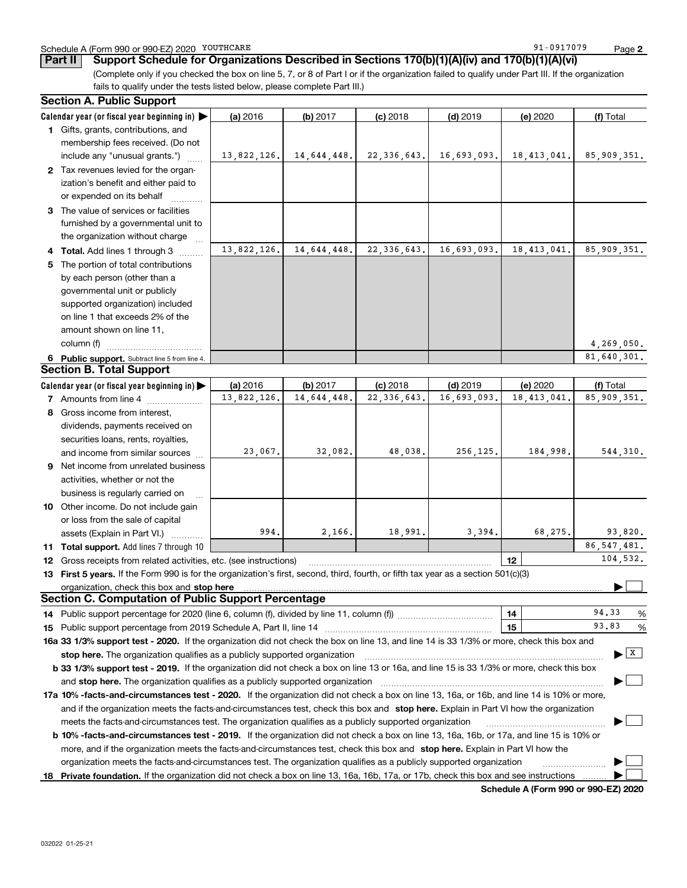### Schedule A (Form 990 or 990-EZ) 2020 Page YOUTHCARE

91-0917079

**2**

(Complete only if you checked the box on line 5, 7, or 8 of Part I or if the organization failed to qualify under Part III. If the organization fails to qualify under the tests listed below, please complete Part III.) **Part II Support Schedule for Organizations Described in Sections 170(b)(1)(A)(iv) and 170(b)(1)(A)(vi)**

| <b>Section A. Public Support</b>                                                                                                                                                                                                                                                    |                         |                         |                             |                          |                           |                          |  |  |
|-------------------------------------------------------------------------------------------------------------------------------------------------------------------------------------------------------------------------------------------------------------------------------------|-------------------------|-------------------------|-----------------------------|--------------------------|---------------------------|--------------------------|--|--|
| Calendar year (or fiscal year beginning in) $\blacktriangleright$                                                                                                                                                                                                                   | (a) 2016                |                         |                             | $(d)$ 2019               |                           |                          |  |  |
| 1 Gifts, grants, contributions, and                                                                                                                                                                                                                                                 |                         | (b) 2017                | $(c)$ 2018                  |                          | (e) 2020                  | (f) Total                |  |  |
| membership fees received. (Do not                                                                                                                                                                                                                                                   |                         |                         |                             |                          |                           |                          |  |  |
| include any "unusual grants.")                                                                                                                                                                                                                                                      | 13,822,126.             | 14,644,448.             | 22, 336, 643.               | 16,693,093.              | 18, 413, 041.             | 85,909,351.              |  |  |
| 2 Tax revenues levied for the organ-                                                                                                                                                                                                                                                |                         |                         |                             |                          |                           |                          |  |  |
| ization's benefit and either paid to                                                                                                                                                                                                                                                |                         |                         |                             |                          |                           |                          |  |  |
| or expended on its behalf                                                                                                                                                                                                                                                           |                         |                         |                             |                          |                           |                          |  |  |
| 3 The value of services or facilities                                                                                                                                                                                                                                               |                         |                         |                             |                          |                           |                          |  |  |
| furnished by a governmental unit to                                                                                                                                                                                                                                                 |                         |                         |                             |                          |                           |                          |  |  |
| the organization without charge                                                                                                                                                                                                                                                     |                         |                         |                             |                          |                           |                          |  |  |
| 4 Total. Add lines 1 through 3                                                                                                                                                                                                                                                      | 13,822,126.             | 14,644,448.             | 22, 336, 643.               | 16,693,093.              | 18, 413, 041.             | 85,909,351.              |  |  |
| 5 The portion of total contributions                                                                                                                                                                                                                                                |                         |                         |                             |                          |                           |                          |  |  |
| by each person (other than a                                                                                                                                                                                                                                                        |                         |                         |                             |                          |                           |                          |  |  |
| governmental unit or publicly                                                                                                                                                                                                                                                       |                         |                         |                             |                          |                           |                          |  |  |
| supported organization) included                                                                                                                                                                                                                                                    |                         |                         |                             |                          |                           |                          |  |  |
| on line 1 that exceeds 2% of the                                                                                                                                                                                                                                                    |                         |                         |                             |                          |                           |                          |  |  |
| amount shown on line 11,                                                                                                                                                                                                                                                            |                         |                         |                             |                          |                           |                          |  |  |
| column (f)                                                                                                                                                                                                                                                                          |                         |                         |                             |                          |                           | 4,269,050.               |  |  |
| 6 Public support. Subtract line 5 from line 4.<br><b>Section B. Total Support</b>                                                                                                                                                                                                   |                         |                         |                             |                          |                           | 81,640,301.              |  |  |
|                                                                                                                                                                                                                                                                                     |                         |                         |                             |                          |                           |                          |  |  |
| Calendar year (or fiscal year beginning in) $\blacktriangleright$                                                                                                                                                                                                                   | (a) 2016<br>13,822,126. | (b) 2017<br>14,644,448. | $(c)$ 2018<br>22, 336, 643. | $(d)$ 2019<br>16,693,093 | (e) 2020<br>18, 413, 041. | (f) Total<br>85,909,351. |  |  |
| 7 Amounts from line 4<br>8 Gross income from interest,                                                                                                                                                                                                                              |                         |                         |                             |                          |                           |                          |  |  |
|                                                                                                                                                                                                                                                                                     |                         |                         |                             |                          |                           |                          |  |  |
| dividends, payments received on<br>securities loans, rents, royalties,                                                                                                                                                                                                              |                         |                         |                             |                          |                           |                          |  |  |
| and income from similar sources                                                                                                                                                                                                                                                     | 23,067.                 | 32,082.                 | 48,038.                     | 256,125.                 | 184,998.                  | 544,310.                 |  |  |
| <b>9</b> Net income from unrelated business                                                                                                                                                                                                                                         |                         |                         |                             |                          |                           |                          |  |  |
| activities, whether or not the                                                                                                                                                                                                                                                      |                         |                         |                             |                          |                           |                          |  |  |
| business is regularly carried on                                                                                                                                                                                                                                                    |                         |                         |                             |                          |                           |                          |  |  |
| 10 Other income. Do not include gain                                                                                                                                                                                                                                                |                         |                         |                             |                          |                           |                          |  |  |
| or loss from the sale of capital                                                                                                                                                                                                                                                    |                         |                         |                             |                          |                           |                          |  |  |
| assets (Explain in Part VI.)                                                                                                                                                                                                                                                        | 994.                    | 2,166.                  | 18,991.                     | 3,394.                   | 68,275.                   | 93,820.                  |  |  |
| 11 Total support. Add lines 7 through 10                                                                                                                                                                                                                                            |                         |                         |                             |                          |                           | 86, 547, 481.            |  |  |
| 12 Gross receipts from related activities, etc. (see instructions)                                                                                                                                                                                                                  |                         |                         |                             |                          | 12                        | 104,532.                 |  |  |
| 13 First 5 years. If the Form 990 is for the organization's first, second, third, fourth, or fifth tax year as a section 501(c)(3)                                                                                                                                                  |                         |                         |                             |                          |                           |                          |  |  |
| organization, check this box and stop here                                                                                                                                                                                                                                          |                         |                         |                             |                          |                           |                          |  |  |
| Section C. Computation of Public Support Percentage                                                                                                                                                                                                                                 |                         |                         |                             |                          |                           |                          |  |  |
|                                                                                                                                                                                                                                                                                     |                         |                         |                             |                          | 14                        | 94.33<br>%               |  |  |
|                                                                                                                                                                                                                                                                                     |                         |                         |                             |                          | 15                        | 93.83<br>%               |  |  |
| 16a 33 1/3% support test - 2020. If the organization did not check the box on line 13, and line 14 is 33 1/3% or more, check this box and                                                                                                                                           |                         |                         |                             |                          |                           |                          |  |  |
| $\blacktriangleright$ $\mid$ X $\mid$<br>stop here. The organization qualifies as a publicly supported organization<br><b>b 33 1/3% support test - 2019.</b> If the organization did not check a box on line 13 or 16a, and line 15 is 33 1/3% or more, check this box              |                         |                         |                             |                          |                           |                          |  |  |
|                                                                                                                                                                                                                                                                                     |                         |                         |                             |                          |                           |                          |  |  |
|                                                                                                                                                                                                                                                                                     |                         |                         |                             |                          |                           |                          |  |  |
| 17a 10% -facts-and-circumstances test - 2020. If the organization did not check a box on line 13, 16a, or 16b, and line 14 is 10% or more,<br>and if the organization meets the facts-and-circumstances test, check this box and stop here. Explain in Part VI how the organization |                         |                         |                             |                          |                           |                          |  |  |
| meets the facts-and-circumstances test. The organization qualifies as a publicly supported organization                                                                                                                                                                             |                         |                         |                             |                          |                           |                          |  |  |
| <b>b 10% -facts-and-circumstances test - 2019.</b> If the organization did not check a box on line 13, 16a, 16b, or 17a, and line 15 is 10% or                                                                                                                                      |                         |                         |                             |                          |                           |                          |  |  |
| more, and if the organization meets the facts-and-circumstances test, check this box and stop here. Explain in Part VI how the                                                                                                                                                      |                         |                         |                             |                          |                           |                          |  |  |
| organization meets the facts-and-circumstances test. The organization qualifies as a publicly supported organization                                                                                                                                                                |                         |                         |                             |                          |                           |                          |  |  |
| 18 Private foundation. If the organization did not check a box on line 13, 16a, 16b, 17a, or 17b, check this box and see instructions                                                                                                                                               |                         |                         |                             |                          |                           |                          |  |  |

**Schedule A (Form 990 or 990-EZ) 2020**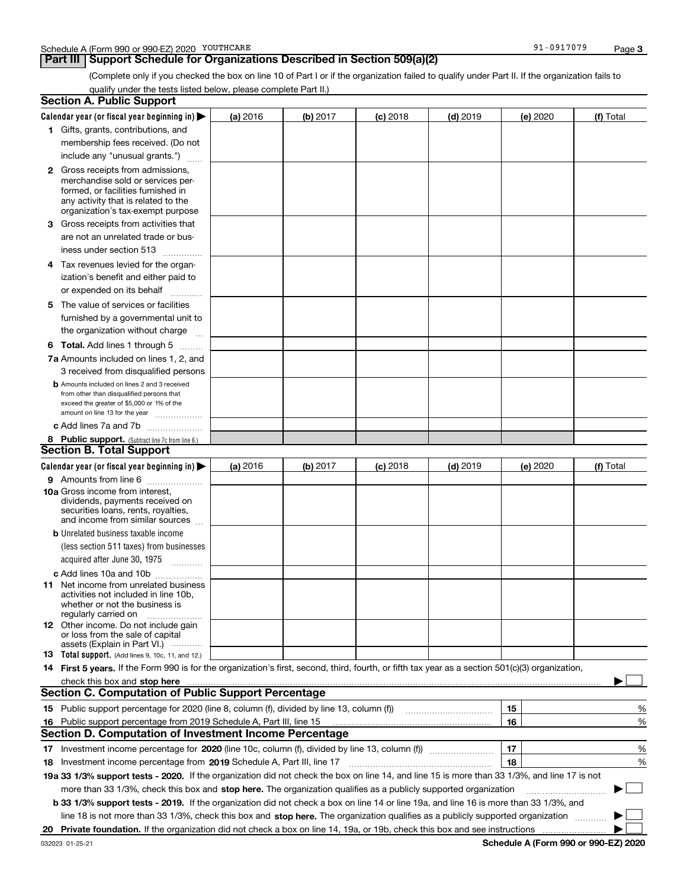# **Part III | Support Schedule for Organizations Described in Section 509(a)(2)**

(Complete only if you checked the box on line 10 of Part I or if the organization failed to qualify under Part II. If the organization fails to qualify under the tests listed below, please complete Part II.)

| <b>Section A. Public Support</b>                                                                                                                 |          |          |                 |                                                      |    |          |           |        |
|--------------------------------------------------------------------------------------------------------------------------------------------------|----------|----------|-----------------|------------------------------------------------------|----|----------|-----------|--------|
| Calendar year (or fiscal year beginning in) $\blacktriangleright$                                                                                | (a) 2016 | (b) 2017 | <b>(c)</b> 2018 | $(d)$ 2019                                           |    | (e) 2020 | (f) Total |        |
| 1 Gifts, grants, contributions, and                                                                                                              |          |          |                 |                                                      |    |          |           |        |
| membership fees received. (Do not                                                                                                                |          |          |                 |                                                      |    |          |           |        |
| include any "unusual grants.")                                                                                                                   |          |          |                 |                                                      |    |          |           |        |
| <b>2</b> Gross receipts from admissions,                                                                                                         |          |          |                 |                                                      |    |          |           |        |
| merchandise sold or services per-                                                                                                                |          |          |                 |                                                      |    |          |           |        |
| formed, or facilities furnished in                                                                                                               |          |          |                 |                                                      |    |          |           |        |
| any activity that is related to the<br>organization's tax-exempt purpose                                                                         |          |          |                 |                                                      |    |          |           |        |
| 3 Gross receipts from activities that                                                                                                            |          |          |                 |                                                      |    |          |           |        |
| are not an unrelated trade or bus-                                                                                                               |          |          |                 |                                                      |    |          |           |        |
| iness under section 513                                                                                                                          |          |          |                 |                                                      |    |          |           |        |
|                                                                                                                                                  |          |          |                 |                                                      |    |          |           |        |
| 4 Tax revenues levied for the organ-                                                                                                             |          |          |                 |                                                      |    |          |           |        |
| ization's benefit and either paid to                                                                                                             |          |          |                 |                                                      |    |          |           |        |
| or expended on its behalf<br>.                                                                                                                   |          |          |                 |                                                      |    |          |           |        |
| 5 The value of services or facilities                                                                                                            |          |          |                 |                                                      |    |          |           |        |
| furnished by a governmental unit to                                                                                                              |          |          |                 |                                                      |    |          |           |        |
| the organization without charge                                                                                                                  |          |          |                 |                                                      |    |          |           |        |
| <b>6 Total.</b> Add lines 1 through 5                                                                                                            |          |          |                 |                                                      |    |          |           |        |
| 7a Amounts included on lines 1, 2, and                                                                                                           |          |          |                 |                                                      |    |          |           |        |
| 3 received from disqualified persons                                                                                                             |          |          |                 |                                                      |    |          |           |        |
| <b>b</b> Amounts included on lines 2 and 3 received                                                                                              |          |          |                 |                                                      |    |          |           |        |
| from other than disqualified persons that<br>exceed the greater of \$5,000 or 1% of the                                                          |          |          |                 |                                                      |    |          |           |        |
| amount on line 13 for the year                                                                                                                   |          |          |                 |                                                      |    |          |           |        |
| c Add lines 7a and 7b                                                                                                                            |          |          |                 |                                                      |    |          |           |        |
| 8 Public support. (Subtract line 7c from line 6.)                                                                                                |          |          |                 |                                                      |    |          |           |        |
| <b>Section B. Total Support</b>                                                                                                                  |          |          |                 |                                                      |    |          |           |        |
| Calendar year (or fiscal year beginning in) $\blacktriangleright$                                                                                | (a) 2016 | (b) 2017 | $(c)$ 2018      | $(d)$ 2019                                           |    | (e) 2020 | (f) Total |        |
| 9 Amounts from line 6                                                                                                                            |          |          |                 |                                                      |    |          |           |        |
| 10a Gross income from interest,                                                                                                                  |          |          |                 |                                                      |    |          |           |        |
| dividends, payments received on<br>securities loans, rents, royalties,                                                                           |          |          |                 |                                                      |    |          |           |        |
| and income from similar sources                                                                                                                  |          |          |                 |                                                      |    |          |           |        |
| <b>b</b> Unrelated business taxable income                                                                                                       |          |          |                 |                                                      |    |          |           |        |
| (less section 511 taxes) from businesses                                                                                                         |          |          |                 |                                                      |    |          |           |        |
| acquired after June 30, 1975                                                                                                                     |          |          |                 |                                                      |    |          |           |        |
| c Add lines 10a and 10b                                                                                                                          |          |          |                 |                                                      |    |          |           |        |
| 11 Net income from unrelated business                                                                                                            |          |          |                 |                                                      |    |          |           |        |
| activities not included in line 10b.                                                                                                             |          |          |                 |                                                      |    |          |           |        |
| whether or not the business is                                                                                                                   |          |          |                 |                                                      |    |          |           |        |
| regularly carried on<br>12 Other income. Do not include gain                                                                                     |          |          |                 |                                                      |    |          |           |        |
| or loss from the sale of capital                                                                                                                 |          |          |                 |                                                      |    |          |           |        |
| assets (Explain in Part VI.)                                                                                                                     |          |          |                 |                                                      |    |          |           |        |
| <b>13</b> Total support. (Add lines 9, 10c, 11, and 12.)                                                                                         |          |          |                 |                                                      |    |          |           |        |
| 14 First 5 years. If the Form 990 is for the organization's first, second, third, fourth, or fifth tax year as a section 501(c)(3) organization, |          |          |                 |                                                      |    |          |           |        |
| check this box and stop here measurements are constructed as the state of the state of the state and stop here                                   |          |          |                 |                                                      |    |          |           |        |
| <b>Section C. Computation of Public Support Percentage</b>                                                                                       |          |          |                 |                                                      |    |          |           |        |
| 15 Public support percentage for 2020 (line 8, column (f), divided by line 13, column (f))                                                       |          |          |                 | <u> 1986 - Johann Stoff, Amerikaansk politiker (</u> | 15 |          |           | %      |
| 16 Public support percentage from 2019 Schedule A, Part III, line 15                                                                             |          |          |                 |                                                      | 16 |          |           | %      |
| Section D. Computation of Investment Income Percentage                                                                                           |          |          |                 |                                                      |    |          |           |        |
|                                                                                                                                                  |          |          |                 |                                                      | 17 |          |           | %      |
| <b>18</b> Investment income percentage from <b>2019</b> Schedule A, Part III, line 17                                                            |          |          |                 |                                                      | 18 |          |           | %      |
| 19a 33 1/3% support tests - 2020. If the organization did not check the box on line 14, and line 15 is more than 33 1/3%, and line 17 is not     |          |          |                 |                                                      |    |          |           |        |
| more than 33 1/3%, check this box and stop here. The organization qualifies as a publicly supported organization                                 |          |          |                 |                                                      |    |          | ▶         | $\sim$ |
| b 33 1/3% support tests - 2019. If the organization did not check a box on line 14 or line 19a, and line 16 is more than 33 1/3%, and            |          |          |                 |                                                      |    |          |           |        |
| line 18 is not more than 33 1/3%, check this box and stop here. The organization qualifies as a publicly supported organization                  |          |          |                 |                                                      |    |          |           |        |
|                                                                                                                                                  |          |          |                 |                                                      |    |          |           |        |

**Schedule A (Form 990 or 990-EZ) 2020**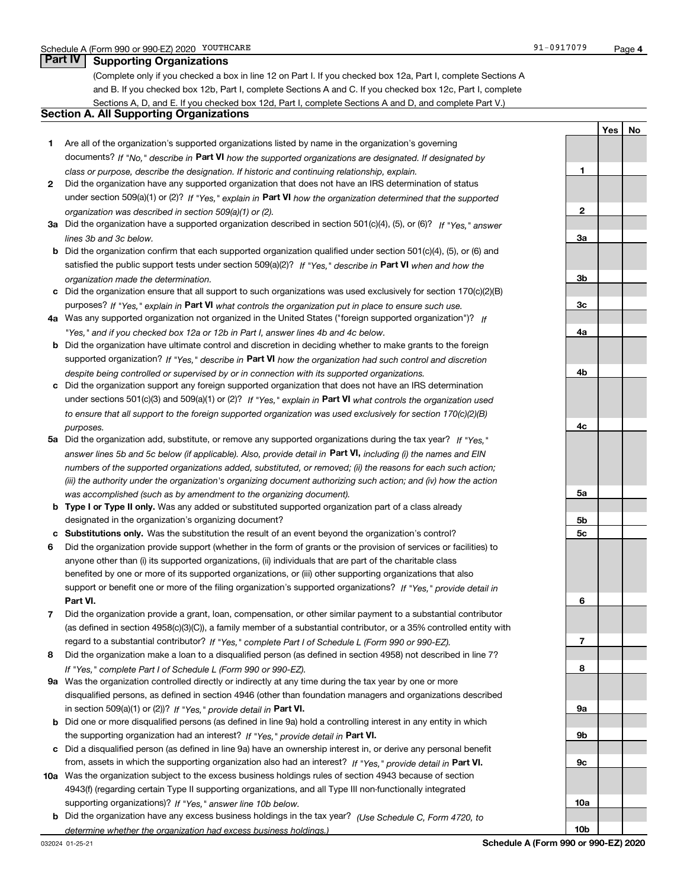**1**

**2**

**3a**

**3b**

**3c**

**4a**

**4b**

**4c**

**5a**

**5b5c**

**6**

**7**

**8**

**9a**

**9b**

**9c**

**10a**

**10b**

**YesNo**

# **Part IV Supporting Organizations**

(Complete only if you checked a box in line 12 on Part I. If you checked box 12a, Part I, complete Sections A and B. If you checked box 12b, Part I, complete Sections A and C. If you checked box 12c, Part I, complete Sections A, D, and E. If you checked box 12d, Part I, complete Sections A and D, and complete Part V.)

## **Section A. All Supporting Organizations**

- **1** Are all of the organization's supported organizations listed by name in the organization's governing documents? If "No," describe in **Part VI** how the supported organizations are designated. If designated by *class or purpose, describe the designation. If historic and continuing relationship, explain.*
- **2** Did the organization have any supported organization that does not have an IRS determination of status under section 509(a)(1) or (2)? If "Yes," explain in Part VI how the organization determined that the supported *organization was described in section 509(a)(1) or (2).*
- **3a** Did the organization have a supported organization described in section 501(c)(4), (5), or (6)? If "Yes," answer *lines 3b and 3c below.*
- **b** Did the organization confirm that each supported organization qualified under section 501(c)(4), (5), or (6) and satisfied the public support tests under section 509(a)(2)? If "Yes," describe in **Part VI** when and how the *organization made the determination.*
- **c**Did the organization ensure that all support to such organizations was used exclusively for section 170(c)(2)(B) purposes? If "Yes," explain in **Part VI** what controls the organization put in place to ensure such use.
- **4a***If* Was any supported organization not organized in the United States ("foreign supported organization")? *"Yes," and if you checked box 12a or 12b in Part I, answer lines 4b and 4c below.*
- **b** Did the organization have ultimate control and discretion in deciding whether to make grants to the foreign supported organization? If "Yes," describe in **Part VI** how the organization had such control and discretion *despite being controlled or supervised by or in connection with its supported organizations.*
- **c** Did the organization support any foreign supported organization that does not have an IRS determination under sections 501(c)(3) and 509(a)(1) or (2)? If "Yes," explain in **Part VI** what controls the organization used *to ensure that all support to the foreign supported organization was used exclusively for section 170(c)(2)(B) purposes.*
- **5a***If "Yes,"* Did the organization add, substitute, or remove any supported organizations during the tax year? answer lines 5b and 5c below (if applicable). Also, provide detail in **Part VI,** including (i) the names and EIN *numbers of the supported organizations added, substituted, or removed; (ii) the reasons for each such action; (iii) the authority under the organization's organizing document authorizing such action; and (iv) how the action was accomplished (such as by amendment to the organizing document).*
- **b** Type I or Type II only. Was any added or substituted supported organization part of a class already designated in the organization's organizing document?
- **cSubstitutions only.**  Was the substitution the result of an event beyond the organization's control?
- **6** Did the organization provide support (whether in the form of grants or the provision of services or facilities) to **Part VI.** *If "Yes," provide detail in* support or benefit one or more of the filing organization's supported organizations? anyone other than (i) its supported organizations, (ii) individuals that are part of the charitable class benefited by one or more of its supported organizations, or (iii) other supporting organizations that also
- **7**Did the organization provide a grant, loan, compensation, or other similar payment to a substantial contributor *If "Yes," complete Part I of Schedule L (Form 990 or 990-EZ).* regard to a substantial contributor? (as defined in section 4958(c)(3)(C)), a family member of a substantial contributor, or a 35% controlled entity with
- **8** Did the organization make a loan to a disqualified person (as defined in section 4958) not described in line 7? *If "Yes," complete Part I of Schedule L (Form 990 or 990-EZ).*
- **9a** Was the organization controlled directly or indirectly at any time during the tax year by one or more in section 509(a)(1) or (2))? If "Yes," *provide detail in* <code>Part VI.</code> disqualified persons, as defined in section 4946 (other than foundation managers and organizations described
- **b** Did one or more disqualified persons (as defined in line 9a) hold a controlling interest in any entity in which the supporting organization had an interest? If "Yes," provide detail in P**art VI**.
- **c**Did a disqualified person (as defined in line 9a) have an ownership interest in, or derive any personal benefit from, assets in which the supporting organization also had an interest? If "Yes," provide detail in P**art VI.**
- **10a** Was the organization subject to the excess business holdings rules of section 4943 because of section supporting organizations)? If "Yes," answer line 10b below. 4943(f) (regarding certain Type II supporting organizations, and all Type III non-functionally integrated
- **b** Did the organization have any excess business holdings in the tax year? (Use Schedule C, Form 4720, to *determine whether the organization had excess business holdings.)*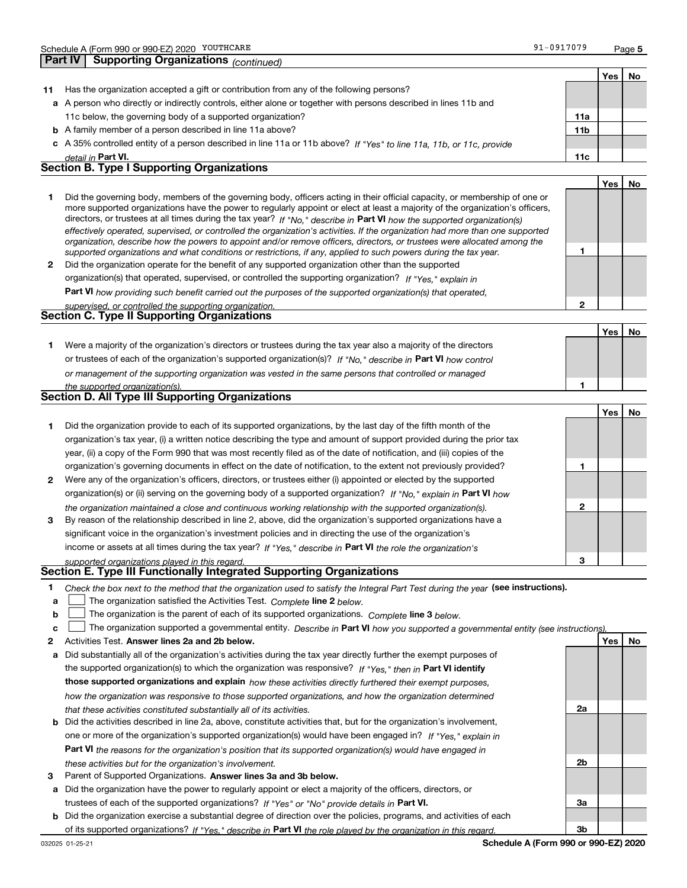|    | Schedule A (Form 990 or 990-EZ) 2020 YOUTHCARE                                                                                                                                                                                                                                                                                                                                                                                                                                                                                                                                                                                                       | 91-0917079      |            | Page 5    |
|----|------------------------------------------------------------------------------------------------------------------------------------------------------------------------------------------------------------------------------------------------------------------------------------------------------------------------------------------------------------------------------------------------------------------------------------------------------------------------------------------------------------------------------------------------------------------------------------------------------------------------------------------------------|-----------------|------------|-----------|
|    | <b>Supporting Organizations (continued)</b><br>Part IV                                                                                                                                                                                                                                                                                                                                                                                                                                                                                                                                                                                               |                 |            |           |
|    |                                                                                                                                                                                                                                                                                                                                                                                                                                                                                                                                                                                                                                                      |                 | <b>Yes</b> | No        |
| 11 | Has the organization accepted a gift or contribution from any of the following persons?                                                                                                                                                                                                                                                                                                                                                                                                                                                                                                                                                              |                 |            |           |
|    | a A person who directly or indirectly controls, either alone or together with persons described in lines 11b and                                                                                                                                                                                                                                                                                                                                                                                                                                                                                                                                     |                 |            |           |
|    | 11c below, the governing body of a supported organization?                                                                                                                                                                                                                                                                                                                                                                                                                                                                                                                                                                                           | 11a             |            |           |
|    | <b>b</b> A family member of a person described in line 11a above?                                                                                                                                                                                                                                                                                                                                                                                                                                                                                                                                                                                    | 11 <sub>b</sub> |            |           |
|    | c A 35% controlled entity of a person described in line 11a or 11b above? If "Yes" to line 11a, 11b, or 11c, provide                                                                                                                                                                                                                                                                                                                                                                                                                                                                                                                                 |                 |            |           |
|    | detail in Part VI.                                                                                                                                                                                                                                                                                                                                                                                                                                                                                                                                                                                                                                   | 11c             |            |           |
|    | <b>Section B. Type I Supporting Organizations</b>                                                                                                                                                                                                                                                                                                                                                                                                                                                                                                                                                                                                    |                 |            |           |
|    |                                                                                                                                                                                                                                                                                                                                                                                                                                                                                                                                                                                                                                                      |                 | <b>Yes</b> | <b>No</b> |
| 1  | Did the governing body, members of the governing body, officers acting in their official capacity, or membership of one or<br>more supported organizations have the power to regularly appoint or elect at least a majority of the organization's officers,<br>directors, or trustees at all times during the tax year? If "No," describe in Part VI how the supported organization(s)<br>effectively operated, supervised, or controlled the organization's activities. If the organization had more than one supported<br>organization, describe how the powers to appoint and/or remove officers, directors, or trustees were allocated among the |                 |            |           |
|    | supported organizations and what conditions or restrictions, if any, applied to such powers during the tax year.                                                                                                                                                                                                                                                                                                                                                                                                                                                                                                                                     | 1               |            |           |
| 2  | Did the organization operate for the benefit of any supported organization other than the supported                                                                                                                                                                                                                                                                                                                                                                                                                                                                                                                                                  |                 |            |           |
|    | organization(s) that operated, supervised, or controlled the supporting organization? If "Yes," explain in                                                                                                                                                                                                                                                                                                                                                                                                                                                                                                                                           |                 |            |           |
|    | Part VI how providing such benefit carried out the purposes of the supported organization(s) that operated,                                                                                                                                                                                                                                                                                                                                                                                                                                                                                                                                          |                 |            |           |
|    | supervised, or controlled the supporting organization.                                                                                                                                                                                                                                                                                                                                                                                                                                                                                                                                                                                               | $\mathbf{2}$    |            |           |
|    | Section C. Type II Supporting Organizations                                                                                                                                                                                                                                                                                                                                                                                                                                                                                                                                                                                                          |                 |            |           |
|    |                                                                                                                                                                                                                                                                                                                                                                                                                                                                                                                                                                                                                                                      |                 | <b>Yes</b> | <b>No</b> |
| 1  | Were a majority of the organization's directors or trustees during the tax year also a majority of the directors                                                                                                                                                                                                                                                                                                                                                                                                                                                                                                                                     |                 |            |           |
|    | or trustees of each of the organization's supported organization(s)? If "No," describe in Part VI how control                                                                                                                                                                                                                                                                                                                                                                                                                                                                                                                                        |                 |            |           |
|    | or management of the supporting organization was vested in the same persons that controlled or managed                                                                                                                                                                                                                                                                                                                                                                                                                                                                                                                                               |                 |            |           |
|    | the supported organization(s).                                                                                                                                                                                                                                                                                                                                                                                                                                                                                                                                                                                                                       | 1               |            |           |
|    | <b>Section D. All Type III Supporting Organizations</b>                                                                                                                                                                                                                                                                                                                                                                                                                                                                                                                                                                                              |                 |            |           |
|    |                                                                                                                                                                                                                                                                                                                                                                                                                                                                                                                                                                                                                                                      |                 | Yes        | No        |
| 1  | Did the organization provide to each of its supported organizations, by the last day of the fifth month of the                                                                                                                                                                                                                                                                                                                                                                                                                                                                                                                                       |                 |            |           |

|              | Did the organization provide to each of its supported organizations, by the last day of the fifth month of the         |   |  |
|--------------|------------------------------------------------------------------------------------------------------------------------|---|--|
|              | organization's tax year, (i) a written notice describing the type and amount of support provided during the prior tax  |   |  |
|              | year, (ii) a copy of the Form 990 that was most recently filed as of the date of notification, and (iii) copies of the |   |  |
|              | organization's governing documents in effect on the date of notification, to the extent not previously provided?       |   |  |
| $\mathbf{2}$ | Were any of the organization's officers, directors, or trustees either (i) appointed or elected by the supported       |   |  |
|              | organization(s) or (ii) serving on the governing body of a supported organization? If "No," explain in Part VI how     |   |  |
|              | the organization maintained a close and continuous working relationship with the supported organization(s).            | n |  |
| 3            | By reason of the relationship described in line 2, above, did the organization's supported organizations have a        |   |  |
|              | significant voice in the organization's investment policies and in directing the use of the organization's             |   |  |
|              | income or assets at all times during the tax year? If "Yes." describe in Part VI the role the organization's           |   |  |
|              | supported erganizations played in this regard.                                                                         | з |  |

#### *supported organizations played in this regard.* **Section E. Type III Functionally Integrated Supporting Organizations**

|  | Check the box next to the method that the organization used to satisfy the Integral Part Test during the year (see instructions). |  |  |  |
|--|-----------------------------------------------------------------------------------------------------------------------------------|--|--|--|
|--|-----------------------------------------------------------------------------------------------------------------------------------|--|--|--|

- **a**The organization satisfied the Activities Test. *Complete* line 2 below.  $\mathcal{L}^{\text{max}}$
- **b**The organization is the parent of each of its supported organizations. *Complete* line 3 *below.*  $\mathcal{L}^{\text{max}}$

|  |  | c $\Box$ The organization supported a governmental entity. Describe in Part VI how you supported a governmental entity (see instructions). |  |  |  |  |
|--|--|--------------------------------------------------------------------------------------------------------------------------------------------|--|--|--|--|
|--|--|--------------------------------------------------------------------------------------------------------------------------------------------|--|--|--|--|

- **2Answer lines 2a and 2b below. Yes No** Activities Test.
- **a** Did substantially all of the organization's activities during the tax year directly further the exempt purposes of the supported organization(s) to which the organization was responsive? If "Yes," then in **Part VI identify those supported organizations and explain**  *how these activities directly furthered their exempt purposes, how the organization was responsive to those supported organizations, and how the organization determined that these activities constituted substantially all of its activities.*
- **b** Did the activities described in line 2a, above, constitute activities that, but for the organization's involvement, **Part VI**  *the reasons for the organization's position that its supported organization(s) would have engaged in* one or more of the organization's supported organization(s) would have been engaged in? If "Yes," e*xplain in these activities but for the organization's involvement.*
- **3** Parent of Supported Organizations. Answer lines 3a and 3b below.
- **a** Did the organization have the power to regularly appoint or elect a majority of the officers, directors, or trustees of each of the supported organizations? If "Yes" or "No" provide details in **Part VI.**
- **b** Did the organization exercise a substantial degree of direction over the policies, programs, and activities of each of its supported organizations? If "Yes," describe in Part VI the role played by the organization in this regard.

**2a**

**2b**

**3a**

**3b**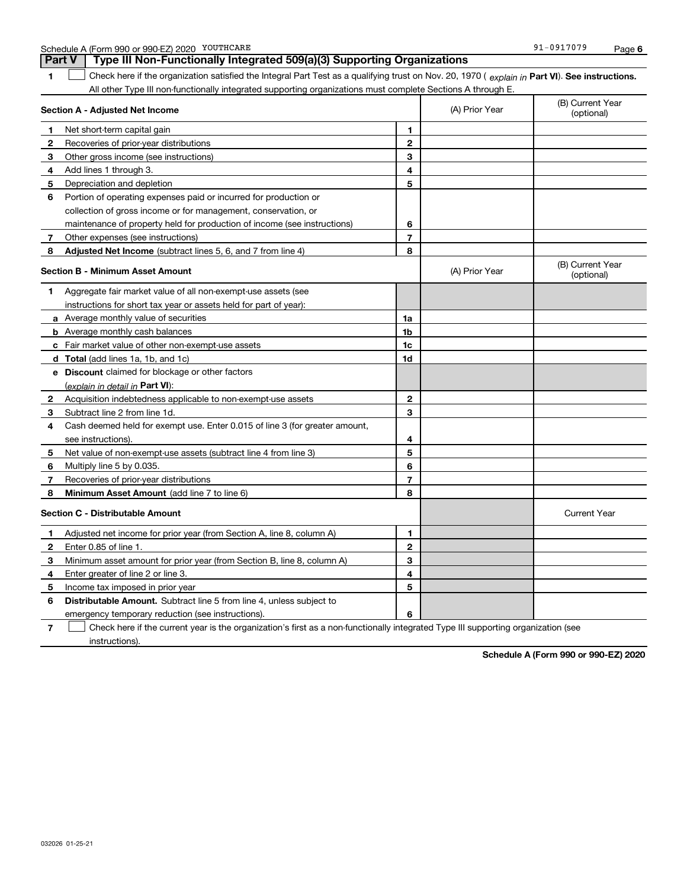|  | Schedule A (Form 990 or 990-EZ) 2020 | YOUTHCARE | 1-0917079<br>0 <sub>1</sub> | Page |  |
|--|--------------------------------------|-----------|-----------------------------|------|--|
|--|--------------------------------------|-----------|-----------------------------|------|--|

**1Part VI** Check here if the organization satisfied the Integral Part Test as a qualifying trust on Nov. 20, 1970 ( explain in Part **VI**). See instructions. **Section A - Adjusted Net Income 123** Other gross income (see instructions) **4**Add lines 1 through 3. **56** Portion of operating expenses paid or incurred for production or **7** Other expenses (see instructions) **8** Adjusted Net Income (subtract lines 5, 6, and 7 from line 4) **8 8 1234567Section B - Minimum Asset Amount 1**Aggregate fair market value of all non-exempt-use assets (see **2**Acquisition indebtedness applicable to non-exempt-use assets **3** Subtract line 2 from line 1d. **4**Cash deemed held for exempt use. Enter 0.015 of line 3 (for greater amount, **5** Net value of non-exempt-use assets (subtract line 4 from line 3) **678a** Average monthly value of securities **b** Average monthly cash balances **c**Fair market value of other non-exempt-use assets **dTotal**  (add lines 1a, 1b, and 1c) **eDiscount** claimed for blockage or other factors **1a1b1c1d2345678**(explain in detail in Part VI): **Minimum Asset Amount**  (add line 7 to line 6) **Section C - Distributable Amount 123456123456Distributable Amount.** Subtract line 5 from line 4, unless subject to All other Type III non-functionally integrated supporting organizations must complete Sections A through E. (B) Current Year (optional)(A) Prior Year Net short-term capital gain Recoveries of prior-year distributions Depreciation and depletion collection of gross income or for management, conservation, or maintenance of property held for production of income (see instructions) (B) Current Year (optional)(A) Prior Year instructions for short tax year or assets held for part of year): see instructions). Multiply line 5 by 0.035. Recoveries of prior-year distributions Current Year Adjusted net income for prior year (from Section A, line 8, column A) Enter 0.85 of line 1. Minimum asset amount for prior year (from Section B, line 8, column A) Enter greater of line 2 or line 3. Income tax imposed in prior year emergency temporary reduction (see instructions). **Part V Type III Non-Functionally Integrated 509(a)(3) Supporting Organizations**   $\mathcal{L}^{\text{max}}$ 

**7**Check here if the current year is the organization's first as a non-functionally integrated Type III supporting organization (see instructions). $\mathcal{L}^{\text{max}}$ 

**Schedule A (Form 990 or 990-EZ) 2020**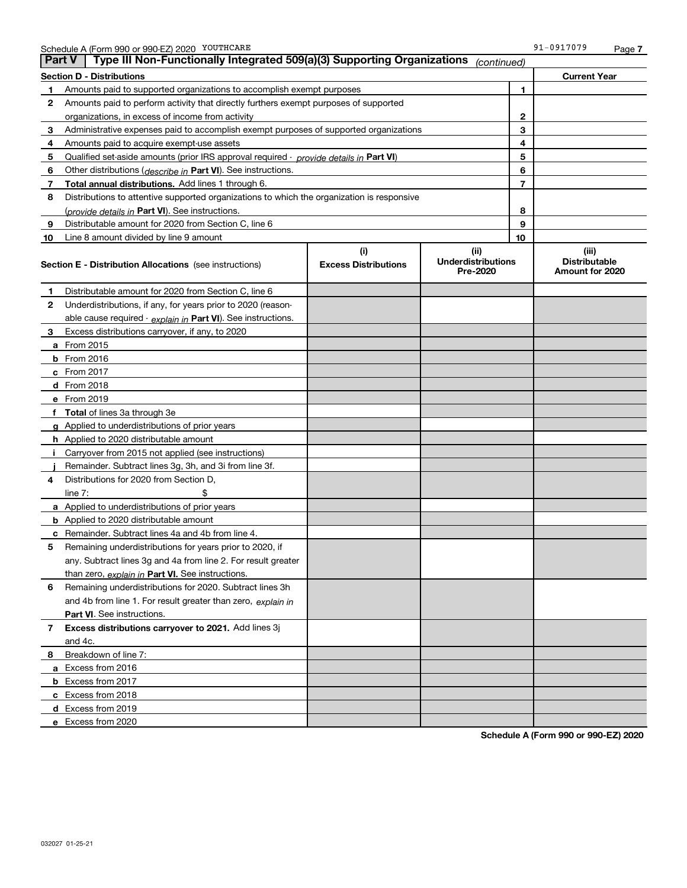| ∣ Part V | Type III Non-Functionally Integrated 509(a)(3) Supporting Organizations                    |                             | (continued)                           |    |                                         |
|----------|--------------------------------------------------------------------------------------------|-----------------------------|---------------------------------------|----|-----------------------------------------|
|          | Section D - Distributions                                                                  |                             |                                       |    | <b>Current Year</b>                     |
| 1        | Amounts paid to supported organizations to accomplish exempt purposes                      |                             |                                       |    |                                         |
| 2        | Amounts paid to perform activity that directly furthers exempt purposes of supported       |                             |                                       |    |                                         |
|          | organizations, in excess of income from activity                                           |                             |                                       |    |                                         |
| 3        | Administrative expenses paid to accomplish exempt purposes of supported organizations      |                             |                                       | 3  |                                         |
| 4        | Amounts paid to acquire exempt-use assets                                                  |                             |                                       | 4  |                                         |
| 5        | Qualified set aside amounts (prior IRS approval required - provide details in Part VI)     |                             |                                       | 5  |                                         |
| 6        | Other distributions ( <i>describe in</i> Part VI). See instructions.                       |                             |                                       | 6  |                                         |
| 7        | Total annual distributions. Add lines 1 through 6.                                         |                             |                                       | 7  |                                         |
| 8        | Distributions to attentive supported organizations to which the organization is responsive |                             |                                       |    |                                         |
|          | ( <i>provide details in</i> Part VI). See instructions.                                    |                             |                                       | 8  |                                         |
| 9        | Distributable amount for 2020 from Section C, line 6                                       |                             |                                       | 9  |                                         |
| 10       | Line 8 amount divided by line 9 amount                                                     |                             |                                       | 10 |                                         |
|          |                                                                                            | (i)                         | (ii)                                  |    | (iii)                                   |
|          | <b>Section E - Distribution Allocations</b> (see instructions)                             | <b>Excess Distributions</b> | <b>Underdistributions</b><br>Pre-2020 |    | <b>Distributable</b><br>Amount for 2020 |
| 1        | Distributable amount for 2020 from Section C, line 6                                       |                             |                                       |    |                                         |
| 2        | Underdistributions, if any, for years prior to 2020 (reason-                               |                             |                                       |    |                                         |
|          | able cause required - explain in Part VI). See instructions.                               |                             |                                       |    |                                         |
| 3        | Excess distributions carryover, if any, to 2020                                            |                             |                                       |    |                                         |
|          | a From 2015                                                                                |                             |                                       |    |                                         |
|          | <b>b</b> From 2016                                                                         |                             |                                       |    |                                         |
|          | <b>c</b> From 2017                                                                         |                             |                                       |    |                                         |
|          | <b>d</b> From 2018                                                                         |                             |                                       |    |                                         |
|          | e From 2019                                                                                |                             |                                       |    |                                         |
|          | f Total of lines 3a through 3e                                                             |                             |                                       |    |                                         |
|          | g Applied to underdistributions of prior years                                             |                             |                                       |    |                                         |
|          | <b>h</b> Applied to 2020 distributable amount                                              |                             |                                       |    |                                         |
|          | Carryover from 2015 not applied (see instructions)                                         |                             |                                       |    |                                         |
|          | Remainder. Subtract lines 3g, 3h, and 3i from line 3f.                                     |                             |                                       |    |                                         |
| 4        | Distributions for 2020 from Section D,                                                     |                             |                                       |    |                                         |
|          | line $7:$                                                                                  |                             |                                       |    |                                         |
|          | a Applied to underdistributions of prior years                                             |                             |                                       |    |                                         |
|          | <b>b</b> Applied to 2020 distributable amount                                              |                             |                                       |    |                                         |
|          | c Remainder. Subtract lines 4a and 4b from line 4.                                         |                             |                                       |    |                                         |
| 5.       | Remaining underdistributions for years prior to 2020, if                                   |                             |                                       |    |                                         |
|          | any. Subtract lines 3g and 4a from line 2. For result greater                              |                             |                                       |    |                                         |
|          | than zero, explain in Part VI. See instructions.                                           |                             |                                       |    |                                         |
| 6        | Remaining underdistributions for 2020. Subtract lines 3h                                   |                             |                                       |    |                                         |
|          | and 4b from line 1. For result greater than zero, explain in                               |                             |                                       |    |                                         |
|          | Part VI. See instructions.                                                                 |                             |                                       |    |                                         |
| 7        | Excess distributions carryover to 2021. Add lines 3j                                       |                             |                                       |    |                                         |
|          | and 4c.                                                                                    |                             |                                       |    |                                         |
| 8        | Breakdown of line 7:                                                                       |                             |                                       |    |                                         |
|          | a Excess from 2016                                                                         |                             |                                       |    |                                         |
|          | <b>b</b> Excess from 2017                                                                  |                             |                                       |    |                                         |
|          | c Excess from 2018                                                                         |                             |                                       |    |                                         |
|          | d Excess from 2019                                                                         |                             |                                       |    |                                         |
|          | e Excess from 2020                                                                         |                             |                                       |    |                                         |

**Schedule A (Form 990 or 990-EZ) 2020**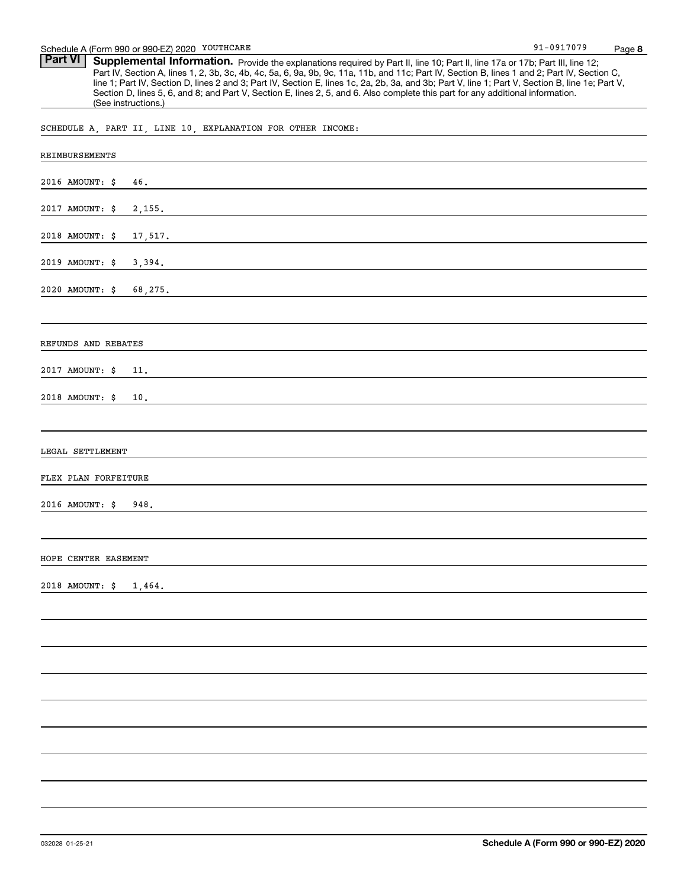Part VI | Supplemental Information. Provide the explanations required by Part II, line 10; Part II, line 17a or 17b; Part III, line 12; Part IV, Section A, lines 1, 2, 3b, 3c, 4b, 4c, 5a, 6, 9a, 9b, 9c, 11a, 11b, and 11c; Part IV, Section B, lines 1 and 2; Part IV, Section C, line 1; Part IV, Section D, lines 2 and 3; Part IV, Section E, lines 1c, 2a, 2b, 3a, and 3b; Part V, line 1; Part V, Section B, line 1e; Part V, Section D, lines 5, 6, and 8; and Part V, Section E, lines 2, 5, and 6. Also complete this part for any additional information. (See instructions.)

SCHEDULE A, PART II, LINE 10, EXPLANATION FOR OTHER INCOME:

| REIMBURSEMENTS             |
|----------------------------|
| 2016 AMOUNT: \$<br>46.     |
| 2017 AMOUNT: \$<br>2,155.  |
| 2018 AMOUNT: \$<br>17,517. |
| 2019 AMOUNT: \$<br>3,394.  |
| 2020 AMOUNT: \$<br>68,275. |
|                            |
| REFUNDS AND REBATES        |
| 2017 AMOUNT: \$<br>11.     |
| 2018 AMOUNT: \$<br>10.     |
|                            |
| LEGAL SETTLEMENT           |
| FLEX PLAN FORFEITURE       |
| 2016 AMOUNT: \$<br>948.    |
|                            |
| HOPE CENTER EASEMENT       |
| 2018 AMOUNT: \$<br>1,464.  |
|                            |
|                            |
|                            |
|                            |
|                            |
|                            |
|                            |
|                            |
|                            |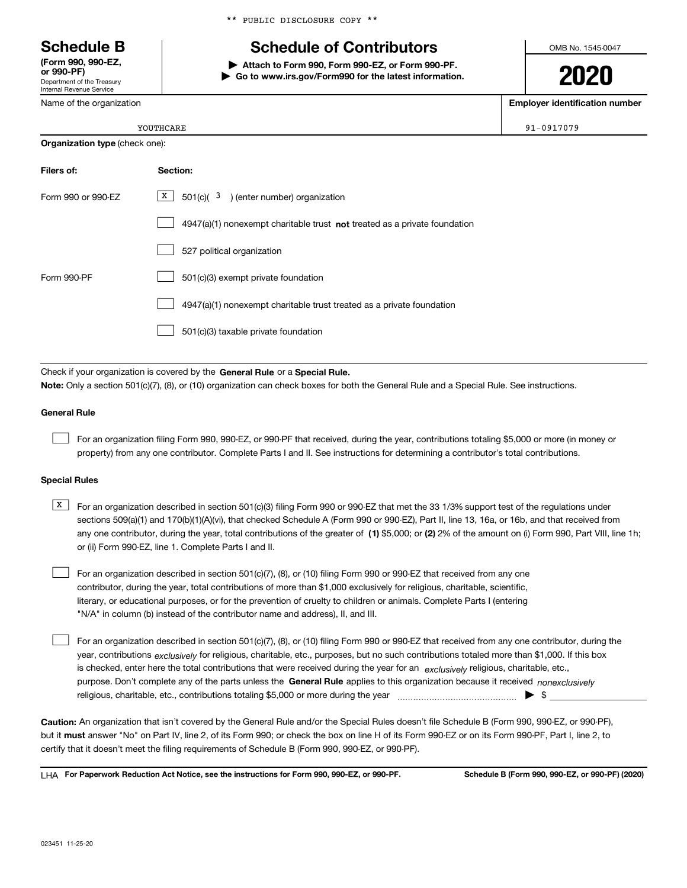Department of the Treasury Internal Revenue Service **(Form 990, 990-EZ, or 990-PF)**

Name of the organization

**Organization type** (check one):

\*\* PUBLIC DISCLOSURE COPY \*\*

# **Schedule B Schedule of Contributors**

**| Attach to Form 990, Form 990-EZ, or Form 990-PF. | Go to www.irs.gov/Form990 for the latest information.** OMB No. 1545-0047

**2020**

**Employer identification number**

| ٦E | 91-0917079 |
|----|------------|
|    |            |

| OUTHCARE |
|----------|
|----------|

| Filers of:         | <b>Section:</b>                                                             |
|--------------------|-----------------------------------------------------------------------------|
| Form 990 or 990-EZ | $X \mid$<br>501(c)( $3$ ) (enter number) organization                       |
|                    | $4947(a)(1)$ nonexempt charitable trust not treated as a private foundation |
|                    | 527 political organization                                                  |
| Form 990-PF        | 501(c)(3) exempt private foundation                                         |
|                    | 4947(a)(1) nonexempt charitable trust treated as a private foundation       |
|                    | 501(c)(3) taxable private foundation                                        |

Check if your organization is covered by the **General Rule** or a **Special Rule. Note:**  Only a section 501(c)(7), (8), or (10) organization can check boxes for both the General Rule and a Special Rule. See instructions.

### **General Rule**

 $\mathcal{L}^{\text{max}}$ 

For an organization filing Form 990, 990-EZ, or 990-PF that received, during the year, contributions totaling \$5,000 or more (in money or property) from any one contributor. Complete Parts I and II. See instructions for determining a contributor's total contributions.

#### **Special Rules**

any one contributor, during the year, total contributions of the greater of  $\,$  (1) \$5,000; or **(2)** 2% of the amount on (i) Form 990, Part VIII, line 1h;  $\overline{X}$  For an organization described in section 501(c)(3) filing Form 990 or 990-EZ that met the 33 1/3% support test of the regulations under sections 509(a)(1) and 170(b)(1)(A)(vi), that checked Schedule A (Form 990 or 990-EZ), Part II, line 13, 16a, or 16b, and that received from or (ii) Form 990-EZ, line 1. Complete Parts I and II.

For an organization described in section 501(c)(7), (8), or (10) filing Form 990 or 990-EZ that received from any one contributor, during the year, total contributions of more than \$1,000 exclusively for religious, charitable, scientific, literary, or educational purposes, or for the prevention of cruelty to children or animals. Complete Parts I (entering "N/A" in column (b) instead of the contributor name and address), II, and III.  $\mathcal{L}^{\text{max}}$ 

purpose. Don't complete any of the parts unless the **General Rule** applies to this organization because it received *nonexclusively* year, contributions <sub>exclusively</sub> for religious, charitable, etc., purposes, but no such contributions totaled more than \$1,000. If this box is checked, enter here the total contributions that were received during the year for an  $\;$ exclusively religious, charitable, etc., For an organization described in section 501(c)(7), (8), or (10) filing Form 990 or 990-EZ that received from any one contributor, during the religious, charitable, etc., contributions totaling \$5,000 or more during the year  $\Box$ — $\Box$   $\Box$  $\mathcal{L}^{\text{max}}$ 

**Caution:**  An organization that isn't covered by the General Rule and/or the Special Rules doesn't file Schedule B (Form 990, 990-EZ, or 990-PF),  **must** but it answer "No" on Part IV, line 2, of its Form 990; or check the box on line H of its Form 990-EZ or on its Form 990-PF, Part I, line 2, to certify that it doesn't meet the filing requirements of Schedule B (Form 990, 990-EZ, or 990-PF).

**For Paperwork Reduction Act Notice, see the instructions for Form 990, 990-EZ, or 990-PF. Schedule B (Form 990, 990-EZ, or 990-PF) (2020)** LHA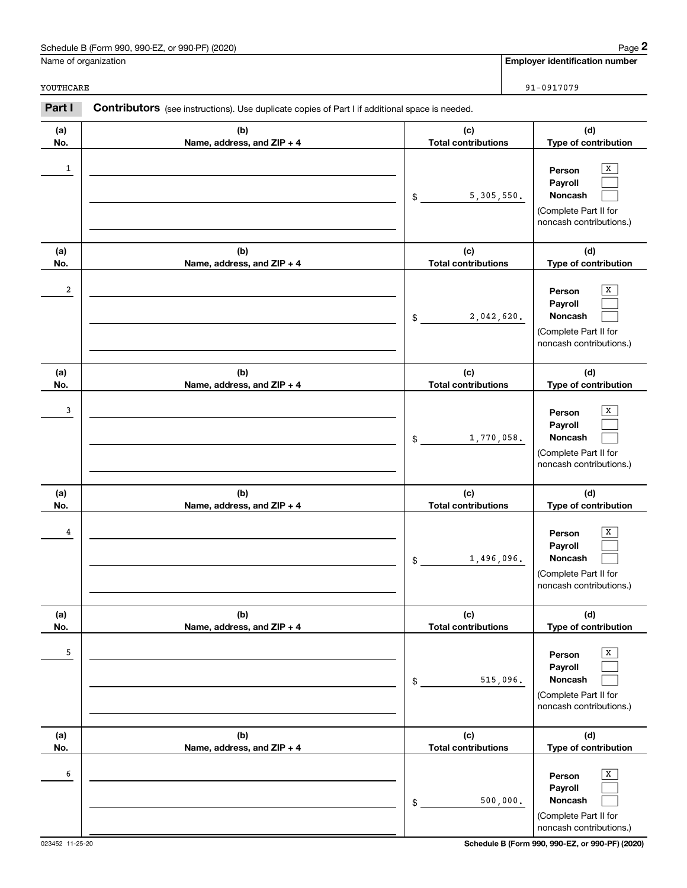| . 990-EZ. or 990-PF) (2020)<br>Schedule B (Form 990, | Page |
|------------------------------------------------------|------|
|------------------------------------------------------|------|

Name of organization

YOUTHCARE

**Employer identification number**

91-0917079

**(a)No.(b)Name, address, and ZIP + 4 (c)Total contributions (d)Type of contribution PersonPayrollNoncash (a)No.(b)Name, address, and ZIP + 4 (c)Total contributions (d)Type of contribution PersonPayrollNoncash (a)No.(b)Name, address, and ZIP + 4 (c)Total contributions (d)Type of contribution PersonPayrollNoncash (a) No.(b) Name, address, and ZIP + 4 (c) Total contributions (d) Type of contribution PersonPayrollNoncash(a) No.(b) Name, address, and ZIP + 4 (c) Total contributions (d) Type of contribution Person PayrollNoncash (a) No.(b)Name, address, and ZIP + 4 (c) Total contributions (d) Type of contribution PersonPayrollNoncash Contributors** (see instructions). Use duplicate copies of Part I if additional space is needed. \$(Complete Part II for noncash contributions.) \$(Complete Part II for noncash contributions.) \$(Complete Part II for noncash contributions.) \$(Complete Part II for noncash contributions.) \$(Complete Part II for noncash contributions.) \$(Complete Part II for noncash contributions.) **2Page 2 Employer identification**<br>
Jame of organization<br> **2Part I Contributors** (see instructions). Use duplicate copies of Part I if additional space is needed.<br> **2Part I Contributors** (see instructions). Use duplicat  $\boxed{\text{X}}$  $\mathcal{L}^{\text{max}}$  $\mathcal{L}^{\text{max}}$  $\overline{X}$  $\mathcal{L}^{\text{max}}$  $\mathcal{L}^{\text{max}}$  $\boxed{\text{X}}$  $\mathcal{L}^{\text{max}}$  $\mathcal{L}^{\text{max}}$  $\boxed{\text{X}}$  $\mathcal{L}^{\text{max}}$  $\mathcal{L}^{\text{max}}$  $\boxed{\text{X}}$  $\mathcal{L}^{\text{max}}$  $\mathcal{L}^{\text{max}}$  $\boxed{\text{X}}$  $\mathcal{L}^{\text{max}}$  $\mathcal{L}^{\text{max}}$ 1<u>1</u> Person X 5,305,550. 22 | Person X 2,042,620. 3and the contract of the contract of the contract of the contract of the contract of the contract of the contract of the contract of the contract of the contract of the contract of the contract of the contract of the contra 1,770,058. 4<u>die verschieden in der staat de staat de verschieden in de verschieden in de verschieden in de verschieden in de verschieden in de verschieden in de verschieden in de verschieden in de verschieden in de verschieden in de </u> 1,496,096. 5 X 515,096. 6<u>secondary and the secondary secondary and the secondary secondary secondary secondary secondary secondary second</u> 500,000.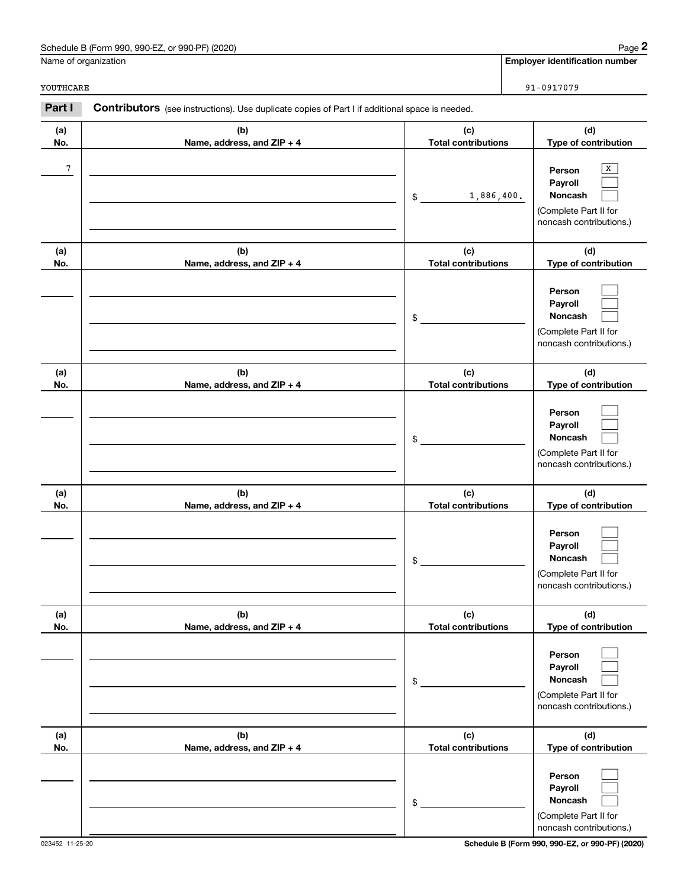| Schedule B (Form 990, 990-EZ, or 990-PF) (2020) | Page |
|-------------------------------------------------|------|
|-------------------------------------------------|------|

|            | Schedule B (Form 990, 990-EZ, or 990-PF) (2020)                                                |                                   | Page 2                                                                                |
|------------|------------------------------------------------------------------------------------------------|-----------------------------------|---------------------------------------------------------------------------------------|
|            | Name of organization                                                                           |                                   | <b>Employer identification number</b>                                                 |
| YOUTHCARE  |                                                                                                |                                   | 91-0917079                                                                            |
| Part I     | Contributors (see instructions). Use duplicate copies of Part I if additional space is needed. |                                   |                                                                                       |
| (a)<br>No. | (b)<br>Name, address, and ZIP + 4                                                              | (c)<br><b>Total contributions</b> | (d)<br>Type of contribution                                                           |
| 7          |                                                                                                | 1,886,400.<br>\$                  | Х<br>Person<br>Payroll<br>Noncash<br>(Complete Part II for<br>noncash contributions.) |
| (a)<br>No. | (b)<br>Name, address, and ZIP + 4                                                              | (c)<br><b>Total contributions</b> | (d)<br>Type of contribution                                                           |
|            |                                                                                                | \$                                | Person<br>Payroll<br>Noncash<br>(Complete Part II for<br>noncash contributions.)      |
| (a)<br>No. | (b)<br>Name, address, and ZIP + 4                                                              | (c)<br><b>Total contributions</b> | (d)<br>Type of contribution                                                           |
|            |                                                                                                | \$                                | Person<br>Payroll<br>Noncash<br>(Complete Part II for<br>noncash contributions.)      |
| (a)<br>No. | (b)<br>Name, address, and ZIP + 4                                                              | (c)<br><b>Total contributions</b> | (d)<br>Type of contribution                                                           |
|            |                                                                                                | \$                                | Person<br>Payroll<br>Noncash<br>(Complete Part II for<br>noncash contributions.)      |
| (a)<br>No. | (b)<br>Name, address, and ZIP + 4                                                              | (c)<br><b>Total contributions</b> | (d)<br>Type of contribution                                                           |
|            |                                                                                                | \$                                | Person<br>Payroll<br>Noncash<br>(Complete Part II for<br>noncash contributions.)      |
| (a)<br>No. | (b)<br>Name, address, and ZIP + 4                                                              | (c)<br><b>Total contributions</b> | (d)<br>Type of contribution                                                           |
|            |                                                                                                | \$                                | Person<br>Payroll<br>Noncash<br>(Complete Part II for<br>noncash contributions.)      |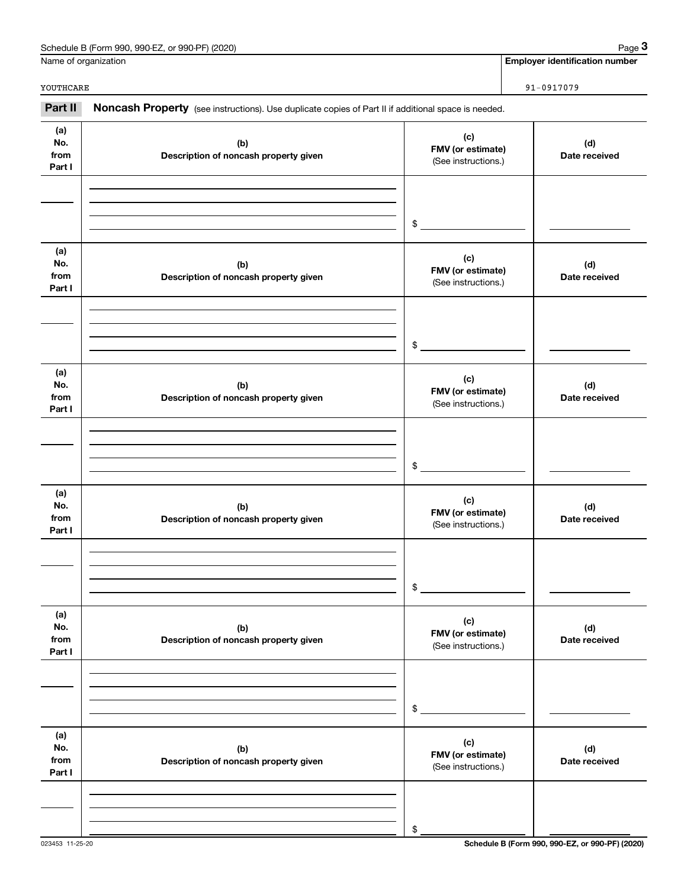| Schedule B (Form 990, 990-EZ, or 990-PF) (2020)                                                                | Page $3$                              |
|----------------------------------------------------------------------------------------------------------------|---------------------------------------|
| Name of organization                                                                                           | <b>Employer identification number</b> |
| YOUTHCARE                                                                                                      | 91-0917079                            |
| Part II<br>Noncash Property (see instructions). Use duplicate copies of Part II if additional space is needed. |                                       |

| (a)<br>No.<br>from<br>Part I | (b)<br>Description of noncash property given | (c)<br>FMV (or estimate)<br>(See instructions.) | (d)<br>Date received                            |
|------------------------------|----------------------------------------------|-------------------------------------------------|-------------------------------------------------|
|                              |                                              | $\frac{1}{2}$                                   |                                                 |
| (a)<br>No.<br>from<br>Part I | (b)<br>Description of noncash property given | (c)<br>FMV (or estimate)<br>(See instructions.) | (d)<br>Date received                            |
|                              |                                              | $\frac{1}{2}$                                   |                                                 |
| (a)<br>No.<br>from<br>Part I | (b)<br>Description of noncash property given | (c)<br>FMV (or estimate)<br>(See instructions.) | (d)<br>Date received                            |
|                              |                                              | $\frac{1}{2}$                                   |                                                 |
| (a)<br>No.<br>from<br>Part I | (b)<br>Description of noncash property given | (c)<br>FMV (or estimate)<br>(See instructions.) | (d)<br>Date received                            |
|                              |                                              | $\frac{1}{2}$                                   |                                                 |
| (a)<br>No.<br>from<br>Part I | (b)<br>Description of noncash property given | (c)<br>FMV (or estimate)<br>(See instructions.) | (d)<br>Date received                            |
|                              |                                              | \$                                              |                                                 |
| (a)<br>No.<br>from<br>Part I | (b)<br>Description of noncash property given | (c)<br>FMV (or estimate)<br>(See instructions.) | (d)<br>Date received                            |
| 023453 11-25-20              |                                              | \$                                              | Schedule B (Form 990, 990-EZ, or 990-PF) (2020) |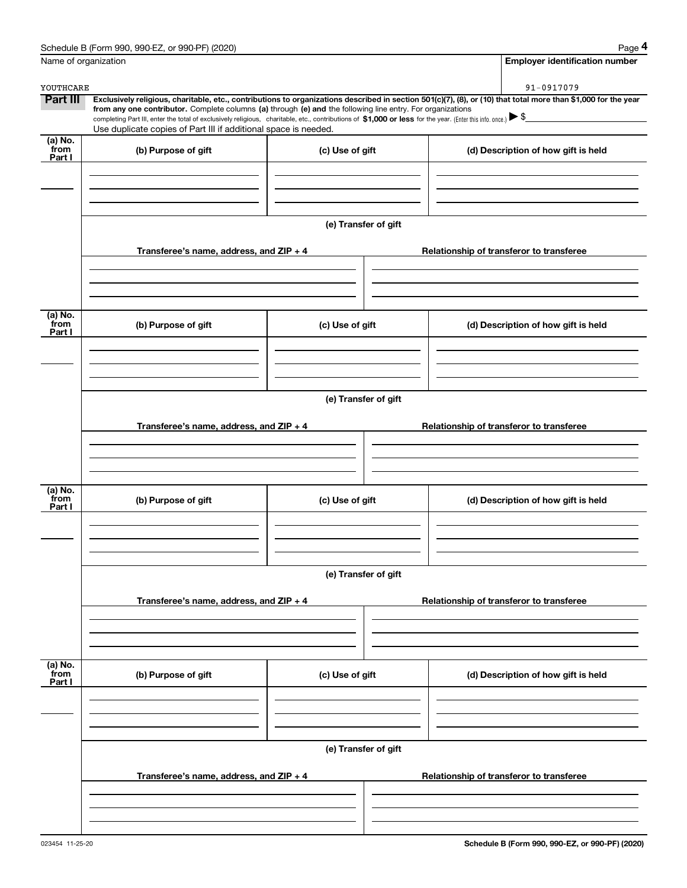|                       | Schedule B (Form 990, 990-EZ, or 990-PF) (2020)                                                                                                                                                                                                      |                      | Page 4                                                                                                                                                                       |  |  |  |  |
|-----------------------|------------------------------------------------------------------------------------------------------------------------------------------------------------------------------------------------------------------------------------------------------|----------------------|------------------------------------------------------------------------------------------------------------------------------------------------------------------------------|--|--|--|--|
| Name of organization  |                                                                                                                                                                                                                                                      |                      | <b>Employer identification number</b>                                                                                                                                        |  |  |  |  |
|                       |                                                                                                                                                                                                                                                      |                      |                                                                                                                                                                              |  |  |  |  |
| YOUTHCARE<br>Part III |                                                                                                                                                                                                                                                      |                      | 91-0917079<br>Exclusively religious, charitable, etc., contributions to organizations described in section 501(c)(7), (8), or (10) that total more than \$1,000 for the year |  |  |  |  |
|                       | from any one contributor. Complete columns (a) through (e) and the following line entry. For organizations                                                                                                                                           |                      |                                                                                                                                                                              |  |  |  |  |
|                       | completing Part III, enter the total of exclusively religious, charitable, etc., contributions of \$1,000 or less for the year. (Enter this info. once.) $\blacktriangleright$ \$<br>Use duplicate copies of Part III if additional space is needed. |                      |                                                                                                                                                                              |  |  |  |  |
| (a) No.<br>from       |                                                                                                                                                                                                                                                      |                      |                                                                                                                                                                              |  |  |  |  |
| Part I                | (b) Purpose of gift                                                                                                                                                                                                                                  | (c) Use of gift      | (d) Description of how gift is held                                                                                                                                          |  |  |  |  |
|                       |                                                                                                                                                                                                                                                      |                      |                                                                                                                                                                              |  |  |  |  |
|                       |                                                                                                                                                                                                                                                      |                      |                                                                                                                                                                              |  |  |  |  |
|                       |                                                                                                                                                                                                                                                      |                      |                                                                                                                                                                              |  |  |  |  |
|                       |                                                                                                                                                                                                                                                      | (e) Transfer of gift |                                                                                                                                                                              |  |  |  |  |
|                       |                                                                                                                                                                                                                                                      |                      |                                                                                                                                                                              |  |  |  |  |
|                       | Transferee's name, address, and $ZIP + 4$                                                                                                                                                                                                            |                      | Relationship of transferor to transferee                                                                                                                                     |  |  |  |  |
|                       |                                                                                                                                                                                                                                                      |                      |                                                                                                                                                                              |  |  |  |  |
|                       |                                                                                                                                                                                                                                                      |                      |                                                                                                                                                                              |  |  |  |  |
|                       |                                                                                                                                                                                                                                                      |                      |                                                                                                                                                                              |  |  |  |  |
| (a) No.               |                                                                                                                                                                                                                                                      |                      |                                                                                                                                                                              |  |  |  |  |
| from<br>Part I        | (b) Purpose of gift                                                                                                                                                                                                                                  | (c) Use of gift      | (d) Description of how gift is held                                                                                                                                          |  |  |  |  |
|                       |                                                                                                                                                                                                                                                      |                      |                                                                                                                                                                              |  |  |  |  |
|                       |                                                                                                                                                                                                                                                      |                      |                                                                                                                                                                              |  |  |  |  |
|                       |                                                                                                                                                                                                                                                      |                      |                                                                                                                                                                              |  |  |  |  |
|                       |                                                                                                                                                                                                                                                      | (e) Transfer of gift |                                                                                                                                                                              |  |  |  |  |
|                       |                                                                                                                                                                                                                                                      |                      |                                                                                                                                                                              |  |  |  |  |
|                       | Transferee's name, address, and $ZIP + 4$                                                                                                                                                                                                            |                      | Relationship of transferor to transferee                                                                                                                                     |  |  |  |  |
|                       |                                                                                                                                                                                                                                                      |                      |                                                                                                                                                                              |  |  |  |  |
|                       |                                                                                                                                                                                                                                                      |                      |                                                                                                                                                                              |  |  |  |  |
|                       |                                                                                                                                                                                                                                                      |                      |                                                                                                                                                                              |  |  |  |  |
| (a) No.<br>from       | (b) Purpose of gift                                                                                                                                                                                                                                  | (c) Use of gift      | (d) Description of how gift is held                                                                                                                                          |  |  |  |  |
| Part I                |                                                                                                                                                                                                                                                      |                      |                                                                                                                                                                              |  |  |  |  |
|                       |                                                                                                                                                                                                                                                      |                      |                                                                                                                                                                              |  |  |  |  |
|                       |                                                                                                                                                                                                                                                      |                      |                                                                                                                                                                              |  |  |  |  |
|                       |                                                                                                                                                                                                                                                      |                      |                                                                                                                                                                              |  |  |  |  |
|                       |                                                                                                                                                                                                                                                      | (e) Transfer of gift |                                                                                                                                                                              |  |  |  |  |
|                       | Transferee's name, address, and ZIP + 4                                                                                                                                                                                                              |                      | Relationship of transferor to transferee                                                                                                                                     |  |  |  |  |
|                       |                                                                                                                                                                                                                                                      |                      |                                                                                                                                                                              |  |  |  |  |
|                       |                                                                                                                                                                                                                                                      |                      |                                                                                                                                                                              |  |  |  |  |
|                       |                                                                                                                                                                                                                                                      |                      |                                                                                                                                                                              |  |  |  |  |
| (a) No.<br>from       |                                                                                                                                                                                                                                                      |                      |                                                                                                                                                                              |  |  |  |  |
| Part I                | (b) Purpose of gift                                                                                                                                                                                                                                  | (c) Use of gift      | (d) Description of how gift is held                                                                                                                                          |  |  |  |  |
|                       |                                                                                                                                                                                                                                                      |                      |                                                                                                                                                                              |  |  |  |  |
|                       |                                                                                                                                                                                                                                                      |                      |                                                                                                                                                                              |  |  |  |  |
|                       |                                                                                                                                                                                                                                                      |                      |                                                                                                                                                                              |  |  |  |  |
|                       |                                                                                                                                                                                                                                                      | (e) Transfer of gift |                                                                                                                                                                              |  |  |  |  |
|                       |                                                                                                                                                                                                                                                      |                      |                                                                                                                                                                              |  |  |  |  |
|                       | Transferee's name, address, and $ZIP + 4$                                                                                                                                                                                                            |                      | Relationship of transferor to transferee                                                                                                                                     |  |  |  |  |
|                       |                                                                                                                                                                                                                                                      |                      |                                                                                                                                                                              |  |  |  |  |
|                       |                                                                                                                                                                                                                                                      |                      |                                                                                                                                                                              |  |  |  |  |
|                       |                                                                                                                                                                                                                                                      |                      |                                                                                                                                                                              |  |  |  |  |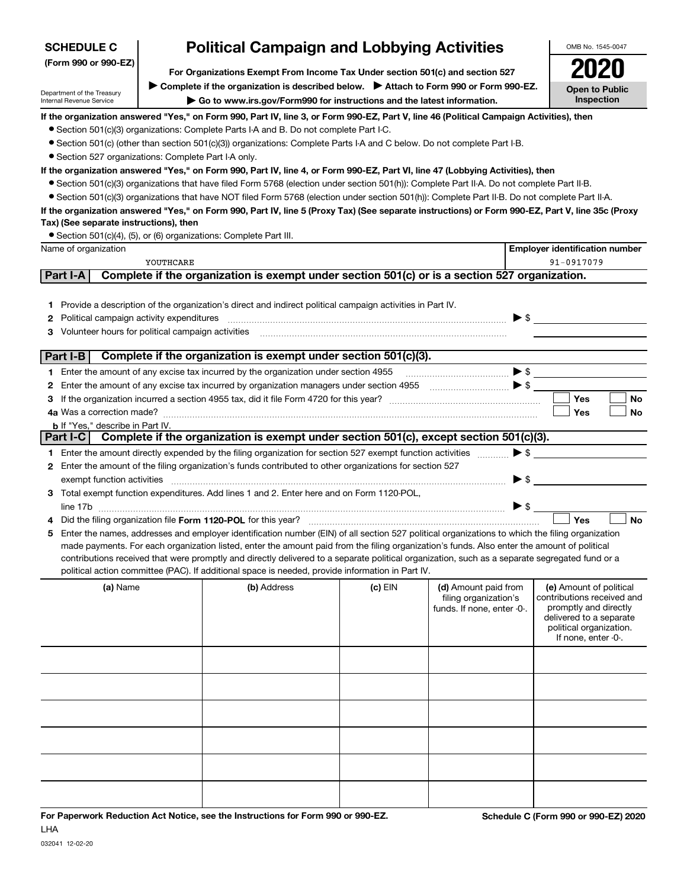| <b>SCHEDULE C</b>                                      |                                                                                                                                                                   | <b>Political Campaign and Lobbying Activities</b>                                                                                                |         |                                                                                                                                                                                                                                                                                                                                                                             |                          | OMB No. 1545-0047                                |
|--------------------------------------------------------|-------------------------------------------------------------------------------------------------------------------------------------------------------------------|--------------------------------------------------------------------------------------------------------------------------------------------------|---------|-----------------------------------------------------------------------------------------------------------------------------------------------------------------------------------------------------------------------------------------------------------------------------------------------------------------------------------------------------------------------------|--------------------------|--------------------------------------------------|
| (Form 990 or 990-EZ)                                   |                                                                                                                                                                   |                                                                                                                                                  |         |                                                                                                                                                                                                                                                                                                                                                                             |                          |                                                  |
|                                                        |                                                                                                                                                                   | For Organizations Exempt From Income Tax Under section 501(c) and section 527                                                                    |         |                                                                                                                                                                                                                                                                                                                                                                             |                          |                                                  |
| Department of the Treasury<br>Internal Revenue Service | ▶ Complete if the organization is described below. ▶ Attach to Form 990 or Form 990-EZ.<br>Go to www.irs.gov/Form990 for instructions and the latest information. |                                                                                                                                                  |         |                                                                                                                                                                                                                                                                                                                                                                             |                          | <b>Open to Public</b><br>Inspection              |
|                                                        |                                                                                                                                                                   | If the organization answered "Yes," on Form 990, Part IV, line 3, or Form 990-EZ, Part V, line 46 (Political Campaign Activities), then          |         |                                                                                                                                                                                                                                                                                                                                                                             |                          |                                                  |
|                                                        |                                                                                                                                                                   | • Section 501(c)(3) organizations: Complete Parts I-A and B. Do not complete Part I-C.                                                           |         |                                                                                                                                                                                                                                                                                                                                                                             |                          |                                                  |
|                                                        |                                                                                                                                                                   | • Section 501(c) (other than section 501(c)(3)) organizations: Complete Parts I-A and C below. Do not complete Part I-B.                         |         |                                                                                                                                                                                                                                                                                                                                                                             |                          |                                                  |
| • Section 527 organizations: Complete Part I-A only.   |                                                                                                                                                                   |                                                                                                                                                  |         |                                                                                                                                                                                                                                                                                                                                                                             |                          |                                                  |
|                                                        |                                                                                                                                                                   | If the organization answered "Yes," on Form 990, Part IV, line 4, or Form 990-EZ, Part VI, line 47 (Lobbying Activities), then                   |         |                                                                                                                                                                                                                                                                                                                                                                             |                          |                                                  |
|                                                        |                                                                                                                                                                   | • Section 501(c)(3) organizations that have filed Form 5768 (election under section 501(h)): Complete Part II-A. Do not complete Part II-B.      |         |                                                                                                                                                                                                                                                                                                                                                                             |                          |                                                  |
|                                                        |                                                                                                                                                                   | • Section 501(c)(3) organizations that have NOT filed Form 5768 (election under section 501(h)): Complete Part II-B. Do not complete Part II-A.  |         |                                                                                                                                                                                                                                                                                                                                                                             |                          |                                                  |
|                                                        |                                                                                                                                                                   | If the organization answered "Yes," on Form 990, Part IV, line 5 (Proxy Tax) (See separate instructions) or Form 990-EZ, Part V, line 35c (Proxy |         |                                                                                                                                                                                                                                                                                                                                                                             |                          |                                                  |
| Tax) (See separate instructions), then                 |                                                                                                                                                                   |                                                                                                                                                  |         |                                                                                                                                                                                                                                                                                                                                                                             |                          |                                                  |
|                                                        |                                                                                                                                                                   | • Section 501(c)(4), (5), or (6) organizations: Complete Part III.                                                                               |         |                                                                                                                                                                                                                                                                                                                                                                             |                          |                                                  |
| Name of organization                                   |                                                                                                                                                                   |                                                                                                                                                  |         |                                                                                                                                                                                                                                                                                                                                                                             |                          | <b>Employer identification number</b>            |
|                                                        | YOUTHCARE                                                                                                                                                         |                                                                                                                                                  |         |                                                                                                                                                                                                                                                                                                                                                                             |                          | 91-0917079                                       |
| Part I-A                                               |                                                                                                                                                                   | Complete if the organization is exempt under section 501(c) or is a section 527 organization.                                                    |         |                                                                                                                                                                                                                                                                                                                                                                             |                          |                                                  |
|                                                        |                                                                                                                                                                   |                                                                                                                                                  |         |                                                                                                                                                                                                                                                                                                                                                                             |                          |                                                  |
|                                                        |                                                                                                                                                                   | 1 Provide a description of the organization's direct and indirect political campaign activities in Part IV.                                      |         |                                                                                                                                                                                                                                                                                                                                                                             |                          |                                                  |
| Political campaign activity expenditures<br>2          |                                                                                                                                                                   |                                                                                                                                                  |         |                                                                                                                                                                                                                                                                                                                                                                             | $\blacktriangleright$ \$ |                                                  |
| Volunteer hours for political campaign activities<br>3 |                                                                                                                                                                   |                                                                                                                                                  |         |                                                                                                                                                                                                                                                                                                                                                                             |                          |                                                  |
|                                                        |                                                                                                                                                                   |                                                                                                                                                  |         |                                                                                                                                                                                                                                                                                                                                                                             |                          |                                                  |
| Part I-B                                               |                                                                                                                                                                   | Complete if the organization is exempt under section 501(c)(3).                                                                                  |         |                                                                                                                                                                                                                                                                                                                                                                             |                          |                                                  |
|                                                        |                                                                                                                                                                   | 1 Enter the amount of any excise tax incurred by the organization under section 4955                                                             |         | $\begin{picture}(20,10) \put(0,0){\vector(1,0){10}} \put(15,0){\vector(1,0){10}} \put(15,0){\vector(1,0){10}} \put(15,0){\vector(1,0){10}} \put(15,0){\vector(1,0){10}} \put(15,0){\vector(1,0){10}} \put(15,0){\vector(1,0){10}} \put(15,0){\vector(1,0){10}} \put(15,0){\vector(1,0){10}} \put(15,0){\vector(1,0){10}} \put(15,0){\vector(1,0){10}} \put(15,0){\vector(1$ |                          |                                                  |
| 2                                                      |                                                                                                                                                                   | Enter the amount of any excise tax incurred by organization managers under section 4955                                                          |         | $\begin{array}{c} \hline \end{array}$                                                                                                                                                                                                                                                                                                                                       |                          |                                                  |
| З                                                      |                                                                                                                                                                   |                                                                                                                                                  |         |                                                                                                                                                                                                                                                                                                                                                                             |                          | Yes<br>No                                        |
| 4a Was a correction made?                              |                                                                                                                                                                   |                                                                                                                                                  |         |                                                                                                                                                                                                                                                                                                                                                                             |                          | Yes<br>No                                        |
| <b>b</b> If "Yes," describe in Part IV.                |                                                                                                                                                                   |                                                                                                                                                  |         |                                                                                                                                                                                                                                                                                                                                                                             |                          |                                                  |
| Part I-C                                               |                                                                                                                                                                   | Complete if the organization is exempt under section 501(c), except section 501(c)(3).                                                           |         |                                                                                                                                                                                                                                                                                                                                                                             |                          |                                                  |
|                                                        |                                                                                                                                                                   | 1 Enter the amount directly expended by the filing organization for section 527 exempt function activities                                       |         |                                                                                                                                                                                                                                                                                                                                                                             | $\blacktriangleright$ \$ |                                                  |
|                                                        |                                                                                                                                                                   | 2 Enter the amount of the filing organization's funds contributed to other organizations for section 527                                         |         |                                                                                                                                                                                                                                                                                                                                                                             |                          |                                                  |
| exempt function activities                             |                                                                                                                                                                   |                                                                                                                                                  |         |                                                                                                                                                                                                                                                                                                                                                                             | $\blacktriangleright$ \$ |                                                  |
|                                                        |                                                                                                                                                                   | 3 Total exempt function expenditures. Add lines 1 and 2. Enter here and on Form 1120-POL,                                                        |         |                                                                                                                                                                                                                                                                                                                                                                             |                          |                                                  |
|                                                        |                                                                                                                                                                   |                                                                                                                                                  |         |                                                                                                                                                                                                                                                                                                                                                                             | $\triangleright$ \$      |                                                  |
|                                                        |                                                                                                                                                                   | Did the filing organization file Form 1120-POL for this year?                                                                                    |         |                                                                                                                                                                                                                                                                                                                                                                             |                          | <b>No</b><br>Yes                                 |
| 5                                                      |                                                                                                                                                                   | Enter the names, addresses and employer identification number (EIN) of all section 527 political organizations to which the filing organization  |         |                                                                                                                                                                                                                                                                                                                                                                             |                          |                                                  |
|                                                        |                                                                                                                                                                   | made payments. For each organization listed, enter the amount paid from the filing organization's funds. Also enter the amount of political      |         |                                                                                                                                                                                                                                                                                                                                                                             |                          |                                                  |
|                                                        |                                                                                                                                                                   | contributions received that were promptly and directly delivered to a separate political organization, such as a separate segregated fund or a   |         |                                                                                                                                                                                                                                                                                                                                                                             |                          |                                                  |
|                                                        |                                                                                                                                                                   | political action committee (PAC). If additional space is needed, provide information in Part IV.                                                 |         |                                                                                                                                                                                                                                                                                                                                                                             |                          |                                                  |
| (a) Name                                               |                                                                                                                                                                   | (b) Address                                                                                                                                      | (c) EIN | (d) Amount paid from                                                                                                                                                                                                                                                                                                                                                        |                          | (e) Amount of political                          |
|                                                        |                                                                                                                                                                   |                                                                                                                                                  |         | filing organization's                                                                                                                                                                                                                                                                                                                                                       |                          | contributions received and                       |
|                                                        |                                                                                                                                                                   |                                                                                                                                                  |         | funds. If none, enter -0-.                                                                                                                                                                                                                                                                                                                                                  |                          | promptly and directly<br>delivered to a separate |
|                                                        |                                                                                                                                                                   |                                                                                                                                                  |         |                                                                                                                                                                                                                                                                                                                                                                             |                          | political organization.                          |
|                                                        |                                                                                                                                                                   |                                                                                                                                                  |         |                                                                                                                                                                                                                                                                                                                                                                             |                          | If none, enter -0-.                              |
|                                                        |                                                                                                                                                                   |                                                                                                                                                  |         |                                                                                                                                                                                                                                                                                                                                                                             |                          |                                                  |
|                                                        |                                                                                                                                                                   |                                                                                                                                                  |         |                                                                                                                                                                                                                                                                                                                                                                             |                          |                                                  |
|                                                        |                                                                                                                                                                   |                                                                                                                                                  |         |                                                                                                                                                                                                                                                                                                                                                                             |                          |                                                  |
|                                                        |                                                                                                                                                                   |                                                                                                                                                  |         |                                                                                                                                                                                                                                                                                                                                                                             |                          |                                                  |
|                                                        |                                                                                                                                                                   |                                                                                                                                                  |         |                                                                                                                                                                                                                                                                                                                                                                             |                          |                                                  |
|                                                        |                                                                                                                                                                   |                                                                                                                                                  |         |                                                                                                                                                                                                                                                                                                                                                                             |                          |                                                  |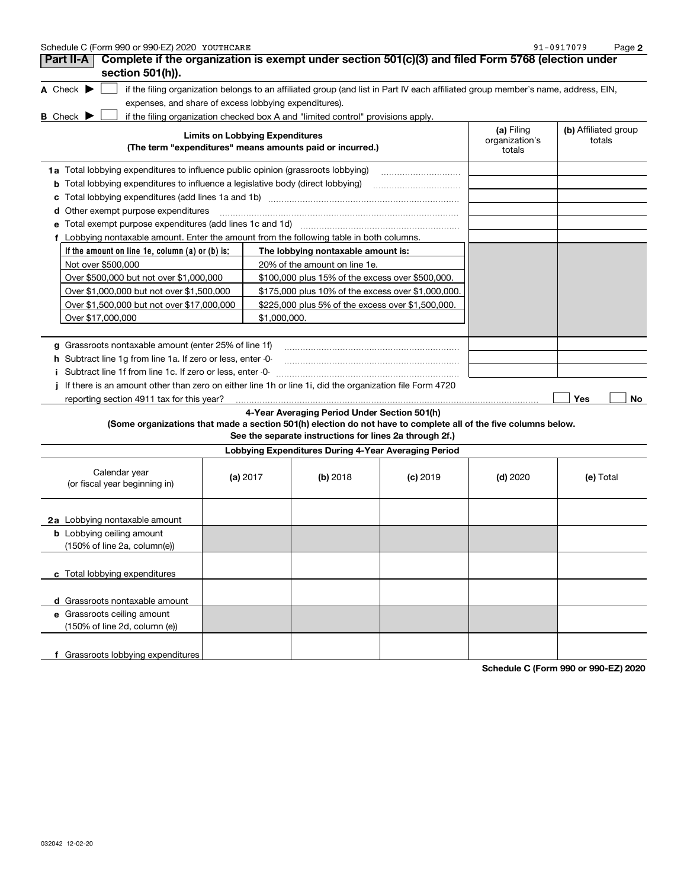| Schedule C (Form 990 or 990-EZ) 2020 YOUTHCARE                                                                                                                     |                                        |                                                         |            |                          | 91-0917079<br>Page 2 |
|--------------------------------------------------------------------------------------------------------------------------------------------------------------------|----------------------------------------|---------------------------------------------------------|------------|--------------------------|----------------------|
| Complete if the organization is exempt under section 501(c)(3) and filed Form 5768 (election under<br>Part II-A<br>section 501(h)).                                |                                        |                                                         |            |                          |                      |
|                                                                                                                                                                    |                                        |                                                         |            |                          |                      |
| A Check $\blacktriangleright$<br>if the filing organization belongs to an affiliated group (and list in Part IV each affiliated group member's name, address, EIN, |                                        |                                                         |            |                          |                      |
| expenses, and share of excess lobbying expenditures).                                                                                                              |                                        |                                                         |            |                          |                      |
| if the filing organization checked box A and "limited control" provisions apply.<br><b>B</b> Check $\blacktriangleright$                                           |                                        |                                                         |            | (a) Filing               | (b) Affiliated group |
| (The term "expenditures" means amounts paid or incurred.)                                                                                                          | <b>Limits on Lobbying Expenditures</b> |                                                         |            | organization's<br>totals | totals               |
| 1a Total lobbying expenditures to influence public opinion (grassroots lobbying)                                                                                   |                                        |                                                         |            |                          |                      |
| <b>b</b> Total lobbying expenditures to influence a legislative body (direct lobbying)                                                                             |                                        |                                                         |            |                          |                      |
|                                                                                                                                                                    |                                        |                                                         |            |                          |                      |
| d Other exempt purpose expenditures                                                                                                                                |                                        |                                                         |            |                          |                      |
| e Total exempt purpose expenditures (add lines 1c and 1d)                                                                                                          |                                        |                                                         |            |                          |                      |
| f Lobbying nontaxable amount. Enter the amount from the following table in both columns.                                                                           |                                        |                                                         |            |                          |                      |
| If the amount on line 1e, column (a) or (b) is:                                                                                                                    |                                        | The lobbying nontaxable amount is:                      |            |                          |                      |
| Not over \$500,000                                                                                                                                                 |                                        | 20% of the amount on line 1e.                           |            |                          |                      |
| Over \$500,000 but not over \$1,000,000                                                                                                                            |                                        | \$100,000 plus 15% of the excess over \$500,000.        |            |                          |                      |
| Over \$1,000,000 but not over \$1,500,000                                                                                                                          |                                        | \$175,000 plus 10% of the excess over \$1,000,000.      |            |                          |                      |
| Over \$1,500,000 but not over \$17,000,000                                                                                                                         |                                        | \$225,000 plus 5% of the excess over \$1,500,000.       |            |                          |                      |
| Over \$17,000,000                                                                                                                                                  | \$1,000,000.                           |                                                         |            |                          |                      |
|                                                                                                                                                                    |                                        |                                                         |            |                          |                      |
| g Grassroots nontaxable amount (enter 25% of line 1f)                                                                                                              |                                        |                                                         |            |                          |                      |
| h Subtract line 1g from line 1a. If zero or less, enter -0-                                                                                                        |                                        |                                                         |            |                          |                      |
| i Subtract line 1f from line 1c. If zero or less, enter -0-                                                                                                        |                                        |                                                         |            |                          |                      |
| If there is an amount other than zero on either line 1h or line 1i, did the organization file Form 4720                                                            |                                        |                                                         |            |                          |                      |
| reporting section 4911 tax for this year?                                                                                                                          |                                        |                                                         |            |                          | Yes<br>No            |
|                                                                                                                                                                    |                                        | 4-Year Averaging Period Under Section 501(h)            |            |                          |                      |
| (Some organizations that made a section 501(h) election do not have to complete all of the five columns below.                                                     |                                        | See the separate instructions for lines 2a through 2f.) |            |                          |                      |
|                                                                                                                                                                    |                                        |                                                         |            |                          |                      |
|                                                                                                                                                                    |                                        | Lobbying Expenditures During 4-Year Averaging Period    |            |                          |                      |
| Calendar year<br>(or fiscal year beginning in)                                                                                                                     | (a) $2017$                             | (b) 2018                                                | $(c)$ 2019 | $(d)$ 2020               | (e) Total            |
| 2a Lobbying nontaxable amount                                                                                                                                      |                                        |                                                         |            |                          |                      |
| <b>b</b> Lobbying ceiling amount<br>(150% of line 2a, column(e))                                                                                                   |                                        |                                                         |            |                          |                      |
| c Total lobbying expenditures                                                                                                                                      |                                        |                                                         |            |                          |                      |
| d Grassroots nontaxable amount                                                                                                                                     |                                        |                                                         |            |                          |                      |
| e Grassroots ceiling amount<br>(150% of line 2d, column (e))                                                                                                       |                                        |                                                         |            |                          |                      |
| f Grassroots lobbying expenditures                                                                                                                                 |                                        |                                                         |            |                          |                      |

**Schedule C (Form 990 or 990-EZ) 2020**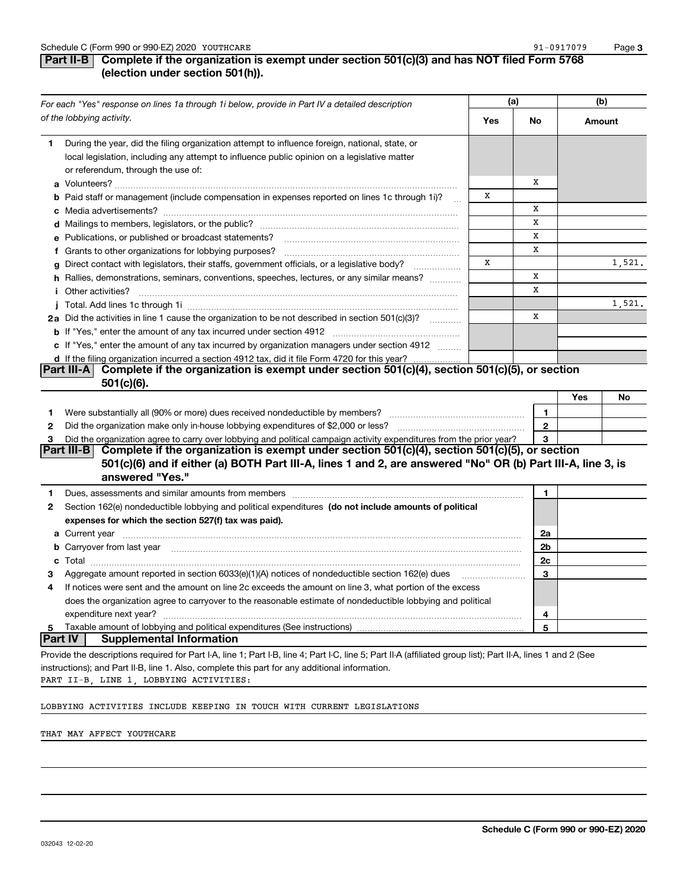**3**

# **Part II-B** Complete if the organization is exempt under section 501(c)(3) and has NOT filed Form 5768 **(election under section 501(h)).**

| For each "Yes" response on lines 1a through 1i below, provide in Part IV a detailed description<br>of the lobbying activity.<br>Yes<br>No<br>Amount<br>During the year, did the filing organization attempt to influence foreign, national, state, or<br>1.<br>local legislation, including any attempt to influence public opinion on a legislative matter<br>or referendum, through the use of:<br>х<br><b>b</b> Paid staff or management (include compensation in expenses reported on lines 1c through 1i)?<br>х<br>х<br>х<br>х<br>e Publications, or published or broadcast statements?<br>х<br>f Grants to other organizations for lobbying purposes?<br>X<br>1,521.<br>Direct contact with legislators, their staffs, government officials, or a legislative body?<br>g<br>х<br>h Rallies, demonstrations, seminars, conventions, speeches, lectures, or any similar means?<br>x<br><i>i</i> Other activities?<br>1,521.<br>x<br>2a Did the activities in line 1 cause the organization to be not described in section 501(c)(3)?<br>c If "Yes," enter the amount of any tax incurred by organization managers under section 4912<br>d If the filing organization incurred a section 4912 tax, did it file Form 4720 for this year?<br>Complete if the organization is exempt under section 501(c)(4), section 501(c)(5), or section<br><b>Part III-A</b><br>$501(c)(6)$ . |
|-----------------------------------------------------------------------------------------------------------------------------------------------------------------------------------------------------------------------------------------------------------------------------------------------------------------------------------------------------------------------------------------------------------------------------------------------------------------------------------------------------------------------------------------------------------------------------------------------------------------------------------------------------------------------------------------------------------------------------------------------------------------------------------------------------------------------------------------------------------------------------------------------------------------------------------------------------------------------------------------------------------------------------------------------------------------------------------------------------------------------------------------------------------------------------------------------------------------------------------------------------------------------------------------------------------------------------------------------------------------------------------|
|                                                                                                                                                                                                                                                                                                                                                                                                                                                                                                                                                                                                                                                                                                                                                                                                                                                                                                                                                                                                                                                                                                                                                                                                                                                                                                                                                                                   |
|                                                                                                                                                                                                                                                                                                                                                                                                                                                                                                                                                                                                                                                                                                                                                                                                                                                                                                                                                                                                                                                                                                                                                                                                                                                                                                                                                                                   |
|                                                                                                                                                                                                                                                                                                                                                                                                                                                                                                                                                                                                                                                                                                                                                                                                                                                                                                                                                                                                                                                                                                                                                                                                                                                                                                                                                                                   |
|                                                                                                                                                                                                                                                                                                                                                                                                                                                                                                                                                                                                                                                                                                                                                                                                                                                                                                                                                                                                                                                                                                                                                                                                                                                                                                                                                                                   |
|                                                                                                                                                                                                                                                                                                                                                                                                                                                                                                                                                                                                                                                                                                                                                                                                                                                                                                                                                                                                                                                                                                                                                                                                                                                                                                                                                                                   |
|                                                                                                                                                                                                                                                                                                                                                                                                                                                                                                                                                                                                                                                                                                                                                                                                                                                                                                                                                                                                                                                                                                                                                                                                                                                                                                                                                                                   |
|                                                                                                                                                                                                                                                                                                                                                                                                                                                                                                                                                                                                                                                                                                                                                                                                                                                                                                                                                                                                                                                                                                                                                                                                                                                                                                                                                                                   |
|                                                                                                                                                                                                                                                                                                                                                                                                                                                                                                                                                                                                                                                                                                                                                                                                                                                                                                                                                                                                                                                                                                                                                                                                                                                                                                                                                                                   |
|                                                                                                                                                                                                                                                                                                                                                                                                                                                                                                                                                                                                                                                                                                                                                                                                                                                                                                                                                                                                                                                                                                                                                                                                                                                                                                                                                                                   |
|                                                                                                                                                                                                                                                                                                                                                                                                                                                                                                                                                                                                                                                                                                                                                                                                                                                                                                                                                                                                                                                                                                                                                                                                                                                                                                                                                                                   |
|                                                                                                                                                                                                                                                                                                                                                                                                                                                                                                                                                                                                                                                                                                                                                                                                                                                                                                                                                                                                                                                                                                                                                                                                                                                                                                                                                                                   |
|                                                                                                                                                                                                                                                                                                                                                                                                                                                                                                                                                                                                                                                                                                                                                                                                                                                                                                                                                                                                                                                                                                                                                                                                                                                                                                                                                                                   |
|                                                                                                                                                                                                                                                                                                                                                                                                                                                                                                                                                                                                                                                                                                                                                                                                                                                                                                                                                                                                                                                                                                                                                                                                                                                                                                                                                                                   |
|                                                                                                                                                                                                                                                                                                                                                                                                                                                                                                                                                                                                                                                                                                                                                                                                                                                                                                                                                                                                                                                                                                                                                                                                                                                                                                                                                                                   |
|                                                                                                                                                                                                                                                                                                                                                                                                                                                                                                                                                                                                                                                                                                                                                                                                                                                                                                                                                                                                                                                                                                                                                                                                                                                                                                                                                                                   |
|                                                                                                                                                                                                                                                                                                                                                                                                                                                                                                                                                                                                                                                                                                                                                                                                                                                                                                                                                                                                                                                                                                                                                                                                                                                                                                                                                                                   |
|                                                                                                                                                                                                                                                                                                                                                                                                                                                                                                                                                                                                                                                                                                                                                                                                                                                                                                                                                                                                                                                                                                                                                                                                                                                                                                                                                                                   |
|                                                                                                                                                                                                                                                                                                                                                                                                                                                                                                                                                                                                                                                                                                                                                                                                                                                                                                                                                                                                                                                                                                                                                                                                                                                                                                                                                                                   |
| Yes<br>No                                                                                                                                                                                                                                                                                                                                                                                                                                                                                                                                                                                                                                                                                                                                                                                                                                                                                                                                                                                                                                                                                                                                                                                                                                                                                                                                                                         |
| 1<br>1.                                                                                                                                                                                                                                                                                                                                                                                                                                                                                                                                                                                                                                                                                                                                                                                                                                                                                                                                                                                                                                                                                                                                                                                                                                                                                                                                                                           |
| $\mathbf{2}$<br>2                                                                                                                                                                                                                                                                                                                                                                                                                                                                                                                                                                                                                                                                                                                                                                                                                                                                                                                                                                                                                                                                                                                                                                                                                                                                                                                                                                 |
| Did the organization agree to carry over lobbying and political campaign activity expenditures from the prior year?<br>3<br>З                                                                                                                                                                                                                                                                                                                                                                                                                                                                                                                                                                                                                                                                                                                                                                                                                                                                                                                                                                                                                                                                                                                                                                                                                                                     |
| Complete if the organization is exempt under section 501(c)(4), section 501(c)(5), or section<br> Part III-B <br>501(c)(6) and if either (a) BOTH Part III-A, lines 1 and 2, are answered "No" OR (b) Part III-A, line 3, is                                                                                                                                                                                                                                                                                                                                                                                                                                                                                                                                                                                                                                                                                                                                                                                                                                                                                                                                                                                                                                                                                                                                                      |
| answered "Yes."                                                                                                                                                                                                                                                                                                                                                                                                                                                                                                                                                                                                                                                                                                                                                                                                                                                                                                                                                                                                                                                                                                                                                                                                                                                                                                                                                                   |
|                                                                                                                                                                                                                                                                                                                                                                                                                                                                                                                                                                                                                                                                                                                                                                                                                                                                                                                                                                                                                                                                                                                                                                                                                                                                                                                                                                                   |
| 1<br>1.                                                                                                                                                                                                                                                                                                                                                                                                                                                                                                                                                                                                                                                                                                                                                                                                                                                                                                                                                                                                                                                                                                                                                                                                                                                                                                                                                                           |
| Section 162(e) nondeductible lobbying and political expenditures (do not include amounts of political<br>2                                                                                                                                                                                                                                                                                                                                                                                                                                                                                                                                                                                                                                                                                                                                                                                                                                                                                                                                                                                                                                                                                                                                                                                                                                                                        |
| expenses for which the section 527(f) tax was paid).                                                                                                                                                                                                                                                                                                                                                                                                                                                                                                                                                                                                                                                                                                                                                                                                                                                                                                                                                                                                                                                                                                                                                                                                                                                                                                                              |
| 2a                                                                                                                                                                                                                                                                                                                                                                                                                                                                                                                                                                                                                                                                                                                                                                                                                                                                                                                                                                                                                                                                                                                                                                                                                                                                                                                                                                                |
| b Carryover from last year manufactured and continuum contract to contact the contract of the contract of the contract of the contract of the contract of the contract of the contract of the contract of the contract of the<br>2b                                                                                                                                                                                                                                                                                                                                                                                                                                                                                                                                                                                                                                                                                                                                                                                                                                                                                                                                                                                                                                                                                                                                               |
| 2c<br>c                                                                                                                                                                                                                                                                                                                                                                                                                                                                                                                                                                                                                                                                                                                                                                                                                                                                                                                                                                                                                                                                                                                                                                                                                                                                                                                                                                           |
| Aggregate amount reported in section 6033(e)(1)(A) notices of nondeductible section 162(e) dues<br>3                                                                                                                                                                                                                                                                                                                                                                                                                                                                                                                                                                                                                                                                                                                                                                                                                                                                                                                                                                                                                                                                                                                                                                                                                                                                              |
| If notices were sent and the amount on line 2c exceeds the amount on line 3, what portion of the excess<br>4                                                                                                                                                                                                                                                                                                                                                                                                                                                                                                                                                                                                                                                                                                                                                                                                                                                                                                                                                                                                                                                                                                                                                                                                                                                                      |
| does the organization agree to carryover to the reasonable estimate of nondeductible lobbying and political<br>expenditure next year?                                                                                                                                                                                                                                                                                                                                                                                                                                                                                                                                                                                                                                                                                                                                                                                                                                                                                                                                                                                                                                                                                                                                                                                                                                             |
| 4<br>Taxable amount of lobbying and political expenditures (See instructions)<br>5<br>5                                                                                                                                                                                                                                                                                                                                                                                                                                                                                                                                                                                                                                                                                                                                                                                                                                                                                                                                                                                                                                                                                                                                                                                                                                                                                           |
| <b>Part IV</b><br><b>Supplemental Information</b>                                                                                                                                                                                                                                                                                                                                                                                                                                                                                                                                                                                                                                                                                                                                                                                                                                                                                                                                                                                                                                                                                                                                                                                                                                                                                                                                 |
| Provide the descriptions required for Part I-A, line 1; Part I-B, line 4; Part I-C, line 5; Part II-A (affiliated group list); Part II-A, lines 1 and 2 (See                                                                                                                                                                                                                                                                                                                                                                                                                                                                                                                                                                                                                                                                                                                                                                                                                                                                                                                                                                                                                                                                                                                                                                                                                      |
| instructions); and Part II-B, line 1. Also, complete this part for any additional information.                                                                                                                                                                                                                                                                                                                                                                                                                                                                                                                                                                                                                                                                                                                                                                                                                                                                                                                                                                                                                                                                                                                                                                                                                                                                                    |
| PART II-B, LINE 1, LOBBYING ACTIVITIES:                                                                                                                                                                                                                                                                                                                                                                                                                                                                                                                                                                                                                                                                                                                                                                                                                                                                                                                                                                                                                                                                                                                                                                                                                                                                                                                                           |

#### LOBBYING ACTIVITIES INCLUDE KEEPING IN TOUCH WITH CURRENT LEGISLATIONS

#### THAT MAY AFFECT YOUTHCARE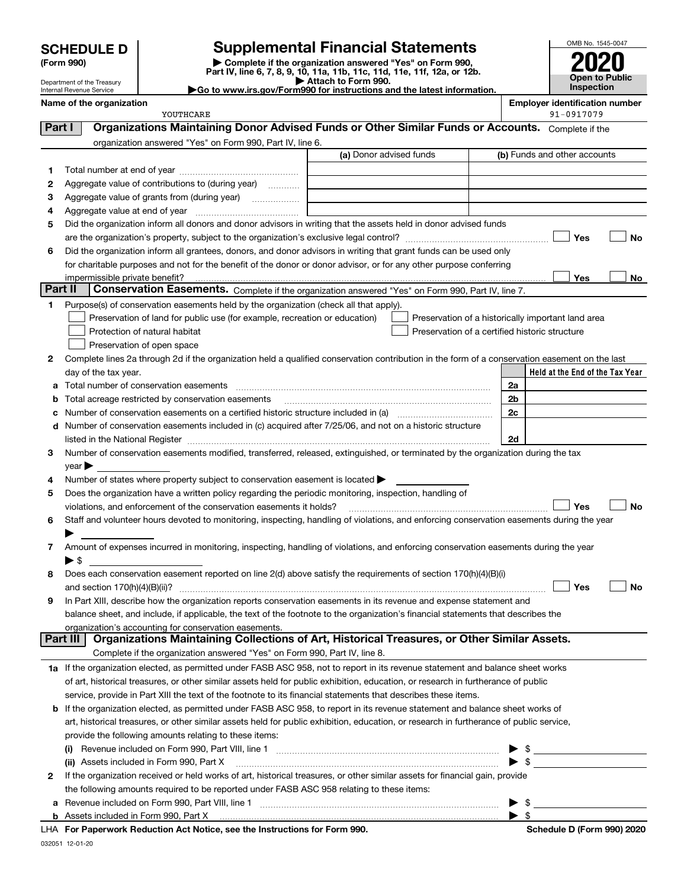Department of the Treasury Internal Revenue Service

# **SCHEDULE D Supplemental Financial Statements**

(Form 990)<br>
Pepartment of the Treasury<br>
Department of the Treasury<br>
Department of the Treasury<br>
Department of the Treasury<br> **Co to www.irs.gov/Form990 for instructions and the latest information.**<br> **Co to www.irs.gov/Form9** 



|                | Name of the organization<br>YOUTHCARE                                                                                                                                                                                         | <b>Employer identification number</b><br>91-0917079 |
|----------------|-------------------------------------------------------------------------------------------------------------------------------------------------------------------------------------------------------------------------------|-----------------------------------------------------|
| Part I         | Organizations Maintaining Donor Advised Funds or Other Similar Funds or Accounts. Complete if the                                                                                                                             |                                                     |
|                | organization answered "Yes" on Form 990, Part IV, line 6.                                                                                                                                                                     |                                                     |
|                | (a) Donor advised funds                                                                                                                                                                                                       | (b) Funds and other accounts                        |
| 1.             |                                                                                                                                                                                                                               |                                                     |
| 2              | Aggregate value of contributions to (during year)                                                                                                                                                                             |                                                     |
| 3              | Aggregate value of grants from (during year)                                                                                                                                                                                  |                                                     |
| 4              |                                                                                                                                                                                                                               |                                                     |
| 5              | Did the organization inform all donors and donor advisors in writing that the assets held in donor advised funds                                                                                                              |                                                     |
|                | are the organization's property, subject to the organization's exclusive legal control? <i>manual control</i> contents                                                                                                        | Yes<br>No                                           |
| 6              | Did the organization inform all grantees, donors, and donor advisors in writing that grant funds can be used only                                                                                                             |                                                     |
|                | for charitable purposes and not for the benefit of the donor or donor advisor, or for any other purpose conferring                                                                                                            |                                                     |
|                | impermissible private benefit?                                                                                                                                                                                                | Yes<br>No                                           |
| <b>Part II</b> | Conservation Easements. Complete if the organization answered "Yes" on Form 990, Part IV, line 7.                                                                                                                             |                                                     |
| 1.             | Purpose(s) of conservation easements held by the organization (check all that apply).                                                                                                                                         |                                                     |
|                | Preservation of land for public use (for example, recreation or education)                                                                                                                                                    | Preservation of a historically important land area  |
|                | Protection of natural habitat<br>Preservation of a certified historic structure                                                                                                                                               |                                                     |
|                | Preservation of open space                                                                                                                                                                                                    |                                                     |
| 2              | Complete lines 2a through 2d if the organization held a qualified conservation contribution in the form of a conservation easement on the last                                                                                |                                                     |
|                | day of the tax year.                                                                                                                                                                                                          | Held at the End of the Tax Year                     |
| a              | Total number of conservation easements                                                                                                                                                                                        | 2a                                                  |
| b              | Total acreage restricted by conservation easements                                                                                                                                                                            | 2 <sub>b</sub>                                      |
|                |                                                                                                                                                                                                                               | 2c                                                  |
|                | d Number of conservation easements included in (c) acquired after 7/25/06, and not on a historic structure                                                                                                                    |                                                     |
|                | listed in the National Register [11, 1200] [12] The National Register [11, 1200] [12] The National Register [11, 1200] [12] The National Register [11, 1200] [12] The National Register [11, 1200] [12] The National Register | 2d                                                  |
| 3              | Number of conservation easements modified, transferred, released, extinguished, or terminated by the organization during the tax                                                                                              |                                                     |
|                | $year \blacktriangleright$                                                                                                                                                                                                    |                                                     |
| 4              | Number of states where property subject to conservation easement is located >                                                                                                                                                 |                                                     |
| 5              | Does the organization have a written policy regarding the periodic monitoring, inspection, handling of                                                                                                                        |                                                     |
|                | violations, and enforcement of the conservation easements it holds?<br>Staff and volunteer hours devoted to monitoring, inspecting, handling of violations, and enforcing conservation easements during the year              | Yes<br><b>No</b>                                    |
| 6              |                                                                                                                                                                                                                               |                                                     |
| 7              | Amount of expenses incurred in monitoring, inspecting, handling of violations, and enforcing conservation easements during the year                                                                                           |                                                     |
|                | $\blacktriangleright$ \$                                                                                                                                                                                                      |                                                     |
| 8              | Does each conservation easement reported on line 2(d) above satisfy the requirements of section 170(h)(4)(B)(i)                                                                                                               |                                                     |
|                |                                                                                                                                                                                                                               | Yes<br>No                                           |
|                | In Part XIII, describe how the organization reports conservation easements in its revenue and expense statement and                                                                                                           |                                                     |
|                | balance sheet, and include, if applicable, the text of the footnote to the organization's financial statements that describes the                                                                                             |                                                     |
|                | organization's accounting for conservation easements.                                                                                                                                                                         |                                                     |
|                | Organizations Maintaining Collections of Art, Historical Treasures, or Other Similar Assets.<br>Part III                                                                                                                      |                                                     |
|                | Complete if the organization answered "Yes" on Form 990, Part IV, line 8.                                                                                                                                                     |                                                     |
|                | 1a If the organization elected, as permitted under FASB ASC 958, not to report in its revenue statement and balance sheet works                                                                                               |                                                     |
|                | of art, historical treasures, or other similar assets held for public exhibition, education, or research in furtherance of public                                                                                             |                                                     |
|                | service, provide in Part XIII the text of the footnote to its financial statements that describes these items.                                                                                                                |                                                     |
|                | <b>b</b> If the organization elected, as permitted under FASB ASC 958, to report in its revenue statement and balance sheet works of                                                                                          |                                                     |
|                | art, historical treasures, or other similar assets held for public exhibition, education, or research in furtherance of public service,                                                                                       |                                                     |
|                | provide the following amounts relating to these items:                                                                                                                                                                        |                                                     |
|                |                                                                                                                                                                                                                               | $\blacktriangleright$ \$                            |
|                | (ii) Assets included in Form 990, Part X                                                                                                                                                                                      | $\bullet$ \$                                        |
| 2              | If the organization received or held works of art, historical treasures, or other similar assets for financial gain, provide                                                                                                  |                                                     |
|                | the following amounts required to be reported under FASB ASC 958 relating to these items:                                                                                                                                     |                                                     |
|                |                                                                                                                                                                                                                               | $\blacktriangleright$ \$                            |
|                |                                                                                                                                                                                                                               | $\blacktriangleright$ \$                            |

032051 12-01-20 **For Paperwork Reduction Act Notice, see the Instructions for Form 990. Schedule D (Form 990) 2020** LHA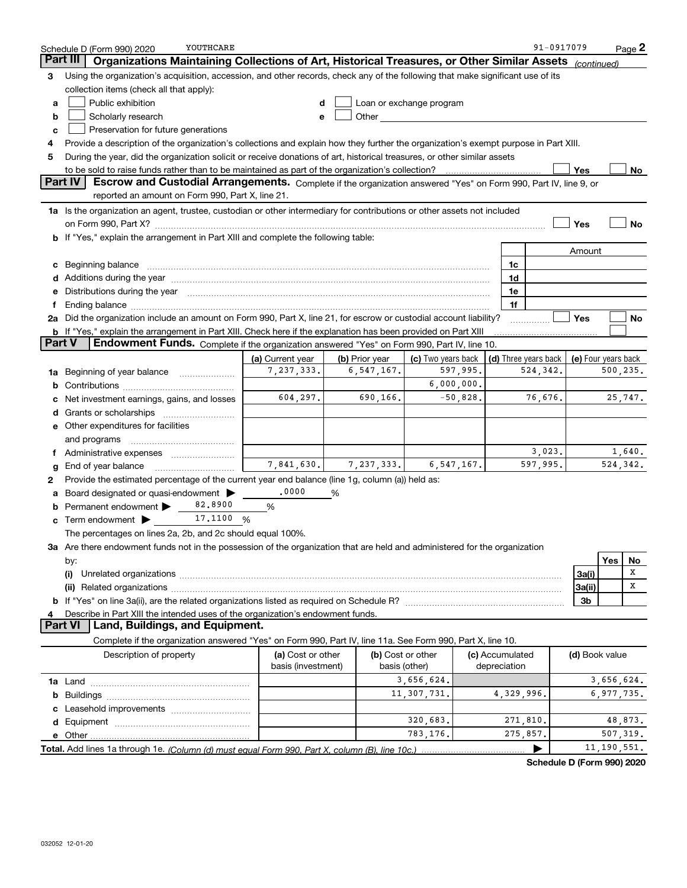|               | YOUTHCARE<br>Schedule D (Form 990) 2020                                                                                                                                                                                        |                                         |                |                                                                                                                                                                                                                                |              |              |                 | 91-0917079                 |                     |     | $Page$ 2      |
|---------------|--------------------------------------------------------------------------------------------------------------------------------------------------------------------------------------------------------------------------------|-----------------------------------------|----------------|--------------------------------------------------------------------------------------------------------------------------------------------------------------------------------------------------------------------------------|--------------|--------------|-----------------|----------------------------|---------------------|-----|---------------|
| Part II       | Organizations Maintaining Collections of Art, Historical Treasures, or Other Similar Assets                                                                                                                                    |                                         |                |                                                                                                                                                                                                                                |              |              |                 |                            | (continued)         |     |               |
| з             | Using the organization's acquisition, accession, and other records, check any of the following that make significant use of its                                                                                                |                                         |                |                                                                                                                                                                                                                                |              |              |                 |                            |                     |     |               |
|               | collection items (check all that apply):                                                                                                                                                                                       |                                         |                |                                                                                                                                                                                                                                |              |              |                 |                            |                     |     |               |
| a             | Public exhibition                                                                                                                                                                                                              | d                                       |                | Loan or exchange program                                                                                                                                                                                                       |              |              |                 |                            |                     |     |               |
| b             | Scholarly research                                                                                                                                                                                                             | e                                       |                | Other the contract of the contract of the contract of the contract of the contract of the contract of the contract of the contract of the contract of the contract of the contract of the contract of the contract of the cont |              |              |                 |                            |                     |     |               |
| c             | Preservation for future generations                                                                                                                                                                                            |                                         |                |                                                                                                                                                                                                                                |              |              |                 |                            |                     |     |               |
| 4             | Provide a description of the organization's collections and explain how they further the organization's exempt purpose in Part XIII.                                                                                           |                                         |                |                                                                                                                                                                                                                                |              |              |                 |                            |                     |     |               |
| 5             | During the year, did the organization solicit or receive donations of art, historical treasures, or other similar assets                                                                                                       |                                         |                |                                                                                                                                                                                                                                |              |              |                 |                            |                     |     |               |
|               | to be sold to raise funds rather than to be maintained as part of the organization's collection?                                                                                                                               |                                         |                |                                                                                                                                                                                                                                |              |              |                 |                            | Yes                 |     | No            |
|               | <b>Part IV</b><br>Escrow and Custodial Arrangements. Complete if the organization answered "Yes" on Form 990, Part IV, line 9, or                                                                                              |                                         |                |                                                                                                                                                                                                                                |              |              |                 |                            |                     |     |               |
|               | reported an amount on Form 990, Part X, line 21.                                                                                                                                                                               |                                         |                |                                                                                                                                                                                                                                |              |              |                 |                            |                     |     |               |
|               | 1a Is the organization an agent, trustee, custodian or other intermediary for contributions or other assets not included                                                                                                       |                                         |                |                                                                                                                                                                                                                                |              |              |                 |                            |                     |     |               |
|               |                                                                                                                                                                                                                                |                                         |                |                                                                                                                                                                                                                                |              |              |                 |                            | Yes                 |     | No            |
| b             | If "Yes," explain the arrangement in Part XIII and complete the following table:                                                                                                                                               |                                         |                |                                                                                                                                                                                                                                |              |              |                 |                            |                     |     |               |
|               |                                                                                                                                                                                                                                |                                         |                |                                                                                                                                                                                                                                |              |              |                 |                            | Amount              |     |               |
| с             | Beginning balance                                                                                                                                                                                                              |                                         |                |                                                                                                                                                                                                                                |              |              | 1c              |                            |                     |     |               |
| d             | Additions during the year manufactured and an annual contract of the year manufactured and all the year manufactured and all the year manufactured and all the year manufactured and all the year manufactured and all the yea |                                         |                |                                                                                                                                                                                                                                |              |              | 1d              |                            |                     |     |               |
| е             | Distributions during the year manufactured and continuum and contact the year manufactured and contact the year                                                                                                                |                                         |                |                                                                                                                                                                                                                                |              |              | 1e              |                            |                     |     |               |
| f             |                                                                                                                                                                                                                                |                                         |                |                                                                                                                                                                                                                                |              |              | 1f              |                            |                     |     |               |
| 2a            | Did the organization include an amount on Form 990, Part X, line 21, for escrow or custodial account liability?                                                                                                                |                                         |                |                                                                                                                                                                                                                                |              |              |                 |                            | Yes                 |     | No            |
| <b>Part V</b> | <b>b</b> If "Yes," explain the arrangement in Part XIII. Check here if the explanation has been provided on Part XIII<br><b>Endowment Funds.</b> Complete if the organization answered "Yes" on Form 990, Part IV, line 10.    |                                         |                |                                                                                                                                                                                                                                |              |              |                 |                            |                     |     |               |
|               |                                                                                                                                                                                                                                | (a) Current year                        | (b) Prior year | (c) Two years back                                                                                                                                                                                                             |              |              |                 | (d) Three years back       | (e) Four years back |     |               |
|               | Beginning of year balance <i>manumman</i>                                                                                                                                                                                      | 7,237,333.                              | 6,547,167.     |                                                                                                                                                                                                                                | 597,995.     |              |                 | 524,342.                   |                     |     | 500, 235.     |
| 1a            |                                                                                                                                                                                                                                |                                         |                |                                                                                                                                                                                                                                | 6,000,000.   |              |                 |                            |                     |     |               |
| b             | Net investment earnings, gains, and losses                                                                                                                                                                                     | 604,297.                                | 690,166.       |                                                                                                                                                                                                                                | $-50,828.$   |              |                 | 76,676.                    |                     |     | 25,747.       |
|               | Grants or scholarships                                                                                                                                                                                                         |                                         |                |                                                                                                                                                                                                                                |              |              |                 |                            |                     |     |               |
| d<br>е        | Other expenditures for facilities                                                                                                                                                                                              |                                         |                |                                                                                                                                                                                                                                |              |              |                 |                            |                     |     |               |
|               | and programs                                                                                                                                                                                                                   |                                         |                |                                                                                                                                                                                                                                |              |              |                 |                            |                     |     |               |
| Ť.            | Administrative expenses <i>manually communicative</i>                                                                                                                                                                          |                                         |                |                                                                                                                                                                                                                                |              |              |                 | 3,023.                     |                     |     | 1,640.        |
| g             | End of year balance                                                                                                                                                                                                            | 7,841,630.                              | 7,237,333.     |                                                                                                                                                                                                                                | 6, 547, 167. |              |                 | 597,995.                   |                     |     | 524,342.      |
| 2             | Provide the estimated percentage of the current year end balance (line 1g, column (a)) held as:                                                                                                                                |                                         |                |                                                                                                                                                                                                                                |              |              |                 |                            |                     |     |               |
|               | Board designated or quasi-endowment                                                                                                                                                                                            | .0000                                   | %              |                                                                                                                                                                                                                                |              |              |                 |                            |                     |     |               |
|               | 82,8900<br>Permanent endowment                                                                                                                                                                                                 | %                                       |                |                                                                                                                                                                                                                                |              |              |                 |                            |                     |     |               |
| с             | $17.1100\%$<br>Term endowment $\blacktriangleright$                                                                                                                                                                            |                                         |                |                                                                                                                                                                                                                                |              |              |                 |                            |                     |     |               |
|               | The percentages on lines 2a, 2b, and 2c should equal 100%.                                                                                                                                                                     |                                         |                |                                                                                                                                                                                                                                |              |              |                 |                            |                     |     |               |
|               | 3a Are there endowment funds not in the possession of the organization that are held and administered for the organization                                                                                                     |                                         |                |                                                                                                                                                                                                                                |              |              |                 |                            |                     |     |               |
|               | by:                                                                                                                                                                                                                            |                                         |                |                                                                                                                                                                                                                                |              |              |                 |                            |                     | Yes | No            |
|               | (i)                                                                                                                                                                                                                            |                                         |                |                                                                                                                                                                                                                                |              |              |                 |                            | 3a(i)               |     | x             |
|               |                                                                                                                                                                                                                                |                                         |                |                                                                                                                                                                                                                                |              |              |                 |                            | 3a(ii)              |     | x             |
|               |                                                                                                                                                                                                                                |                                         |                |                                                                                                                                                                                                                                |              |              |                 |                            | 3 <sub>b</sub>      |     |               |
|               | Describe in Part XIII the intended uses of the organization's endowment funds.                                                                                                                                                 |                                         |                |                                                                                                                                                                                                                                |              |              |                 |                            |                     |     |               |
|               | Part VI<br>Land, Buildings, and Equipment.                                                                                                                                                                                     |                                         |                |                                                                                                                                                                                                                                |              |              |                 |                            |                     |     |               |
|               | Complete if the organization answered "Yes" on Form 990, Part IV, line 11a. See Form 990, Part X, line 10.                                                                                                                     |                                         |                |                                                                                                                                                                                                                                |              |              |                 |                            |                     |     |               |
|               | Description of property                                                                                                                                                                                                        | (a) Cost or other<br>basis (investment) |                | (b) Cost or other<br>basis (other)                                                                                                                                                                                             |              | depreciation | (c) Accumulated |                            | (d) Book value      |     |               |
|               |                                                                                                                                                                                                                                |                                         |                | 3,656,624.                                                                                                                                                                                                                     |              |              |                 |                            |                     |     | 3,656,624.    |
| b             |                                                                                                                                                                                                                                |                                         |                | 11,307,731.                                                                                                                                                                                                                    |              |              | 4,329,996.      |                            |                     |     | 6,977,735.    |
|               |                                                                                                                                                                                                                                |                                         |                |                                                                                                                                                                                                                                |              |              |                 |                            |                     |     |               |
| d             |                                                                                                                                                                                                                                |                                         |                | 320,683.                                                                                                                                                                                                                       |              |              | 271,810.        |                            |                     |     | 48,873.       |
|               |                                                                                                                                                                                                                                |                                         |                | 783,176.                                                                                                                                                                                                                       |              |              | 275,857.        |                            |                     |     | 507,319.      |
|               |                                                                                                                                                                                                                                |                                         |                |                                                                                                                                                                                                                                |              |              |                 |                            |                     |     | 11, 190, 551. |
|               |                                                                                                                                                                                                                                |                                         |                |                                                                                                                                                                                                                                |              |              |                 | Schodule D (Form 000) 2020 |                     |     |               |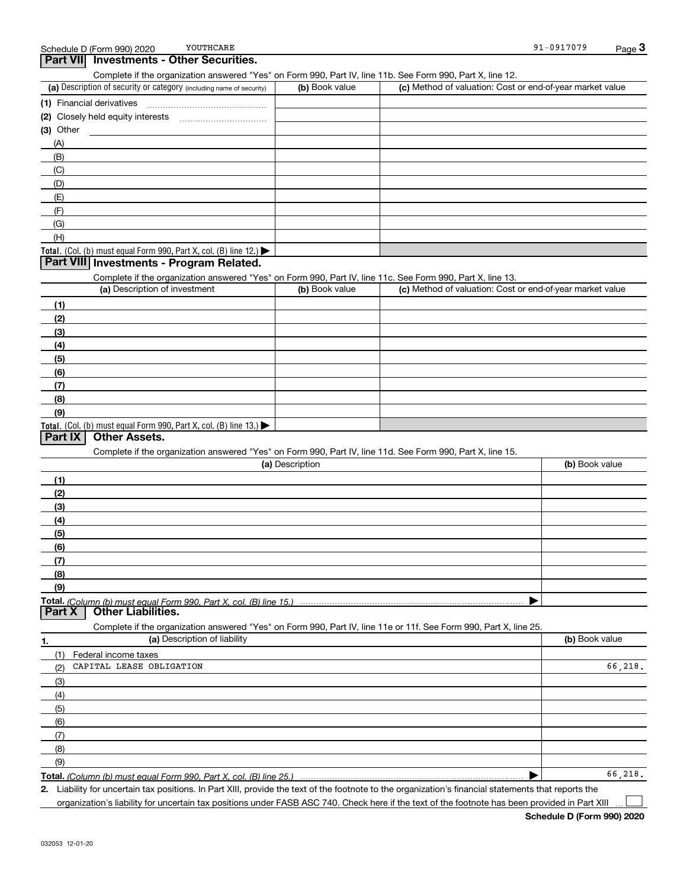91-0917079

### **Part VII Investments - Other Securities.**

Complete if the organization answered "Yes" on Form 990, Part IV, line 11b. See Form 990, Part X, line 12.

| (a) Description of security or category (including name of security)                   | (b) Book value | (c) Method of valuation: Cost or end-of-year market value |
|----------------------------------------------------------------------------------------|----------------|-----------------------------------------------------------|
| (1) Financial derivatives                                                              |                |                                                           |
| (2) Closely held equity interests                                                      |                |                                                           |
| $(3)$ Other                                                                            |                |                                                           |
| (A)                                                                                    |                |                                                           |
| (B)                                                                                    |                |                                                           |
| (C)                                                                                    |                |                                                           |
| (D)                                                                                    |                |                                                           |
| (E)                                                                                    |                |                                                           |
| (F)                                                                                    |                |                                                           |
| (G)                                                                                    |                |                                                           |
| (H)                                                                                    |                |                                                           |
| Total. (Col. (b) must equal Form 990, Part X, col. (B) line 12.) $\blacktriangleright$ |                |                                                           |

### **Part VIII Investments - Program Related.**

Complete if the organization answered "Yes" on Form 990, Part IV, line 11c. See Form 990, Part X, line 13.

| (a) Description of investment                                                          | (b) Book value | (c) Method of valuation: Cost or end-of-year market value |
|----------------------------------------------------------------------------------------|----------------|-----------------------------------------------------------|
| (1)                                                                                    |                |                                                           |
| (2)                                                                                    |                |                                                           |
| $\frac{1}{2}$                                                                          |                |                                                           |
| (4)                                                                                    |                |                                                           |
| $\frac{1}{2}$                                                                          |                |                                                           |
| (6)                                                                                    |                |                                                           |
| $\sqrt{(7)}$                                                                           |                |                                                           |
| (8)                                                                                    |                |                                                           |
| (9)                                                                                    |                |                                                           |
| Total. (Col. (b) must equal Form 990, Part X, col. (B) line 13.) $\blacktriangleright$ |                |                                                           |

### **Part IX Other Assets.**

Complete if the organization answered "Yes" on Form 990, Part IV, line 11d. See Form 990, Part X, line 15.

|        | (a) Description                                                                                                   | (b) Book value |
|--------|-------------------------------------------------------------------------------------------------------------------|----------------|
| (1)    |                                                                                                                   |                |
| (2)    |                                                                                                                   |                |
| (3)    |                                                                                                                   |                |
| (4)    |                                                                                                                   |                |
| (5)    |                                                                                                                   |                |
| (6)    |                                                                                                                   |                |
| (7)    |                                                                                                                   |                |
| (8)    |                                                                                                                   |                |
| (9)    |                                                                                                                   |                |
|        |                                                                                                                   |                |
| Part X | <b>Other Liabilities.</b>                                                                                         |                |
|        | Complete if the organization answered "Yes" on Form 990, Part IV, line 11e or 11f. See Form 990, Part X, line 25. |                |
| 1.     | (a) Description of liability                                                                                      | (b) Book value |

|                     | (a) Description of Ilability | (b) BOOK Value |
|---------------------|------------------------------|----------------|
| (1)                 | Federal income taxes         |                |
| (2)                 | CAPITAL LEASE OBLIGATION     | 66,218.        |
| $\qquad \qquad (3)$ |                              |                |
| (4)                 |                              |                |
| (5)                 |                              |                |
| (6)                 |                              |                |
| (7)                 |                              |                |
| (8)                 |                              |                |
| (9)                 |                              |                |
|                     |                              | 66,218.        |

**Total.**  *(Column (b) must equal Form 990, Part X, col. (B) line 25.)*

**2.** Liability for uncertain tax positions. In Part XIII, provide the text of the footnote to the organization's financial statements that reports the organization's liability for uncertain tax positions under FASB ASC 740. Check here if the text of the footnote has been provided in Part XIII  $\mathcal{L}^{\text{max}}$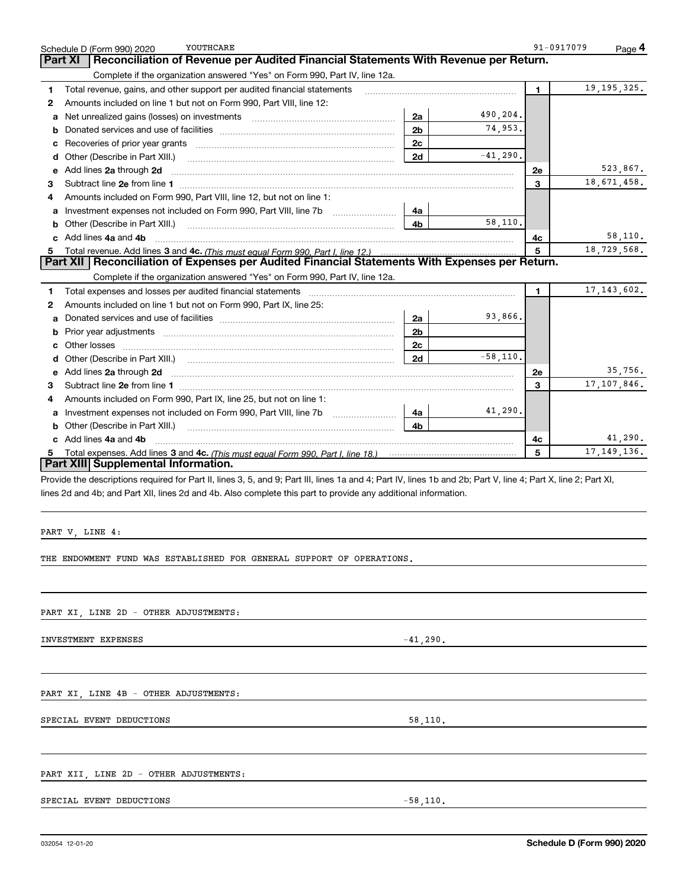|        | Provide the descriptions required for Part II, lines 3, 5, and 9; Part III, lines 1a and 4; Part IV, lines 1b and 2b; Part V, line 4; Part X, line 2; Part XI,<br>lines 2d and 4b; and Part XII, lines 2d and 4b. Also complete this part to provide any additional information.<br>PART V, LINE 4:<br>THE ENDOWMENT FUND WAS ESTABLISHED FOR GENERAL SUPPORT OF OPERATIONS.<br>PART XI, LINE 2D - OTHER ADJUSTMENTS:<br>INVESTMENT EXPENSES<br>PART XI, LINE 4B - OTHER ADJUSTMENTS:<br>SPECIAL EVENT DEDUCTIONS | $-41,290.$<br>58,110. |            |              |                          |
|--------|-------------------------------------------------------------------------------------------------------------------------------------------------------------------------------------------------------------------------------------------------------------------------------------------------------------------------------------------------------------------------------------------------------------------------------------------------------------------------------------------------------------------|-----------------------|------------|--------------|--------------------------|
|        |                                                                                                                                                                                                                                                                                                                                                                                                                                                                                                                   |                       |            |              |                          |
|        |                                                                                                                                                                                                                                                                                                                                                                                                                                                                                                                   |                       |            |              |                          |
|        |                                                                                                                                                                                                                                                                                                                                                                                                                                                                                                                   |                       |            |              |                          |
|        |                                                                                                                                                                                                                                                                                                                                                                                                                                                                                                                   |                       |            |              |                          |
|        |                                                                                                                                                                                                                                                                                                                                                                                                                                                                                                                   |                       |            |              |                          |
|        |                                                                                                                                                                                                                                                                                                                                                                                                                                                                                                                   |                       |            |              |                          |
|        |                                                                                                                                                                                                                                                                                                                                                                                                                                                                                                                   |                       |            |              |                          |
|        |                                                                                                                                                                                                                                                                                                                                                                                                                                                                                                                   |                       |            |              |                          |
|        |                                                                                                                                                                                                                                                                                                                                                                                                                                                                                                                   |                       |            |              |                          |
|        |                                                                                                                                                                                                                                                                                                                                                                                                                                                                                                                   |                       |            |              |                          |
| 5      | Part XIII Supplemental Information.                                                                                                                                                                                                                                                                                                                                                                                                                                                                               |                       |            | 5            |                          |
|        | c Add lines 4a and 4b                                                                                                                                                                                                                                                                                                                                                                                                                                                                                             |                       |            | 4с           | 41,290.<br>17, 149, 136. |
| b      | Other (Describe in Part XIII.)                                                                                                                                                                                                                                                                                                                                                                                                                                                                                    | 4b                    |            |              |                          |
| a      | Investment expenses not included on Form 990, Part VIII, line 7b [ <i>[[[[[[[[[[[]]]</i>                                                                                                                                                                                                                                                                                                                                                                                                                          | 4a                    | 41,290.    |              |                          |
| 3<br>4 | Amounts included on Form 990, Part IX, line 25, but not on line 1:                                                                                                                                                                                                                                                                                                                                                                                                                                                |                       |            |              |                          |
| е      | Add lines 2a through 2d                                                                                                                                                                                                                                                                                                                                                                                                                                                                                           |                       |            | 2e<br>3      | 17, 107, 846.            |
| d      | Other (Describe in Part XIII.) (2000) (2000) (2000) (2000) (2000) (2000) (2000) (2000) (2000) (2000) (2000) (2000) (2000) (2000) (2000) (2000) (2000) (2000) (2000) (2000) (2000) (2000) (2000) (2000) (2000) (2000) (2000) (2                                                                                                                                                                                                                                                                                    | 2d                    |            |              | 35,756.                  |
| с      | Other losses                                                                                                                                                                                                                                                                                                                                                                                                                                                                                                      | 2c                    | $-58,110.$ |              |                          |
| b      | Prior year adjustments communications and contract the contract of the contract of the contract of the contract of the contract of the contract of the contract of the contract of the contract of the contract of the contrac                                                                                                                                                                                                                                                                                    | 2b                    |            |              |                          |
| a      |                                                                                                                                                                                                                                                                                                                                                                                                                                                                                                                   | 2a                    | 93,866.    |              |                          |
| 2      | Amounts included on line 1 but not on Form 990, Part IX, line 25:                                                                                                                                                                                                                                                                                                                                                                                                                                                 |                       |            |              |                          |
| 1      | Total expenses and losses per audited financial statements                                                                                                                                                                                                                                                                                                                                                                                                                                                        |                       |            | $\mathbf{1}$ | 17, 143, 602.            |
|        | Complete if the organization answered "Yes" on Form 990, Part IV, line 12a.                                                                                                                                                                                                                                                                                                                                                                                                                                       |                       |            |              |                          |
|        | Part XII   Reconciliation of Expenses per Audited Financial Statements With Expenses per Return.                                                                                                                                                                                                                                                                                                                                                                                                                  |                       |            |              |                          |
| 5      |                                                                                                                                                                                                                                                                                                                                                                                                                                                                                                                   |                       |            | 5            | 18,729,568.              |
| c      | Add lines 4a and 4b                                                                                                                                                                                                                                                                                                                                                                                                                                                                                               |                       |            | 4c           | 58,110.                  |
| b      | Other (Describe in Part XIII.)                                                                                                                                                                                                                                                                                                                                                                                                                                                                                    | 4b                    | 58,110.    |              |                          |
| a      | Investment expenses not included on Form 990, Part VIII, line 7b                                                                                                                                                                                                                                                                                                                                                                                                                                                  | 4a                    |            |              |                          |
| 4      | Amounts included on Form 990, Part VIII, line 12, but not on line 1:                                                                                                                                                                                                                                                                                                                                                                                                                                              |                       |            |              |                          |
| 3      |                                                                                                                                                                                                                                                                                                                                                                                                                                                                                                                   |                       |            | 3            | 18,671,458.              |
| е      | Add lines 2a through 2d                                                                                                                                                                                                                                                                                                                                                                                                                                                                                           |                       |            | 2e           | 523,867.                 |
| d      | Other (Describe in Part XIII.)                                                                                                                                                                                                                                                                                                                                                                                                                                                                                    | 2d                    | $-41,290.$ |              |                          |
|        |                                                                                                                                                                                                                                                                                                                                                                                                                                                                                                                   | 2c                    |            |              |                          |
| c      | Net unrealized gains (losses) on investments [11] matter contracts and all of the unrealized saints (losses) on investments [11] matter contracts and all of the unrest of the unrest of the unrest of the unrest of the unres                                                                                                                                                                                                                                                                                    | 2b                    | 74,953.    |              |                          |
| a<br>b |                                                                                                                                                                                                                                                                                                                                                                                                                                                                                                                   | 2a                    | 490,204.   |              |                          |

Schedule D (Form 990) 2020 YOUTHCARE Page 4

**Part XI Reconciliation of Revenue per Audited Financial Statements With Revenue per Return.** 

**1**

91-0917079

19,195,325.

**1**Total revenue, gains, and other support per audited financial statements **2** Amounts included on line 1 but not on Form 990, Part VIII, line 12:

YOUTHCARE

Complete if the organization answered "Yes" on Form 990, Part IV, line 12a.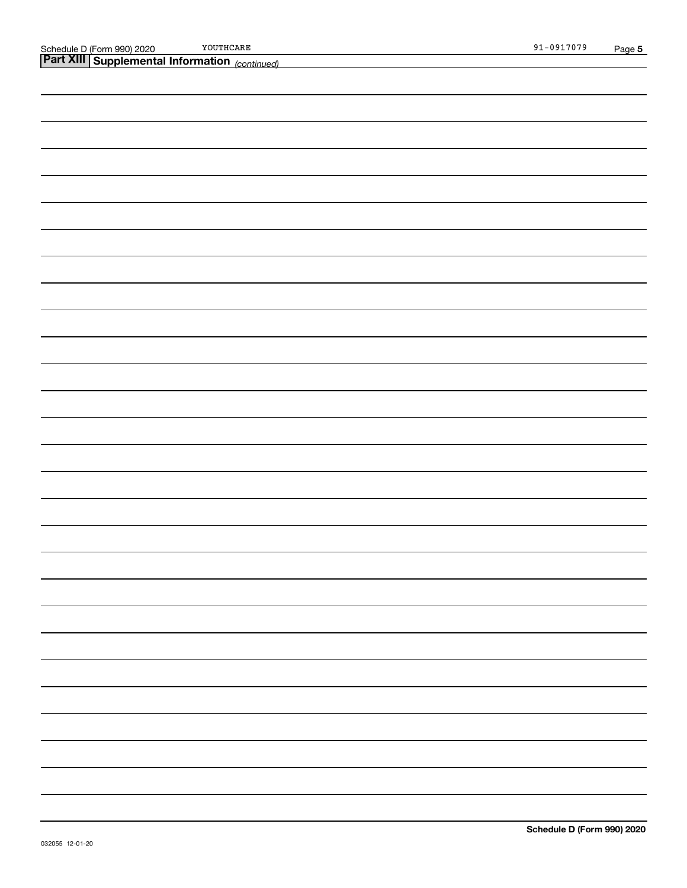|                                                                                                 | 91-0917079 | Page 5 |
|-------------------------------------------------------------------------------------------------|------------|--------|
| Schedule D (Form 990) 2020 YOUTHCARE<br><b>Part XIII   Supplemental Information</b> (continued) |            |        |
|                                                                                                 |            |        |
|                                                                                                 |            |        |
|                                                                                                 |            |        |
|                                                                                                 |            |        |
|                                                                                                 |            |        |
|                                                                                                 |            |        |
|                                                                                                 |            |        |
|                                                                                                 |            |        |
|                                                                                                 |            |        |
|                                                                                                 |            |        |
|                                                                                                 |            |        |
|                                                                                                 |            |        |
|                                                                                                 |            |        |
|                                                                                                 |            |        |
|                                                                                                 |            |        |
|                                                                                                 |            |        |
|                                                                                                 |            |        |
|                                                                                                 |            |        |
|                                                                                                 |            |        |
|                                                                                                 |            |        |
|                                                                                                 |            |        |
|                                                                                                 |            |        |
|                                                                                                 |            |        |
|                                                                                                 |            |        |
|                                                                                                 |            |        |
|                                                                                                 |            |        |
|                                                                                                 |            |        |
|                                                                                                 |            |        |
|                                                                                                 |            |        |
|                                                                                                 |            |        |
|                                                                                                 |            |        |
|                                                                                                 |            |        |
|                                                                                                 |            |        |
|                                                                                                 |            |        |
|                                                                                                 |            |        |
|                                                                                                 |            |        |
|                                                                                                 |            |        |
|                                                                                                 |            |        |
|                                                                                                 |            |        |
|                                                                                                 |            |        |
|                                                                                                 |            |        |
|                                                                                                 |            |        |
|                                                                                                 |            |        |
|                                                                                                 |            |        |
|                                                                                                 |            |        |
|                                                                                                 |            |        |
|                                                                                                 |            |        |
|                                                                                                 |            |        |
|                                                                                                 |            |        |
|                                                                                                 |            |        |
|                                                                                                 |            |        |
|                                                                                                 |            |        |
|                                                                                                 |            |        |
|                                                                                                 |            |        |
|                                                                                                 |            |        |
|                                                                                                 |            |        |
|                                                                                                 |            |        |
|                                                                                                 |            |        |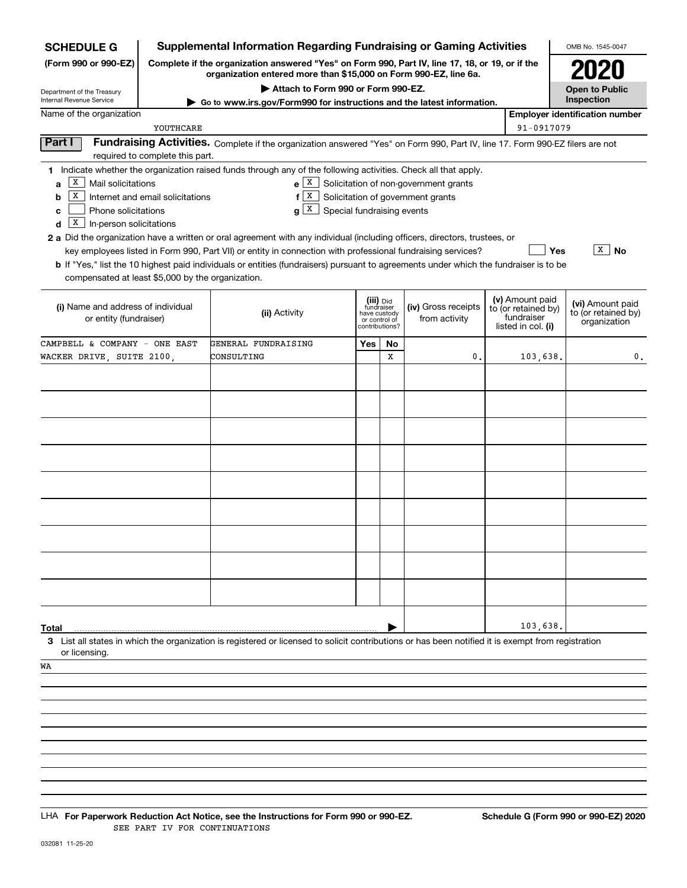| <b>SCHEDULE G</b>                                             |                                                                                                                                                | <b>Supplemental Information Regarding Fundraising or Gaming Activities</b>                                                                                                                                                                           |     |                                         |                     |  |                                  | OMB No. 1545-0047                                   |  |  |  |  |  |
|---------------------------------------------------------------|------------------------------------------------------------------------------------------------------------------------------------------------|------------------------------------------------------------------------------------------------------------------------------------------------------------------------------------------------------------------------------------------------------|-----|-----------------------------------------|---------------------|--|----------------------------------|-----------------------------------------------------|--|--|--|--|--|
| (Form 990 or 990-EZ)                                          |                                                                                                                                                | Complete if the organization answered "Yes" on Form 990, Part IV, line 17, 18, or 19, or if the<br>organization entered more than \$15,000 on Form 990-EZ, line 6a.                                                                                  |     |                                         |                     |  |                                  |                                                     |  |  |  |  |  |
| Department of the Treasury                                    |                                                                                                                                                | Attach to Form 990 or Form 990-EZ.                                                                                                                                                                                                                   |     |                                         |                     |  |                                  | <b>Open to Public</b>                               |  |  |  |  |  |
| Internal Revenue Service<br>Name of the organization          |                                                                                                                                                | ► Go to www.irs.gov/Form990 for instructions and the latest information.                                                                                                                                                                             |     |                                         |                     |  |                                  | Inspection<br><b>Employer identification number</b> |  |  |  |  |  |
|                                                               | YOUTHCARE                                                                                                                                      |                                                                                                                                                                                                                                                      |     |                                         |                     |  | 91-0917079                       |                                                     |  |  |  |  |  |
| Part I                                                        |                                                                                                                                                | Fundraising Activities. Complete if the organization answered "Yes" on Form 990, Part IV, line 17. Form 990-EZ filers are not                                                                                                                        |     |                                         |                     |  |                                  |                                                     |  |  |  |  |  |
| required to complete this part.                               |                                                                                                                                                |                                                                                                                                                                                                                                                      |     |                                         |                     |  |                                  |                                                     |  |  |  |  |  |
| Х<br>Mail solicitations                                       |                                                                                                                                                | 1 Indicate whether the organization raised funds through any of the following activities. Check all that apply.<br>$e$   X                                                                                                                           |     |                                         |                     |  |                                  |                                                     |  |  |  |  |  |
| a                                                             | Solicitation of non-government grants<br>ΙX<br>Solicitation of government grants<br>$\mathbf{X}$<br>Internet and email solicitations<br>f<br>b |                                                                                                                                                                                                                                                      |     |                                         |                     |  |                                  |                                                     |  |  |  |  |  |
| g X<br>Special fundraising events<br>Phone solicitations<br>c |                                                                                                                                                |                                                                                                                                                                                                                                                      |     |                                         |                     |  |                                  |                                                     |  |  |  |  |  |
| x<br>In-person solicitations<br>d                             |                                                                                                                                                |                                                                                                                                                                                                                                                      |     |                                         |                     |  |                                  |                                                     |  |  |  |  |  |
|                                                               |                                                                                                                                                | 2 a Did the organization have a written or oral agreement with any individual (including officers, directors, trustees, or                                                                                                                           |     |                                         |                     |  |                                  |                                                     |  |  |  |  |  |
|                                                               |                                                                                                                                                | key employees listed in Form 990, Part VII) or entity in connection with professional fundraising services?<br>b If "Yes," list the 10 highest paid individuals or entities (fundraisers) pursuant to agreements under which the fundraiser is to be |     |                                         |                     |  |                                  | х<br><b>No</b><br>Yes                               |  |  |  |  |  |
| compensated at least \$5,000 by the organization.             |                                                                                                                                                |                                                                                                                                                                                                                                                      |     |                                         |                     |  |                                  |                                                     |  |  |  |  |  |
|                                                               |                                                                                                                                                |                                                                                                                                                                                                                                                      |     |                                         |                     |  | (v) Amount paid                  |                                                     |  |  |  |  |  |
| (i) Name and address of individual                            |                                                                                                                                                | (ii) Activity                                                                                                                                                                                                                                        |     | (iii) Did<br>fundraiser<br>have custody | (iv) Gross receipts |  | to (or retained by)              | (vi) Amount paid<br>to (or retained by)             |  |  |  |  |  |
| or entity (fundraiser)                                        |                                                                                                                                                |                                                                                                                                                                                                                                                      |     | or control of<br>contributions?         | from activity       |  | fundraiser<br>listed in col. (i) | organization                                        |  |  |  |  |  |
| CAMPBELL & COMPANY - ONE EAST                                 |                                                                                                                                                | GENERAL FUNDRAISING                                                                                                                                                                                                                                  | Yes | <b>No</b>                               |                     |  |                                  |                                                     |  |  |  |  |  |
| WACKER DRIVE, SUITE 2100,                                     |                                                                                                                                                | CONSULTING                                                                                                                                                                                                                                           |     | х                                       | $\mathbf{0}$        |  | 103,638.                         | 0.                                                  |  |  |  |  |  |
|                                                               |                                                                                                                                                |                                                                                                                                                                                                                                                      |     |                                         |                     |  |                                  |                                                     |  |  |  |  |  |
|                                                               |                                                                                                                                                |                                                                                                                                                                                                                                                      |     |                                         |                     |  |                                  |                                                     |  |  |  |  |  |
|                                                               |                                                                                                                                                |                                                                                                                                                                                                                                                      |     |                                         |                     |  |                                  |                                                     |  |  |  |  |  |
|                                                               |                                                                                                                                                |                                                                                                                                                                                                                                                      |     |                                         |                     |  |                                  |                                                     |  |  |  |  |  |
|                                                               |                                                                                                                                                |                                                                                                                                                                                                                                                      |     |                                         |                     |  |                                  |                                                     |  |  |  |  |  |
|                                                               |                                                                                                                                                |                                                                                                                                                                                                                                                      |     |                                         |                     |  |                                  |                                                     |  |  |  |  |  |
|                                                               |                                                                                                                                                |                                                                                                                                                                                                                                                      |     |                                         |                     |  |                                  |                                                     |  |  |  |  |  |
|                                                               |                                                                                                                                                |                                                                                                                                                                                                                                                      |     |                                         |                     |  |                                  |                                                     |  |  |  |  |  |
|                                                               |                                                                                                                                                |                                                                                                                                                                                                                                                      |     |                                         |                     |  |                                  |                                                     |  |  |  |  |  |
|                                                               |                                                                                                                                                |                                                                                                                                                                                                                                                      |     |                                         |                     |  |                                  |                                                     |  |  |  |  |  |
|                                                               |                                                                                                                                                |                                                                                                                                                                                                                                                      |     |                                         |                     |  |                                  |                                                     |  |  |  |  |  |
|                                                               |                                                                                                                                                |                                                                                                                                                                                                                                                      |     |                                         |                     |  |                                  |                                                     |  |  |  |  |  |
|                                                               |                                                                                                                                                |                                                                                                                                                                                                                                                      |     |                                         |                     |  |                                  |                                                     |  |  |  |  |  |
|                                                               |                                                                                                                                                |                                                                                                                                                                                                                                                      |     |                                         |                     |  |                                  |                                                     |  |  |  |  |  |
|                                                               |                                                                                                                                                |                                                                                                                                                                                                                                                      |     |                                         |                     |  |                                  |                                                     |  |  |  |  |  |
| Total                                                         |                                                                                                                                                |                                                                                                                                                                                                                                                      |     |                                         |                     |  | 103,638.                         |                                                     |  |  |  |  |  |
| or licensing.                                                 |                                                                                                                                                | 3 List all states in which the organization is registered or licensed to solicit contributions or has been notified it is exempt from registration                                                                                                   |     |                                         |                     |  |                                  |                                                     |  |  |  |  |  |
| WA                                                            |                                                                                                                                                |                                                                                                                                                                                                                                                      |     |                                         |                     |  |                                  |                                                     |  |  |  |  |  |
|                                                               |                                                                                                                                                |                                                                                                                                                                                                                                                      |     |                                         |                     |  |                                  |                                                     |  |  |  |  |  |
|                                                               |                                                                                                                                                |                                                                                                                                                                                                                                                      |     |                                         |                     |  |                                  |                                                     |  |  |  |  |  |
|                                                               |                                                                                                                                                |                                                                                                                                                                                                                                                      |     |                                         |                     |  |                                  |                                                     |  |  |  |  |  |
|                                                               |                                                                                                                                                |                                                                                                                                                                                                                                                      |     |                                         |                     |  |                                  |                                                     |  |  |  |  |  |
|                                                               |                                                                                                                                                |                                                                                                                                                                                                                                                      |     |                                         |                     |  |                                  |                                                     |  |  |  |  |  |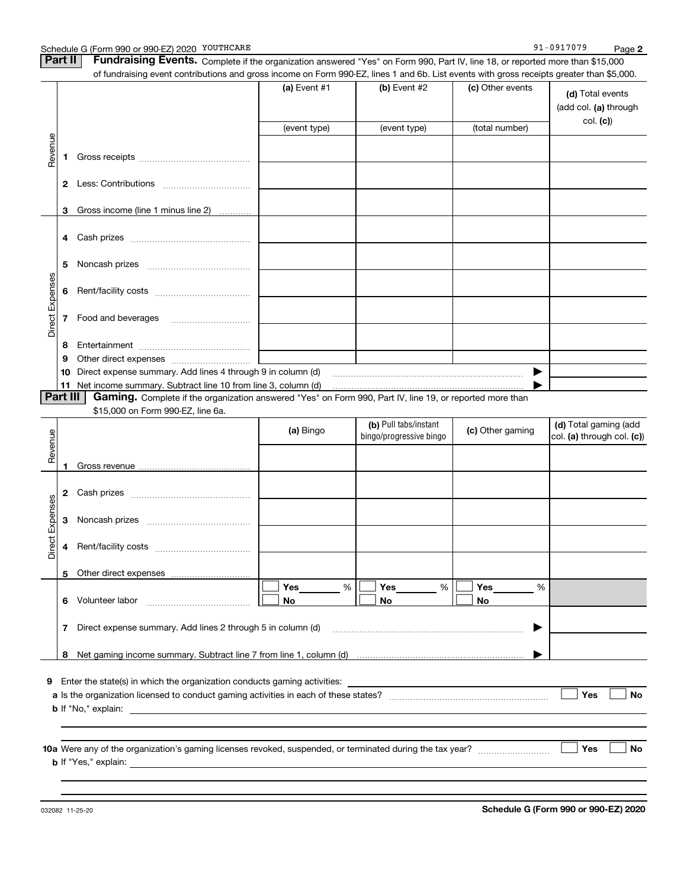|  | Schedule G (Form 990 or 990-EZ) 2020 YOUTHCARE |  | 91-0917079 | Page |  |
|--|------------------------------------------------|--|------------|------|--|
|--|------------------------------------------------|--|------------|------|--|

**Part II** | Fundraising Events. Complete if the organization answered "Yes" on Form 990, Part IV, line 18, or reported more than \$15,000

|                 |                | of fundraising event contributions and gross income on Form 990-EZ, lines 1 and 6b. List events with gross receipts greater than \$5,000. |              |                                                  |      |                  |                                                     |  |  |  |
|-----------------|----------------|-------------------------------------------------------------------------------------------------------------------------------------------|--------------|--------------------------------------------------|------|------------------|-----------------------------------------------------|--|--|--|
|                 |                |                                                                                                                                           | (a) Event #1 | (b) Event #2                                     |      | (c) Other events | (d) Total events<br>(add col. (a) through           |  |  |  |
|                 |                |                                                                                                                                           | (event type) | (event type)                                     |      | (total number)   | col. (c)                                            |  |  |  |
|                 |                |                                                                                                                                           |              |                                                  |      |                  |                                                     |  |  |  |
| Revenue         | 1              |                                                                                                                                           |              |                                                  |      |                  |                                                     |  |  |  |
|                 |                |                                                                                                                                           |              |                                                  |      |                  |                                                     |  |  |  |
|                 | 3              | Gross income (line 1 minus line 2)                                                                                                        |              |                                                  |      |                  |                                                     |  |  |  |
|                 |                |                                                                                                                                           |              |                                                  |      |                  |                                                     |  |  |  |
|                 | 5              |                                                                                                                                           |              |                                                  |      |                  |                                                     |  |  |  |
|                 | 6              |                                                                                                                                           |              |                                                  |      |                  |                                                     |  |  |  |
| Direct Expenses | 7              |                                                                                                                                           |              |                                                  |      |                  |                                                     |  |  |  |
|                 | 8              |                                                                                                                                           |              |                                                  |      |                  |                                                     |  |  |  |
|                 | 9              |                                                                                                                                           |              |                                                  |      |                  |                                                     |  |  |  |
|                 | 10             | Direct expense summary. Add lines 4 through 9 in column (d) matures and the content of the summan content of the                          |              |                                                  |      |                  | ▶                                                   |  |  |  |
|                 | 11             |                                                                                                                                           |              |                                                  |      |                  |                                                     |  |  |  |
|                 | Part III       | Gaming. Complete if the organization answered "Yes" on Form 990, Part IV, line 19, or reported more than                                  |              |                                                  |      |                  |                                                     |  |  |  |
|                 |                | \$15,000 on Form 990-EZ, line 6a.                                                                                                         |              |                                                  |      |                  |                                                     |  |  |  |
|                 |                |                                                                                                                                           | (a) Bingo    | (b) Pull tabs/instant<br>bingo/progressive bingo |      | (c) Other gaming | (d) Total gaming (add<br>col. (a) through col. (c)) |  |  |  |
| Revenue         |                |                                                                                                                                           |              |                                                  |      |                  |                                                     |  |  |  |
|                 | 1              |                                                                                                                                           |              |                                                  |      |                  |                                                     |  |  |  |
|                 |                |                                                                                                                                           |              |                                                  |      |                  |                                                     |  |  |  |
|                 | 2              | Cash prizes [111] Cash prizes [11] Cash prizes [11] Cash prizes [11] Casar Dividend Dividend Dividend Dividend D                          |              |                                                  |      |                  |                                                     |  |  |  |
| Direct Expenses | 3              |                                                                                                                                           |              |                                                  |      |                  |                                                     |  |  |  |
|                 | 4              |                                                                                                                                           |              |                                                  |      |                  |                                                     |  |  |  |
|                 |                |                                                                                                                                           |              |                                                  |      |                  |                                                     |  |  |  |
|                 |                |                                                                                                                                           | Yes<br>$\%$  | Yes                                              | $\%$ | <b>Yes</b>       | %                                                   |  |  |  |
|                 |                | 6 Volunteer labor                                                                                                                         | No           | No                                               |      | No               |                                                     |  |  |  |
|                 |                | 7 Direct expense summary. Add lines 2 through 5 in column (d)                                                                             |              |                                                  |      |                  | ▶                                                   |  |  |  |
|                 |                |                                                                                                                                           |              |                                                  |      |                  |                                                     |  |  |  |
|                 |                |                                                                                                                                           |              |                                                  |      |                  |                                                     |  |  |  |
|                 | 9<br>Yes<br>No |                                                                                                                                           |              |                                                  |      |                  |                                                     |  |  |  |
|                 |                |                                                                                                                                           |              |                                                  |      |                  |                                                     |  |  |  |
|                 |                |                                                                                                                                           |              |                                                  |      |                  |                                                     |  |  |  |
|                 |                |                                                                                                                                           |              |                                                  |      |                  |                                                     |  |  |  |
|                 |                |                                                                                                                                           |              |                                                  |      |                  | Yes<br>No                                           |  |  |  |
|                 |                |                                                                                                                                           |              |                                                  |      |                  |                                                     |  |  |  |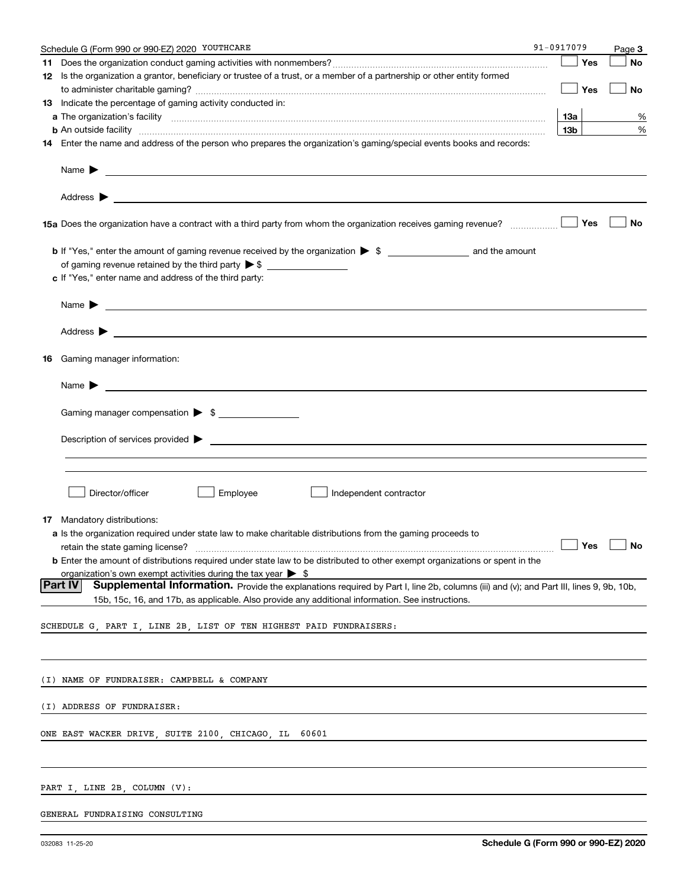| Schedule G (Form 990 or 990-EZ) 2020 YOUTHCARE                                                                                                     | 91-0917079                   |            | Page 3    |
|----------------------------------------------------------------------------------------------------------------------------------------------------|------------------------------|------------|-----------|
|                                                                                                                                                    | $\overline{\phantom{a}}$ Yes |            | <b>No</b> |
| 12 Is the organization a grantor, beneficiary or trustee of a trust, or a member of a partnership or other entity formed                           |                              |            |           |
|                                                                                                                                                    |                              | $\Box$ Yes | No        |
| 13 Indicate the percentage of gaming activity conducted in:                                                                                        |                              |            |           |
|                                                                                                                                                    | 13а                          |            | %         |
|                                                                                                                                                    | 13b                          |            | %         |
| 14 Enter the name and address of the person who prepares the organization's gaming/special events books and records:                               |                              |            |           |
|                                                                                                                                                    |                              |            |           |
|                                                                                                                                                    |                              |            |           |
|                                                                                                                                                    |                              |            | No        |
| <b>b</b> If "Yes," enter the amount of gaming revenue received by the organization $\triangleright$ \$                                             |                              |            |           |
|                                                                                                                                                    |                              |            |           |
| c If "Yes," enter name and address of the third party:                                                                                             |                              |            |           |
|                                                                                                                                                    |                              |            |           |
|                                                                                                                                                    |                              |            |           |
|                                                                                                                                                    |                              |            |           |
| 16 Gaming manager information:                                                                                                                     |                              |            |           |
| <u> 1989 - Johann Barbara, martin amerikan basal dan berasal dan berasal dalam basal dan berasal dan berasal dan</u><br>Name $\blacktriangleright$ |                              |            |           |
| Gaming manager compensation > \$                                                                                                                   |                              |            |           |
| $Description of services provided$ $\triangleright$                                                                                                |                              |            |           |
|                                                                                                                                                    |                              |            |           |
|                                                                                                                                                    |                              |            |           |
| Director/officer<br>Employee<br>Independent contractor                                                                                             |                              |            |           |
| 17 Mandatory distributions:                                                                                                                        |                              |            |           |
| a Is the organization required under state law to make charitable distributions from the gaming proceeds to                                        |                              |            |           |
| $\Box$ Yes $\Box$ No<br>retain the state gaming license?                                                                                           |                              |            |           |
| b Enter the amount of distributions required under state law to be distributed to other exempt organizations or spent in the                       |                              |            |           |
| organization's own exempt activities during the tax year $\triangleright$ \$                                                                       |                              |            |           |
| Supplemental Information. Provide the explanations required by Part I, line 2b, columns (iii) and (v); and Part III, lines 9, 9b, 10b,<br> Part IV |                              |            |           |
| 15b, 15c, 16, and 17b, as applicable. Also provide any additional information. See instructions.                                                   |                              |            |           |
| SCHEDULE G, PART I, LINE 2B, LIST OF TEN HIGHEST PAID FUNDRAISERS:                                                                                 |                              |            |           |
|                                                                                                                                                    |                              |            |           |
| (I) NAME OF FUNDRAISER: CAMPBELL & COMPANY                                                                                                         |                              |            |           |
|                                                                                                                                                    |                              |            |           |
| (I) ADDRESS OF FUNDRAISER:                                                                                                                         |                              |            |           |
| ONE EAST WACKER DRIVE, SUITE 2100, CHICAGO, IL<br>60601                                                                                            |                              |            |           |
|                                                                                                                                                    |                              |            |           |
| PART I, LINE 2B, COLUMN (V):                                                                                                                       |                              |            |           |
| GENERAL FUNDRAISING CONSULTING                                                                                                                     |                              |            |           |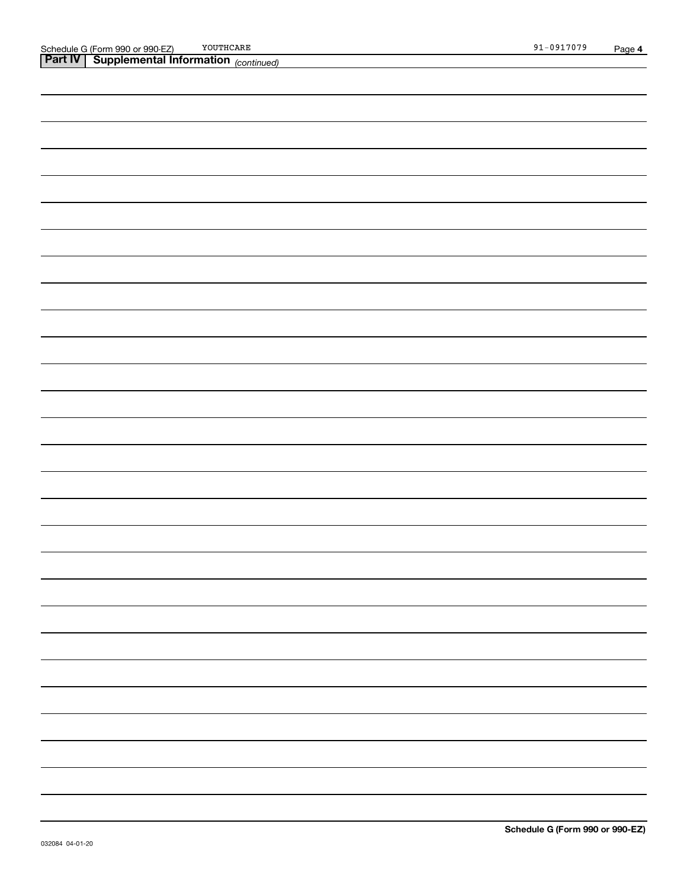| <b>Part IV   Supplemental Information (continued)</b> |
|-------------------------------------------------------|
|                                                       |
|                                                       |
|                                                       |
|                                                       |
|                                                       |
|                                                       |
|                                                       |
|                                                       |
|                                                       |
|                                                       |
|                                                       |
|                                                       |
|                                                       |
|                                                       |
|                                                       |
|                                                       |
|                                                       |
|                                                       |
|                                                       |
|                                                       |
|                                                       |
|                                                       |
|                                                       |
|                                                       |
|                                                       |
|                                                       |
|                                                       |
|                                                       |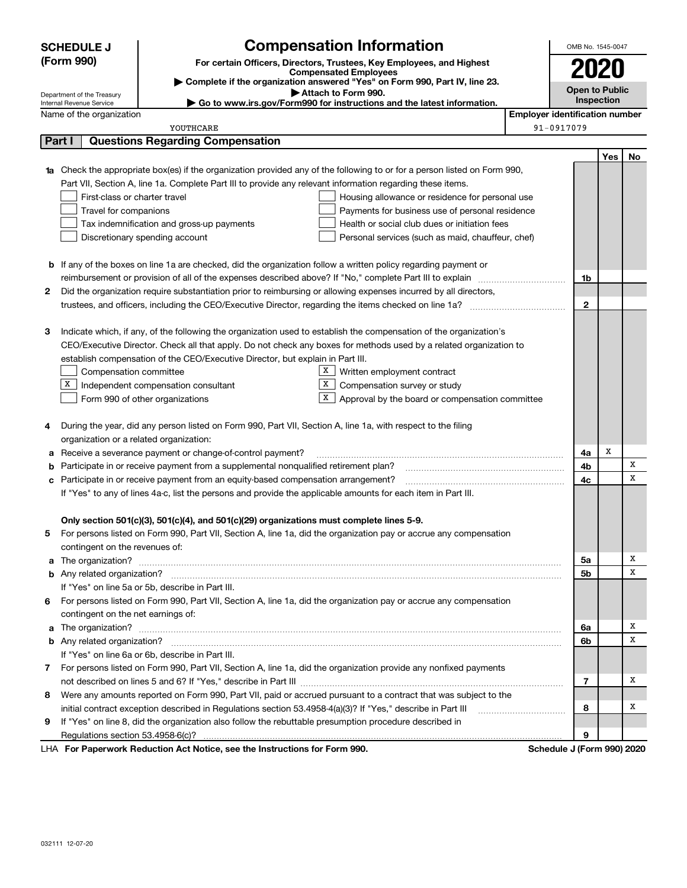|                                                                                                                    | <b>SCHEDULE J</b>                                                                                                       |                                                                                                               | OMB No. 1545-0047                                                                                                                                                                                                                    |            |                            |     |    |  |  |
|--------------------------------------------------------------------------------------------------------------------|-------------------------------------------------------------------------------------------------------------------------|---------------------------------------------------------------------------------------------------------------|--------------------------------------------------------------------------------------------------------------------------------------------------------------------------------------------------------------------------------------|------------|----------------------------|-----|----|--|--|
|                                                                                                                    | (Form 990)                                                                                                              |                                                                                                               | <b>Compensation Information</b><br>For certain Officers, Directors, Trustees, Key Employees, and Highest                                                                                                                             |            | 2020                       |     |    |  |  |
|                                                                                                                    |                                                                                                                         |                                                                                                               | <b>Compensated Employees</b>                                                                                                                                                                                                         |            |                            |     |    |  |  |
|                                                                                                                    | Department of the Treasury                                                                                              |                                                                                                               | Complete if the organization answered "Yes" on Form 990, Part IV, line 23.<br>Attach to Form 990.                                                                                                                                    |            | <b>Open to Public</b>      |     |    |  |  |
|                                                                                                                    | Internal Revenue Service                                                                                                |                                                                                                               | ► Go to www.irs.gov/Form990 for instructions and the latest information.                                                                                                                                                             |            | Inspection                 |     |    |  |  |
|                                                                                                                    | <b>Employer identification number</b><br>Name of the organization                                                       |                                                                                                               |                                                                                                                                                                                                                                      |            |                            |     |    |  |  |
|                                                                                                                    |                                                                                                                         | YOUTHCARE                                                                                                     |                                                                                                                                                                                                                                      | 91-0917079 |                            |     |    |  |  |
|                                                                                                                    | Part I                                                                                                                  | <b>Questions Regarding Compensation</b>                                                                       |                                                                                                                                                                                                                                      |            |                            |     |    |  |  |
|                                                                                                                    |                                                                                                                         |                                                                                                               |                                                                                                                                                                                                                                      |            |                            | Yes | No |  |  |
|                                                                                                                    |                                                                                                                         |                                                                                                               | Check the appropriate box(es) if the organization provided any of the following to or for a person listed on Form 990,                                                                                                               |            |                            |     |    |  |  |
|                                                                                                                    |                                                                                                                         | Part VII, Section A, line 1a. Complete Part III to provide any relevant information regarding these items.    |                                                                                                                                                                                                                                      |            |                            |     |    |  |  |
|                                                                                                                    | First-class or charter travel                                                                                           |                                                                                                               | Housing allowance or residence for personal use                                                                                                                                                                                      |            |                            |     |    |  |  |
|                                                                                                                    | Travel for companions<br>Payments for business use of personal residence                                                |                                                                                                               |                                                                                                                                                                                                                                      |            |                            |     |    |  |  |
|                                                                                                                    |                                                                                                                         | Tax indemnification and gross-up payments                                                                     | Health or social club dues or initiation fees                                                                                                                                                                                        |            |                            |     |    |  |  |
|                                                                                                                    |                                                                                                                         | Discretionary spending account                                                                                | Personal services (such as maid, chauffeur, chef)                                                                                                                                                                                    |            |                            |     |    |  |  |
|                                                                                                                    |                                                                                                                         |                                                                                                               |                                                                                                                                                                                                                                      |            |                            |     |    |  |  |
| b                                                                                                                  |                                                                                                                         |                                                                                                               | If any of the boxes on line 1a are checked, did the organization follow a written policy regarding payment or                                                                                                                        |            |                            |     |    |  |  |
|                                                                                                                    |                                                                                                                         | reimbursement or provision of all of the expenses described above? If "No," complete Part III to explain      |                                                                                                                                                                                                                                      |            | 1b                         |     |    |  |  |
| 2                                                                                                                  |                                                                                                                         |                                                                                                               | Did the organization require substantiation prior to reimbursing or allowing expenses incurred by all directors,                                                                                                                     |            |                            |     |    |  |  |
|                                                                                                                    |                                                                                                                         |                                                                                                               |                                                                                                                                                                                                                                      |            | $\mathbf{2}$               |     |    |  |  |
|                                                                                                                    |                                                                                                                         |                                                                                                               |                                                                                                                                                                                                                                      |            |                            |     |    |  |  |
|                                                                                                                    | Indicate which, if any, of the following the organization used to establish the compensation of the organization's<br>з |                                                                                                               |                                                                                                                                                                                                                                      |            |                            |     |    |  |  |
| CEO/Executive Director. Check all that apply. Do not check any boxes for methods used by a related organization to |                                                                                                                         |                                                                                                               |                                                                                                                                                                                                                                      |            |                            |     |    |  |  |
|                                                                                                                    | establish compensation of the CEO/Executive Director, but explain in Part III.<br>X                                     |                                                                                                               |                                                                                                                                                                                                                                      |            |                            |     |    |  |  |
|                                                                                                                    | Compensation committee<br>Written employment contract<br>х<br>x<br>Independent compensation consultant                  |                                                                                                               |                                                                                                                                                                                                                                      |            |                            |     |    |  |  |
|                                                                                                                    |                                                                                                                         |                                                                                                               | Compensation survey or study                                                                                                                                                                                                         |            |                            |     |    |  |  |
|                                                                                                                    |                                                                                                                         | Form 990 of other organizations                                                                               | Approval by the board or compensation committee                                                                                                                                                                                      |            |                            |     |    |  |  |
| 4                                                                                                                  |                                                                                                                         | During the year, did any person listed on Form 990, Part VII, Section A, line 1a, with respect to the filing  |                                                                                                                                                                                                                                      |            |                            |     |    |  |  |
|                                                                                                                    | organization or a related organization:                                                                                 |                                                                                                               |                                                                                                                                                                                                                                      |            |                            |     |    |  |  |
| а                                                                                                                  |                                                                                                                         | Receive a severance payment or change-of-control payment?                                                     |                                                                                                                                                                                                                                      |            | 4a                         | X   |    |  |  |
| b                                                                                                                  |                                                                                                                         | Participate in or receive payment from a supplemental nonqualified retirement plan?                           |                                                                                                                                                                                                                                      |            | 4b                         |     | x  |  |  |
|                                                                                                                    |                                                                                                                         | Participate in or receive payment from an equity-based compensation arrangement?                              |                                                                                                                                                                                                                                      |            | 4с                         |     | х  |  |  |
|                                                                                                                    |                                                                                                                         | If "Yes" to any of lines 4a-c, list the persons and provide the applicable amounts for each item in Part III. |                                                                                                                                                                                                                                      |            |                            |     |    |  |  |
|                                                                                                                    |                                                                                                                         |                                                                                                               |                                                                                                                                                                                                                                      |            |                            |     |    |  |  |
|                                                                                                                    |                                                                                                                         | Only section 501(c)(3), 501(c)(4), and 501(c)(29) organizations must complete lines 5-9.                      |                                                                                                                                                                                                                                      |            |                            |     |    |  |  |
| 5                                                                                                                  |                                                                                                                         |                                                                                                               | For persons listed on Form 990, Part VII, Section A, line 1a, did the organization pay or accrue any compensation                                                                                                                    |            |                            |     |    |  |  |
|                                                                                                                    | contingent on the revenues of:                                                                                          |                                                                                                               |                                                                                                                                                                                                                                      |            |                            |     |    |  |  |
| a                                                                                                                  |                                                                                                                         |                                                                                                               | The organization? <b>With the contract of the contract of the contract of the contract of the contract of the contract of the contract of the contract of the contract of the contract of the contract of the contract of the co</b> |            | 5a                         |     | Х  |  |  |
|                                                                                                                    |                                                                                                                         |                                                                                                               |                                                                                                                                                                                                                                      |            | 5b                         |     | X  |  |  |
|                                                                                                                    |                                                                                                                         | If "Yes" on line 5a or 5b, describe in Part III.                                                              |                                                                                                                                                                                                                                      |            |                            |     |    |  |  |
| 6.                                                                                                                 |                                                                                                                         |                                                                                                               | For persons listed on Form 990, Part VII, Section A, line 1a, did the organization pay or accrue any compensation                                                                                                                    |            |                            |     |    |  |  |
|                                                                                                                    | contingent on the net earnings of:                                                                                      |                                                                                                               |                                                                                                                                                                                                                                      |            |                            |     |    |  |  |
| a                                                                                                                  |                                                                                                                         |                                                                                                               |                                                                                                                                                                                                                                      |            | 6a                         |     | Х  |  |  |
|                                                                                                                    |                                                                                                                         |                                                                                                               |                                                                                                                                                                                                                                      |            | 6b                         |     | X  |  |  |
|                                                                                                                    |                                                                                                                         | If "Yes" on line 6a or 6b, describe in Part III.                                                              |                                                                                                                                                                                                                                      |            |                            |     |    |  |  |
|                                                                                                                    |                                                                                                                         |                                                                                                               | 7 For persons listed on Form 990, Part VII, Section A, line 1a, did the organization provide any nonfixed payments                                                                                                                   |            |                            |     |    |  |  |
|                                                                                                                    |                                                                                                                         |                                                                                                               |                                                                                                                                                                                                                                      |            | 7                          |     | х  |  |  |
| 8                                                                                                                  |                                                                                                                         |                                                                                                               | Were any amounts reported on Form 990, Part VII, paid or accrued pursuant to a contract that was subject to the                                                                                                                      |            |                            |     |    |  |  |
|                                                                                                                    |                                                                                                                         | initial contract exception described in Regulations section 53.4958-4(a)(3)? If "Yes," describe in Part III   |                                                                                                                                                                                                                                      |            | 8                          |     | х  |  |  |
| 9                                                                                                                  |                                                                                                                         | If "Yes" on line 8, did the organization also follow the rebuttable presumption procedure described in        |                                                                                                                                                                                                                                      |            |                            |     |    |  |  |
|                                                                                                                    |                                                                                                                         |                                                                                                               |                                                                                                                                                                                                                                      |            | 9                          |     |    |  |  |
|                                                                                                                    |                                                                                                                         | LHA For Paperwork Reduction Act Notice, see the Instructions for Form 990.                                    |                                                                                                                                                                                                                                      |            | Schedule J (Form 990) 2020 |     |    |  |  |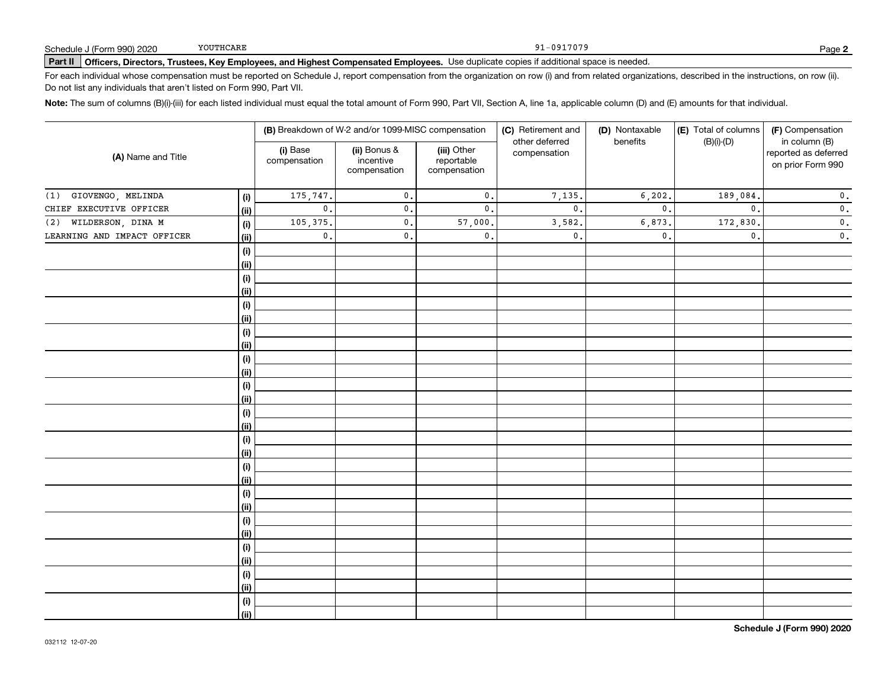# **Part II Officers, Directors, Trustees, Key Employees, and Highest Compensated Employees.**  Schedule J (Form 990) 2020 Page Use duplicate copies if additional space is needed.

For each individual whose compensation must be reported on Schedule J, report compensation from the organization on row (i) and from related organizations, described in the instructions, on row (ii). Do not list any individuals that aren't listed on Form 990, Part VII.

**Note:**  The sum of columns (B)(i)-(iii) for each listed individual must equal the total amount of Form 990, Part VII, Section A, line 1a, applicable column (D) and (E) amounts for that individual.

|                             |                    |                          | (B) Breakdown of W-2 and/or 1099-MISC compensation |                                           | (C) Retirement and             | (D) Nontaxable<br>benefits | (E) Total of columns | (F) Compensation<br>in column (B)         |  |
|-----------------------------|--------------------|--------------------------|----------------------------------------------------|-------------------------------------------|--------------------------------|----------------------------|----------------------|-------------------------------------------|--|
| (A) Name and Title          |                    | (i) Base<br>compensation | (ii) Bonus &<br>incentive<br>compensation          | (iii) Other<br>reportable<br>compensation | other deferred<br>compensation |                            | $(B)(i)-(D)$         | reported as deferred<br>on prior Form 990 |  |
| (1) GIOVENGO, MELINDA       | (i)                | 175,747.                 | $\mathfrak o$ .                                    | 0.                                        | 7,135.                         | 6, 202.                    | 189,084.             | $\mathbf 0$ .                             |  |
| CHIEF EXECUTIVE OFFICER     | <u>(ii)</u>        | $\mathbf{0}$ .           | $\mathbf{0}$ .                                     | 0.                                        | $\mathbf{0}$ .                 | $\mathbf{0}$ .             | $\mathbf{0}$ .       | $\mathbf 0$ .                             |  |
| WILDERSON, DINA M<br>(2)    | (i)                | 105,375.                 | $\mathbf{0}$ .                                     | 57,000.                                   | 3,582.                         | 6,873.                     | 172,830.             | $\mathbf 0$ .                             |  |
| LEARNING AND IMPACT OFFICER | <u>(ii)</u>        | $\mathfrak o$ .          | $\mathbf{0}$ .                                     | 0.                                        | $\mathbf{0}$ .                 | $\mathfrak o$ .            | $\mathbf{0}$ .       | $\mathbf 0$ .                             |  |
|                             | (i)                |                          |                                                    |                                           |                                |                            |                      |                                           |  |
|                             | <u>(ii)</u>        |                          |                                                    |                                           |                                |                            |                      |                                           |  |
|                             | (i)<br><u>(ii)</u> |                          |                                                    |                                           |                                |                            |                      |                                           |  |
|                             | (i)                |                          |                                                    |                                           |                                |                            |                      |                                           |  |
|                             | <u>(ii)</u>        |                          |                                                    |                                           |                                |                            |                      |                                           |  |
|                             | (i)                |                          |                                                    |                                           |                                |                            |                      |                                           |  |
|                             | <u>(ii)</u>        |                          |                                                    |                                           |                                |                            |                      |                                           |  |
|                             | (i)                |                          |                                                    |                                           |                                |                            |                      |                                           |  |
|                             | <u>(ii)</u>        |                          |                                                    |                                           |                                |                            |                      |                                           |  |
|                             | $(\sf{i})$         |                          |                                                    |                                           |                                |                            |                      |                                           |  |
|                             | <u>(ii)</u>        |                          |                                                    |                                           |                                |                            |                      |                                           |  |
|                             | $(\sf{i})$         |                          |                                                    |                                           |                                |                            |                      |                                           |  |
|                             | <u>(ii)</u>        |                          |                                                    |                                           |                                |                            |                      |                                           |  |
|                             | $(\sf{i})$         |                          |                                                    |                                           |                                |                            |                      |                                           |  |
|                             | <u>(ii)</u>        |                          |                                                    |                                           |                                |                            |                      |                                           |  |
|                             | (i)                |                          |                                                    |                                           |                                |                            |                      |                                           |  |
|                             | <u>(ii)</u>        |                          |                                                    |                                           |                                |                            |                      |                                           |  |
|                             | (i)                |                          |                                                    |                                           |                                |                            |                      |                                           |  |
|                             | <u>(ii)</u>        |                          |                                                    |                                           |                                |                            |                      |                                           |  |
|                             | $(\sf{i})$         |                          |                                                    |                                           |                                |                            |                      |                                           |  |
|                             | <u>(ii)</u>        |                          |                                                    |                                           |                                |                            |                      |                                           |  |
|                             | $(\sf{i})$         |                          |                                                    |                                           |                                |                            |                      |                                           |  |
|                             | <u>(ii)</u>        |                          |                                                    |                                           |                                |                            |                      |                                           |  |
|                             | $(\sf{i})$         |                          |                                                    |                                           |                                |                            |                      |                                           |  |
|                             | <u>(ii)</u>        |                          |                                                    |                                           |                                |                            |                      |                                           |  |
|                             | (i)                |                          |                                                    |                                           |                                |                            |                      |                                           |  |
|                             | $\overline{}}$     |                          |                                                    |                                           |                                |                            |                      |                                           |  |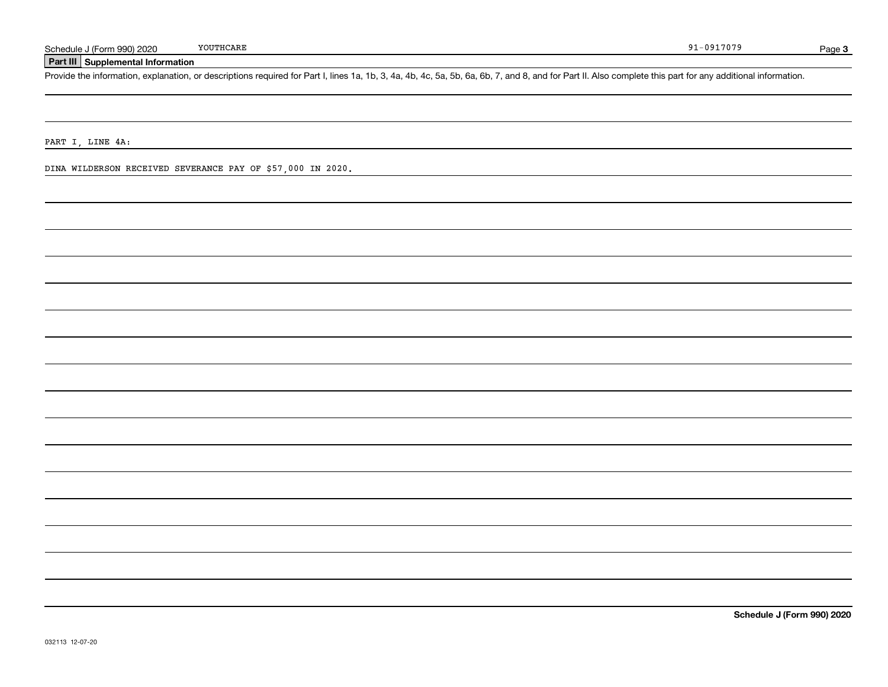### **Part III Supplemental Information**

Schedule J (Form 990) 2020 YOUTHCARE<br>Part III Supplemental Information<br>Provide the information, explanation, or descriptions required for Part I, lines 1a, 1b, 3, 4a, 4b, 4c, 5a, 5b, 6a, 6b, 7, and 8, and for Part II. Also

PART I, LINE 4A:

DINA WILDERSON RECEIVED SEVERANCE PAY OF \$57,000 IN 2020.

**Schedule J (Form 990) 2020**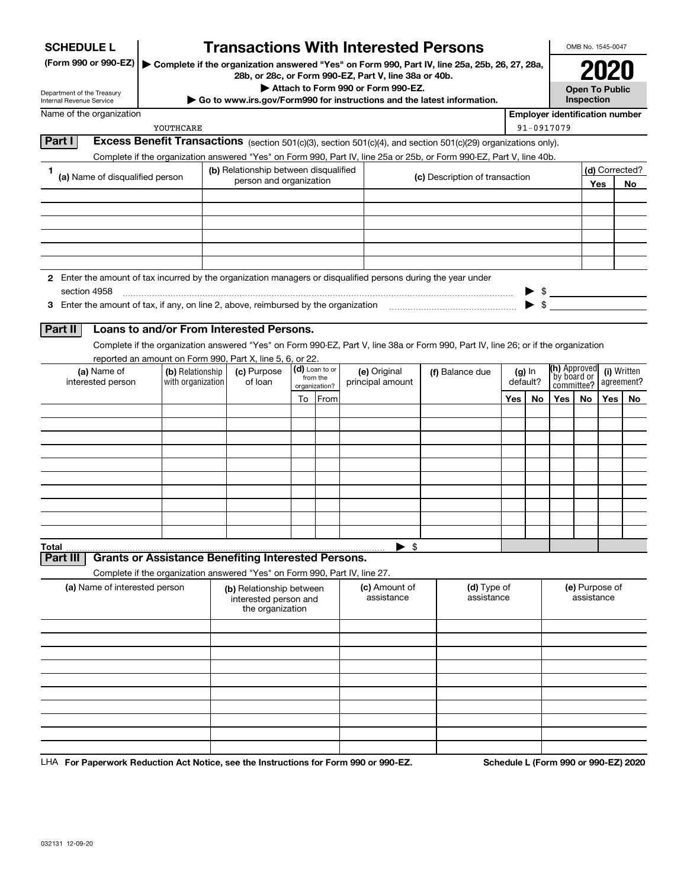| <b>SCHEDULE L</b>                                                                                                             |                                                                                                              |                                                                                               | <b>Transactions With Interested Persons</b>                      |    |                           |  |                                  |                 |                                                                                                                                    |     |                                     |                |                                         | OMB No. 1545-0047 |    |  |
|-------------------------------------------------------------------------------------------------------------------------------|--------------------------------------------------------------------------------------------------------------|-----------------------------------------------------------------------------------------------|------------------------------------------------------------------|----|---------------------------|--|----------------------------------|-----------------|------------------------------------------------------------------------------------------------------------------------------------|-----|-------------------------------------|----------------|-----------------------------------------|-------------------|----|--|
| (Form 990 or 990-EZ)                                                                                                          |                                                                                                              | Complete if the organization answered "Yes" on Form 990, Part IV, line 25a, 25b, 26, 27, 28a, |                                                                  |    |                           |  |                                  |                 |                                                                                                                                    |     |                                     |                |                                         |                   |    |  |
|                                                                                                                               |                                                                                                              | 28b, or 28c, or Form 990-EZ, Part V, line 38a or 40b.                                         |                                                                  |    |                           |  |                                  |                 |                                                                                                                                    |     |                                     |                |                                         |                   |    |  |
| Department of the Treasury<br>Internal Revenue Service                                                                        | Attach to Form 990 or Form 990-EZ.<br>Go to www.irs.gov/Form990 for instructions and the latest information. |                                                                                               |                                                                  |    |                           |  |                                  |                 |                                                                                                                                    |     |                                     | Inspection     | <b>Open To Public</b>                   |                   |    |  |
| Name of the organization                                                                                                      |                                                                                                              |                                                                                               |                                                                  |    |                           |  |                                  |                 |                                                                                                                                    |     |                                     |                | <b>Employer identification number</b>   |                   |    |  |
|                                                                                                                               | YOUTHCARE                                                                                                    |                                                                                               |                                                                  |    |                           |  |                                  |                 |                                                                                                                                    |     | 91-0917079                          |                |                                         |                   |    |  |
| Part I                                                                                                                        |                                                                                                              |                                                                                               |                                                                  |    |                           |  |                                  |                 | Excess Benefit Transactions (section 501(c)(3), section 501(c)(4), and section 501(c)(29) organizations only).                     |     |                                     |                |                                         |                   |    |  |
|                                                                                                                               |                                                                                                              |                                                                                               |                                                                  |    |                           |  |                                  |                 | Complete if the organization answered "Yes" on Form 990, Part IV, line 25a or 25b, or Form 990-EZ, Part V, line 40b.               |     |                                     |                |                                         |                   |    |  |
| 1<br>(a) Name of disqualified person                                                                                          |                                                                                                              |                                                                                               | (b) Relationship between disqualified<br>person and organization |    |                           |  |                                  |                 | (c) Description of transaction                                                                                                     |     |                                     | (d) Corrected? |                                         |                   |    |  |
|                                                                                                                               |                                                                                                              |                                                                                               |                                                                  |    |                           |  |                                  |                 |                                                                                                                                    |     |                                     |                |                                         | Yes               | No |  |
|                                                                                                                               |                                                                                                              |                                                                                               |                                                                  |    |                           |  |                                  |                 |                                                                                                                                    |     |                                     |                |                                         |                   |    |  |
|                                                                                                                               |                                                                                                              |                                                                                               |                                                                  |    |                           |  |                                  |                 |                                                                                                                                    |     |                                     |                |                                         |                   |    |  |
|                                                                                                                               |                                                                                                              |                                                                                               |                                                                  |    |                           |  |                                  |                 |                                                                                                                                    |     |                                     |                |                                         |                   |    |  |
|                                                                                                                               |                                                                                                              |                                                                                               |                                                                  |    |                           |  |                                  |                 |                                                                                                                                    |     |                                     |                |                                         |                   |    |  |
|                                                                                                                               |                                                                                                              |                                                                                               |                                                                  |    |                           |  |                                  |                 |                                                                                                                                    |     |                                     |                |                                         |                   |    |  |
| 2 Enter the amount of tax incurred by the organization managers or disqualified persons during the year under<br>section 4958 |                                                                                                              |                                                                                               |                                                                  |    |                           |  |                                  |                 |                                                                                                                                    |     |                                     |                |                                         |                   |    |  |
| 3 Enter the amount of tax, if any, on line 2, above, reimbursed by the organization                                           |                                                                                                              |                                                                                               |                                                                  |    |                           |  |                                  |                 |                                                                                                                                    |     | \$                                  | $\frac{1}{2}$  |                                         |                   |    |  |
|                                                                                                                               |                                                                                                              |                                                                                               |                                                                  |    |                           |  |                                  |                 |                                                                                                                                    |     |                                     |                |                                         |                   |    |  |
| Part II                                                                                                                       | Loans to and/or From Interested Persons.                                                                     |                                                                                               |                                                                  |    |                           |  |                                  |                 |                                                                                                                                    |     |                                     |                |                                         |                   |    |  |
|                                                                                                                               |                                                                                                              |                                                                                               |                                                                  |    |                           |  |                                  |                 | Complete if the organization answered "Yes" on Form 990-EZ, Part V, line 38a or Form 990, Part IV, line 26; or if the organization |     |                                     |                |                                         |                   |    |  |
|                                                                                                                               | reported an amount on Form 990, Part X, line 5, 6, or 22.                                                    |                                                                                               |                                                                  |    | (d) Loan to or            |  |                                  |                 |                                                                                                                                    |     |                                     | (h) Approved   |                                         |                   |    |  |
| (a) Name of<br>interested person                                                                                              | (b) Relationship<br>with organization                                                                        |                                                                                               | (c) Purpose<br>of loan                                           |    | from the<br>organization? |  | (e) Original<br>principal amount | (f) Balance due |                                                                                                                                    |     | $(g)$ In<br>by board or<br>default? |                | (i) Written<br>agreement?<br>committee? |                   |    |  |
|                                                                                                                               |                                                                                                              |                                                                                               |                                                                  | To | From                      |  |                                  |                 |                                                                                                                                    | Yes | No                                  | Yes $ $        | No                                      | Yes               | No |  |
|                                                                                                                               |                                                                                                              |                                                                                               |                                                                  |    |                           |  |                                  |                 |                                                                                                                                    |     |                                     |                |                                         |                   |    |  |
|                                                                                                                               |                                                                                                              |                                                                                               |                                                                  |    |                           |  |                                  |                 |                                                                                                                                    |     |                                     |                |                                         |                   |    |  |
|                                                                                                                               |                                                                                                              |                                                                                               |                                                                  |    |                           |  |                                  |                 |                                                                                                                                    |     |                                     |                |                                         |                   |    |  |
|                                                                                                                               |                                                                                                              |                                                                                               |                                                                  |    |                           |  |                                  |                 |                                                                                                                                    |     |                                     |                |                                         |                   |    |  |
|                                                                                                                               |                                                                                                              |                                                                                               |                                                                  |    |                           |  |                                  |                 |                                                                                                                                    |     |                                     |                |                                         |                   |    |  |
|                                                                                                                               |                                                                                                              |                                                                                               |                                                                  |    |                           |  |                                  |                 |                                                                                                                                    |     |                                     |                |                                         |                   |    |  |
|                                                                                                                               |                                                                                                              |                                                                                               |                                                                  |    |                           |  |                                  |                 |                                                                                                                                    |     |                                     |                |                                         |                   |    |  |
|                                                                                                                               |                                                                                                              |                                                                                               |                                                                  |    |                           |  |                                  |                 |                                                                                                                                    |     |                                     |                |                                         |                   |    |  |
|                                                                                                                               |                                                                                                              |                                                                                               |                                                                  |    |                           |  |                                  |                 |                                                                                                                                    |     |                                     |                |                                         |                   |    |  |
| <b>Total</b><br>Part III                                                                                                      | <b>Grants or Assistance Benefiting Interested Persons.</b>                                                   |                                                                                               |                                                                  |    |                           |  | - \$                             |                 |                                                                                                                                    |     |                                     |                |                                         |                   |    |  |
|                                                                                                                               | Complete if the organization answered "Yes" on Form 990, Part IV, line 27.                                   |                                                                                               |                                                                  |    |                           |  |                                  |                 |                                                                                                                                    |     |                                     |                |                                         |                   |    |  |
| (a) Name of interested person                                                                                                 |                                                                                                              |                                                                                               | (b) Relationship between                                         |    |                           |  | (c) Amount of                    |                 | (d) Type of                                                                                                                        |     |                                     |                |                                         | (e) Purpose of    |    |  |
|                                                                                                                               |                                                                                                              |                                                                                               | interested person and                                            |    |                           |  | assistance                       |                 | assistance                                                                                                                         |     |                                     |                | assistance                              |                   |    |  |
|                                                                                                                               |                                                                                                              |                                                                                               | the organization                                                 |    |                           |  |                                  |                 |                                                                                                                                    |     |                                     |                |                                         |                   |    |  |
|                                                                                                                               |                                                                                                              |                                                                                               |                                                                  |    |                           |  |                                  |                 |                                                                                                                                    |     |                                     |                |                                         |                   |    |  |
|                                                                                                                               |                                                                                                              |                                                                                               |                                                                  |    |                           |  |                                  |                 |                                                                                                                                    |     |                                     |                |                                         |                   |    |  |
|                                                                                                                               |                                                                                                              |                                                                                               |                                                                  |    |                           |  |                                  |                 |                                                                                                                                    |     |                                     |                |                                         |                   |    |  |
|                                                                                                                               |                                                                                                              |                                                                                               |                                                                  |    |                           |  |                                  |                 |                                                                                                                                    |     |                                     |                |                                         |                   |    |  |
|                                                                                                                               |                                                                                                              |                                                                                               |                                                                  |    |                           |  |                                  |                 |                                                                                                                                    |     |                                     |                |                                         |                   |    |  |
|                                                                                                                               |                                                                                                              |                                                                                               |                                                                  |    |                           |  |                                  |                 |                                                                                                                                    |     |                                     |                |                                         |                   |    |  |
|                                                                                                                               |                                                                                                              |                                                                                               |                                                                  |    |                           |  |                                  |                 |                                                                                                                                    |     |                                     |                |                                         |                   |    |  |
|                                                                                                                               |                                                                                                              |                                                                                               |                                                                  |    |                           |  |                                  |                 |                                                                                                                                    |     |                                     |                |                                         |                   |    |  |
|                                                                                                                               |                                                                                                              |                                                                                               |                                                                  |    |                           |  |                                  |                 |                                                                                                                                    |     |                                     |                |                                         |                   |    |  |

LHA For Paperwork Reduction Act Notice, see the Instructions for Form 990 or 990-EZ. Schedule L (Form 990 or 990-EZ) 2020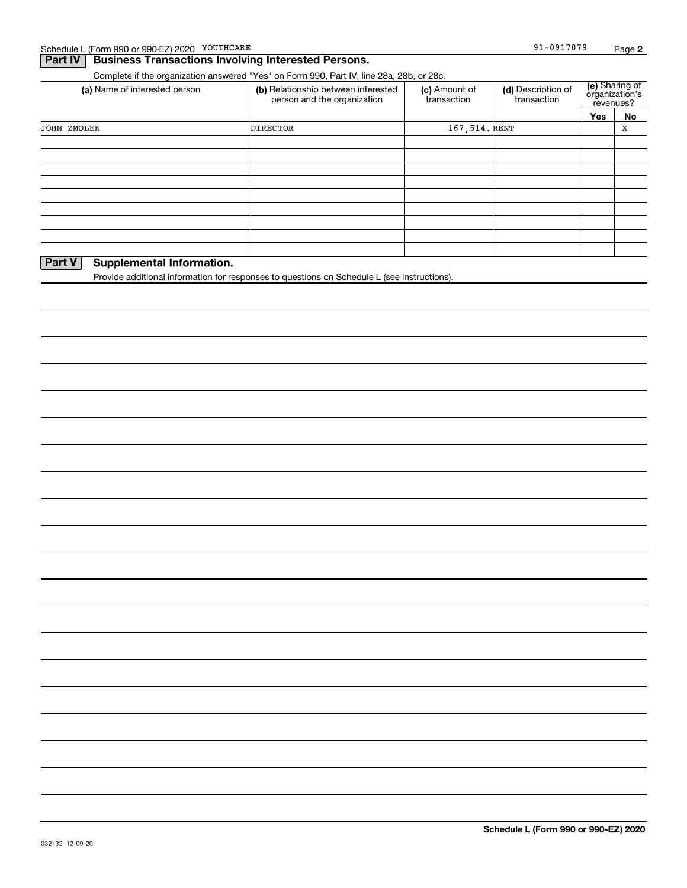### **Part IV Business Transactions Involving Interested Persons.**

Complete if the organization answered "Yes" on Form 990, Part IV, line 28a, 28b, or 28c.

| (a) Name of interested person                 | (b) Relationship between interested<br>person and the organization | (c) Amount of<br>transaction | (d) Description of<br>transaction | (e) Sharing of<br>organization's<br>revenues? |    |  |
|-----------------------------------------------|--------------------------------------------------------------------|------------------------------|-----------------------------------|-----------------------------------------------|----|--|
|                                               |                                                                    |                              |                                   | Yes                                           | No |  |
| <b>JOHN ZMOLEK</b>                            | <b>DIRECTOR</b>                                                    | 167,514. RENT                |                                   |                                               | x  |  |
|                                               |                                                                    |                              |                                   |                                               |    |  |
|                                               |                                                                    |                              |                                   |                                               |    |  |
|                                               |                                                                    |                              |                                   |                                               |    |  |
|                                               |                                                                    |                              |                                   |                                               |    |  |
|                                               |                                                                    |                              |                                   |                                               |    |  |
|                                               |                                                                    |                              |                                   |                                               |    |  |
|                                               |                                                                    |                              |                                   |                                               |    |  |
|                                               |                                                                    |                              |                                   |                                               |    |  |
|                                               |                                                                    |                              |                                   |                                               |    |  |
| $D_{out}$ $V$<br>Ourselves setal left weeklyn |                                                                    |                              |                                   |                                               |    |  |

### **Part V** Supplemental Information.

Provide additional information for responses to questions on Schedule L (see instructions).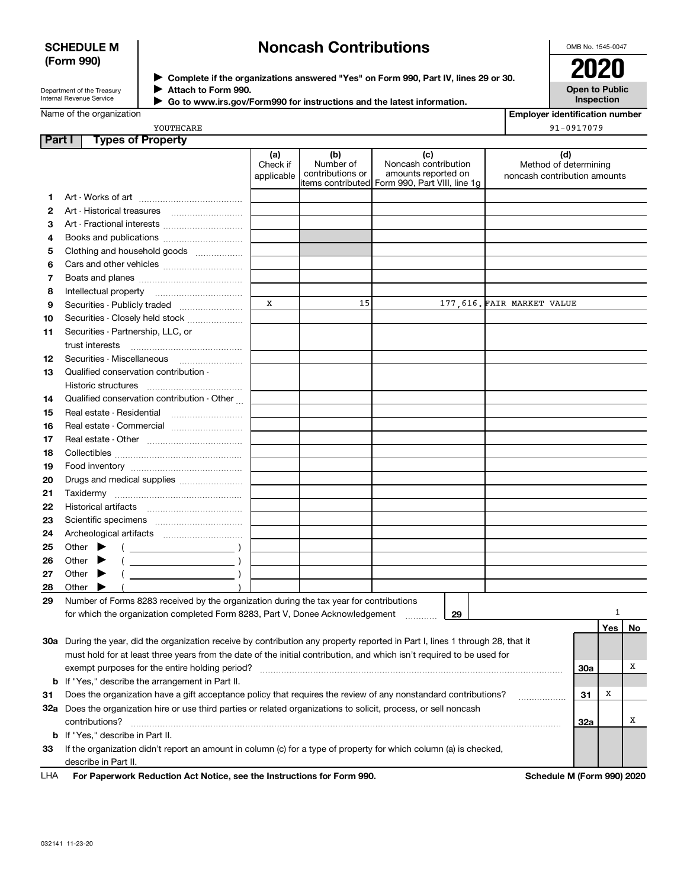# **SCHEDULE M (Form 990)**

# **Noncash Contributions**

OMB No. 1545-0047

| Department of the Treasury |  |
|----------------------------|--|
| Internal Revenue Service   |  |

**Complete if the organizations answered "Yes" on Form 990, Part IV, lines 29 or 30.** <sup>J</sup>**2020 Attach to Form 990.** J

 **Go to www.irs.gov/Form990 for instructions and the latest information.** J



Name of the organization

YOUTHCARE

**Employer identification number** 91-0917079

| Part I |                                                                                                                                                                                | <b>Types of Property</b>                                                                                                                                                                                                       |            |                               |                                                                       |                              |     |     |    |
|--------|--------------------------------------------------------------------------------------------------------------------------------------------------------------------------------|--------------------------------------------------------------------------------------------------------------------------------------------------------------------------------------------------------------------------------|------------|-------------------------------|-----------------------------------------------------------------------|------------------------------|-----|-----|----|
|        |                                                                                                                                                                                |                                                                                                                                                                                                                                | (a)        | (b)                           | (c)                                                                   | (d)                          |     |     |    |
|        |                                                                                                                                                                                |                                                                                                                                                                                                                                | Check if   | Number of<br>contributions or | Noncash contribution                                                  | Method of determining        |     |     |    |
|        |                                                                                                                                                                                |                                                                                                                                                                                                                                | applicable |                               | amounts reported on<br>items contributed Form 990, Part VIII, line 1g | noncash contribution amounts |     |     |    |
| 1.     |                                                                                                                                                                                |                                                                                                                                                                                                                                |            |                               |                                                                       |                              |     |     |    |
| 2      |                                                                                                                                                                                |                                                                                                                                                                                                                                |            |                               |                                                                       |                              |     |     |    |
| 3      |                                                                                                                                                                                | Art - Fractional interests                                                                                                                                                                                                     |            |                               |                                                                       |                              |     |     |    |
| 4      |                                                                                                                                                                                |                                                                                                                                                                                                                                |            |                               |                                                                       |                              |     |     |    |
| 5      |                                                                                                                                                                                | Clothing and household goods                                                                                                                                                                                                   |            |                               |                                                                       |                              |     |     |    |
| 6      |                                                                                                                                                                                |                                                                                                                                                                                                                                |            |                               |                                                                       |                              |     |     |    |
| 7      |                                                                                                                                                                                |                                                                                                                                                                                                                                |            |                               |                                                                       |                              |     |     |    |
| 8      | Intellectual property                                                                                                                                                          |                                                                                                                                                                                                                                |            |                               |                                                                       |                              |     |     |    |
| 9      |                                                                                                                                                                                | Securities - Publicly traded                                                                                                                                                                                                   | X          | 15                            |                                                                       | 177, 616. FAIR MARKET VALUE  |     |     |    |
| 10     |                                                                                                                                                                                | Securities - Closely held stock                                                                                                                                                                                                |            |                               |                                                                       |                              |     |     |    |
| 11     |                                                                                                                                                                                | Securities - Partnership, LLC, or                                                                                                                                                                                              |            |                               |                                                                       |                              |     |     |    |
|        | trust interests                                                                                                                                                                |                                                                                                                                                                                                                                |            |                               |                                                                       |                              |     |     |    |
| 12     | Securities Miscellaneous                                                                                                                                                       |                                                                                                                                                                                                                                |            |                               |                                                                       |                              |     |     |    |
| 13     |                                                                                                                                                                                | Qualified conservation contribution -                                                                                                                                                                                          |            |                               |                                                                       |                              |     |     |    |
|        | Historic structures                                                                                                                                                            |                                                                                                                                                                                                                                |            |                               |                                                                       |                              |     |     |    |
| 14     |                                                                                                                                                                                |                                                                                                                                                                                                                                |            |                               |                                                                       |                              |     |     |    |
| 15     | Qualified conservation contribution - Other<br>Real estate - Residential                                                                                                       |                                                                                                                                                                                                                                |            |                               |                                                                       |                              |     |     |    |
| 16     |                                                                                                                                                                                | Real estate - Commercial                                                                                                                                                                                                       |            |                               |                                                                       |                              |     |     |    |
| 17     |                                                                                                                                                                                |                                                                                                                                                                                                                                |            |                               |                                                                       |                              |     |     |    |
| 18     |                                                                                                                                                                                |                                                                                                                                                                                                                                |            |                               |                                                                       |                              |     |     |    |
| 19     |                                                                                                                                                                                |                                                                                                                                                                                                                                |            |                               |                                                                       |                              |     |     |    |
| 20     |                                                                                                                                                                                | Drugs and medical supplies                                                                                                                                                                                                     |            |                               |                                                                       |                              |     |     |    |
| 21     |                                                                                                                                                                                |                                                                                                                                                                                                                                |            |                               |                                                                       |                              |     |     |    |
| 22     |                                                                                                                                                                                |                                                                                                                                                                                                                                |            |                               |                                                                       |                              |     |     |    |
| 23     |                                                                                                                                                                                |                                                                                                                                                                                                                                |            |                               |                                                                       |                              |     |     |    |
| 24     |                                                                                                                                                                                |                                                                                                                                                                                                                                |            |                               |                                                                       |                              |     |     |    |
| 25     | Other $\blacktriangleright$                                                                                                                                                    | и против се припадни последни представи на селото на селото на селото на селото на селото на селото на селото<br>Селото на селото на селото на селото на селото на селото на селото на селото на селото на селото на селото на |            |                               |                                                                       |                              |     |     |    |
| 26     | Other $\blacktriangleright$                                                                                                                                                    |                                                                                                                                                                                                                                |            |                               |                                                                       |                              |     |     |    |
| 27     | Other $\blacktriangleright$                                                                                                                                                    | $\overline{\phantom{a}}$ )                                                                                                                                                                                                     |            |                               |                                                                       |                              |     |     |    |
| 28     | Other                                                                                                                                                                          |                                                                                                                                                                                                                                |            |                               |                                                                       |                              |     |     |    |
| 29     |                                                                                                                                                                                | Number of Forms 8283 received by the organization during the tax year for contributions                                                                                                                                        |            |                               |                                                                       |                              |     |     |    |
|        |                                                                                                                                                                                | for which the organization completed Form 8283, Part V, Donee Acknowledgement                                                                                                                                                  |            |                               | 29                                                                    |                              |     | 1   |    |
|        |                                                                                                                                                                                |                                                                                                                                                                                                                                |            |                               |                                                                       |                              |     | Yes | No |
|        |                                                                                                                                                                                | 30a During the year, did the organization receive by contribution any property reported in Part I, lines 1 through 28, that it                                                                                                 |            |                               |                                                                       |                              |     |     |    |
|        |                                                                                                                                                                                |                                                                                                                                                                                                                                |            |                               |                                                                       |                              |     |     |    |
|        | must hold for at least three years from the date of the initial contribution, and which isn't required to be used for<br>exempt purposes for the entire holding period?<br>30a |                                                                                                                                                                                                                                |            |                               |                                                                       |                              |     |     |    |
|        | <b>b</b> If "Yes," describe the arrangement in Part II.                                                                                                                        |                                                                                                                                                                                                                                |            |                               |                                                                       |                              |     |     | х  |
| 31     | Does the organization have a gift acceptance policy that requires the review of any nonstandard contributions?<br>X<br>31                                                      |                                                                                                                                                                                                                                |            |                               |                                                                       |                              |     |     |    |
|        | .<br>32a Does the organization hire or use third parties or related organizations to solicit, process, or sell noncash                                                         |                                                                                                                                                                                                                                |            |                               |                                                                       |                              |     |     |    |
|        | contributions?                                                                                                                                                                 |                                                                                                                                                                                                                                |            |                               |                                                                       |                              | 32a |     | x  |
|        | <b>b</b> If "Yes," describe in Part II.                                                                                                                                        |                                                                                                                                                                                                                                |            |                               |                                                                       |                              |     |     |    |
| 33     |                                                                                                                                                                                | If the organization didn't report an amount in column (c) for a type of property for which column (a) is checked,                                                                                                              |            |                               |                                                                       |                              |     |     |    |
|        | describe in Part II.                                                                                                                                                           |                                                                                                                                                                                                                                |            |                               |                                                                       |                              |     |     |    |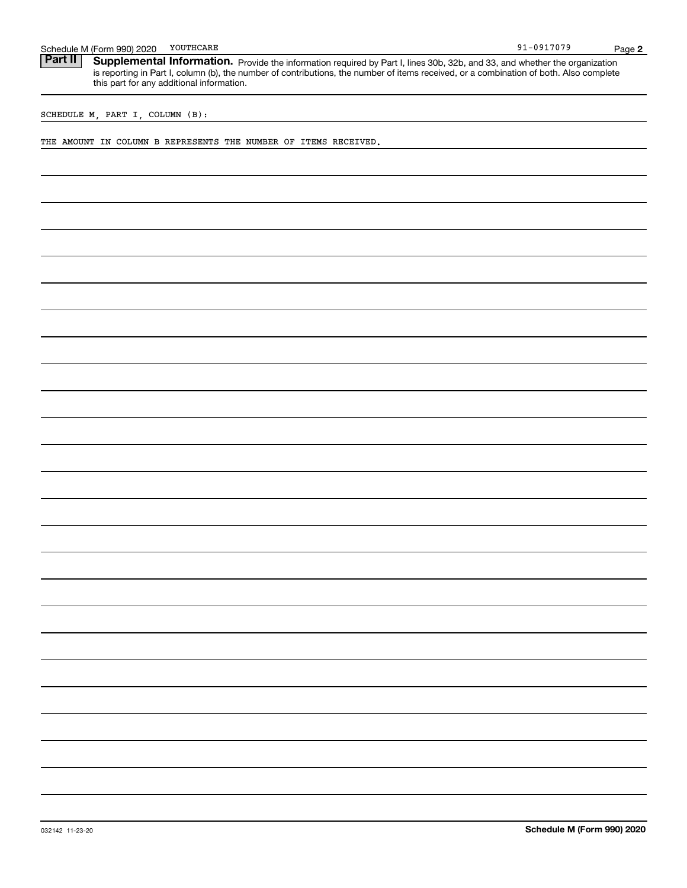Part II | Supplemental Information. Provide the information required by Part I, lines 30b, 32b, and 33, and whether the organization is reporting in Part I, column (b), the number of contributions, the number of items received, or a combination of both. Also complete this part for any additional information.

SCHEDULE M, PART I, COLUMN (B):

THE AMOUNT IN COLUMN B REPRESENTS THE NUMBER OF ITEMS RECEIVED.

**2**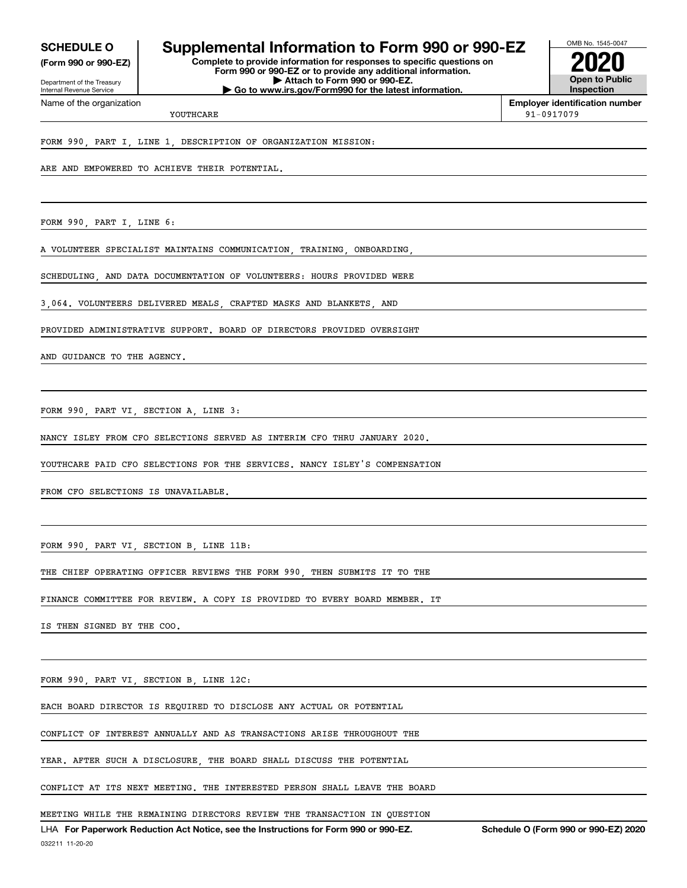**(Form 990 or 990-EZ)**

Department of the Treasury Internal Revenue Service Name of the organization

# **SCHEDULE O Supplemental Information to Form 990 or 990-EZ**

**Complete to provide information for responses to specific questions on Form 990 or 990-EZ or to provide any additional information. | Attach to Form 990 or 990-EZ. | Go to www.irs.gov/Form990 for the latest information.**



**Employer identification number** 91-0917079

YOUTHCARE

FORM 990, PART I, LINE 1, DESCRIPTION OF ORGANIZATION MISSION:

ARE AND EMPOWERED TO ACHIEVE THEIR POTENTIAL.

FORM 990, PART I, LINE 6:

A VOLUNTEER SPECIALIST MAINTAINS COMMUNICATION, TRAINING, ONBOARDING,

SCHEDULING, AND DATA DOCUMENTATION OF VOLUNTEERS: HOURS PROVIDED WERE

3,064. VOLUNTEERS DELIVERED MEALS, CRAFTED MASKS AND BLANKETS, AND

PROVIDED ADMINISTRATIVE SUPPORT. BOARD OF DIRECTORS PROVIDED OVERSIGHT

AND GUIDANCE TO THE AGENCY.

FORM 990, PART VI, SECTION A, LINE 3:

NANCY ISLEY FROM CFO SELECTIONS SERVED AS INTERIM CFO THRU JANUARY 2020.

YOUTHCARE PAID CFO SELECTIONS FOR THE SERVICES. NANCY ISLEY'S COMPENSATION

FROM CFO SELECTIONS IS UNAVAILABLE.

FORM 990, PART VI, SECTION B, LINE 11B:

THE CHIEF OPERATING OFFICER REVIEWS THE FORM 990, THEN SUBMITS IT TO THE

FINANCE COMMITTEE FOR REVIEW. A COPY IS PROVIDED TO EVERY BOARD MEMBER. IT

IS THEN SIGNED BY THE COO.

FORM 990, PART VI, SECTION B, LINE 12C:

EACH BOARD DIRECTOR IS REQUIRED TO DISCLOSE ANY ACTUAL OR POTENTIAL

CONFLICT OF INTEREST ANNUALLY AND AS TRANSACTIONS ARISE THROUGHOUT THE

YEAR. AFTER SUCH A DISCLOSURE, THE BOARD SHALL DISCUSS THE POTENTIAL

CONFLICT AT ITS NEXT MEETING. THE INTERESTED PERSON SHALL LEAVE THE BOARD

MEETING WHILE THE REMAINING DIRECTORS REVIEW THE TRANSACTION IN QUESTION

LHA For Paperwork Reduction Act Notice, see the Instructions for Form 990 or 990-EZ. Schedule O (Form 990 or 990-EZ) 2020